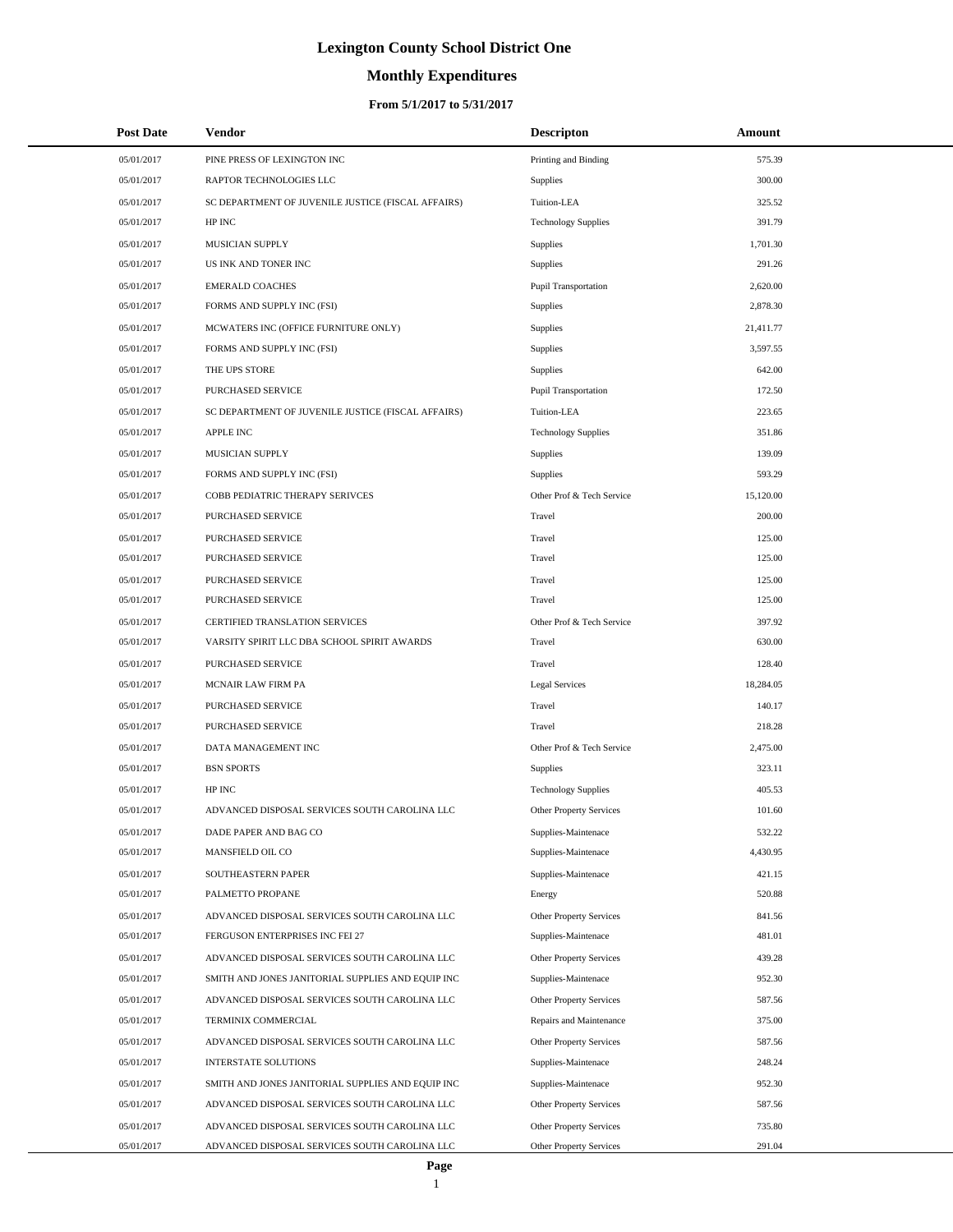# **Monthly Expenditures**

| <b>Post Date</b> | Vendor                                             | <b>Descripton</b>              | Amount    |
|------------------|----------------------------------------------------|--------------------------------|-----------|
| 05/01/2017       | PINE PRESS OF LEXINGTON INC                        | Printing and Binding           | 575.39    |
| 05/01/2017       | RAPTOR TECHNOLOGIES LLC                            | Supplies                       | 300.00    |
| 05/01/2017       | SC DEPARTMENT OF JUVENILE JUSTICE (FISCAL AFFAIRS) | Tuition-LEA                    | 325.52    |
| 05/01/2017       | HP INC                                             | <b>Technology Supplies</b>     | 391.79    |
| 05/01/2017       | MUSICIAN SUPPLY                                    | Supplies                       | 1,701.30  |
| 05/01/2017       | US INK AND TONER INC                               | Supplies                       | 291.26    |
| 05/01/2017       | <b>EMERALD COACHES</b>                             | Pupil Transportation           | 2,620.00  |
| 05/01/2017       | FORMS AND SUPPLY INC (FSI)                         | <b>Supplies</b>                | 2,878.30  |
| 05/01/2017       | MCWATERS INC (OFFICE FURNITURE ONLY)               | Supplies                       | 21,411.77 |
| 05/01/2017       | FORMS AND SUPPLY INC (FSI)                         | Supplies                       | 3,597.55  |
| 05/01/2017       | THE UPS STORE                                      | Supplies                       | 642.00    |
| 05/01/2017       | PURCHASED SERVICE                                  | Pupil Transportation           | 172.50    |
| 05/01/2017       | SC DEPARTMENT OF JUVENILE JUSTICE (FISCAL AFFAIRS) | Tuition-LEA                    | 223.65    |
| 05/01/2017       | <b>APPLE INC</b>                                   | <b>Technology Supplies</b>     | 351.86    |
| 05/01/2017       | <b>MUSICIAN SUPPLY</b>                             | Supplies                       | 139.09    |
| 05/01/2017       | FORMS AND SUPPLY INC (FSI)                         | Supplies                       | 593.29    |
| 05/01/2017       | COBB PEDIATRIC THERAPY SERIVCES                    | Other Prof & Tech Service      | 15,120.00 |
| 05/01/2017       | PURCHASED SERVICE                                  | Travel                         | 200.00    |
| 05/01/2017       | PURCHASED SERVICE                                  | Travel                         | 125.00    |
| 05/01/2017       | PURCHASED SERVICE                                  | Travel                         | 125.00    |
| 05/01/2017       | PURCHASED SERVICE                                  | Travel                         | 125.00    |
| 05/01/2017       | PURCHASED SERVICE                                  | Travel                         | 125.00    |
| 05/01/2017       | CERTIFIED TRANSLATION SERVICES                     | Other Prof & Tech Service      | 397.92    |
| 05/01/2017       | VARSITY SPIRIT LLC DBA SCHOOL SPIRIT AWARDS        | Travel                         | 630.00    |
| 05/01/2017       | PURCHASED SERVICE                                  | Travel                         | 128.40    |
| 05/01/2017       | <b>MCNAIR LAW FIRM PA</b>                          | <b>Legal Services</b>          | 18,284.05 |
| 05/01/2017       | PURCHASED SERVICE                                  | Travel                         | 140.17    |
| 05/01/2017       | PURCHASED SERVICE                                  | Travel                         | 218.28    |
| 05/01/2017       | DATA MANAGEMENT INC                                | Other Prof & Tech Service      | 2,475.00  |
| 05/01/2017       | <b>BSN SPORTS</b>                                  | Supplies                       | 323.11    |
| 05/01/2017       | HP INC                                             | <b>Technology Supplies</b>     | 405.53    |
| 05/01/2017       | ADVANCED DISPOSAL SERVICES SOUTH CAROLINA LLC      | Other Property Services        | 101.60    |
| 05/01/2017       | DADE PAPER AND BAG CO                              | Supplies-Maintenace            | 532.22    |
| 05/01/2017       | MANSFIELD OIL CO                                   | Supplies-Maintenace            | 4,430.95  |
| 05/01/2017       | SOUTHEASTERN PAPER                                 | Supplies-Maintenace            | 421.15    |
| 05/01/2017       | PALMETTO PROPANE                                   | Energy                         | 520.88    |
| 05/01/2017       | ADVANCED DISPOSAL SERVICES SOUTH CAROLINA LLC      | Other Property Services        | 841.56    |
| 05/01/2017       | FERGUSON ENTERPRISES INC FEI 27                    | Supplies-Maintenace            | 481.01    |
| 05/01/2017       | ADVANCED DISPOSAL SERVICES SOUTH CAROLINA LLC      | <b>Other Property Services</b> | 439.28    |
| 05/01/2017       | SMITH AND JONES JANITORIAL SUPPLIES AND EQUIP INC  | Supplies-Maintenace            | 952.30    |
| 05/01/2017       | ADVANCED DISPOSAL SERVICES SOUTH CAROLINA LLC      | Other Property Services        | 587.56    |
| 05/01/2017       | TERMINIX COMMERCIAL                                | Repairs and Maintenance        | 375.00    |
| 05/01/2017       | ADVANCED DISPOSAL SERVICES SOUTH CAROLINA LLC      | Other Property Services        | 587.56    |
| 05/01/2017       | <b>INTERSTATE SOLUTIONS</b>                        | Supplies-Maintenace            | 248.24    |
| 05/01/2017       | SMITH AND JONES JANITORIAL SUPPLIES AND EQUIP INC  | Supplies-Maintenace            | 952.30    |
| 05/01/2017       | ADVANCED DISPOSAL SERVICES SOUTH CAROLINA LLC      | Other Property Services        | 587.56    |
| 05/01/2017       | ADVANCED DISPOSAL SERVICES SOUTH CAROLINA LLC      | <b>Other Property Services</b> | 735.80    |
| 05/01/2017       | ADVANCED DISPOSAL SERVICES SOUTH CAROLINA LLC      | <b>Other Property Services</b> | 291.04    |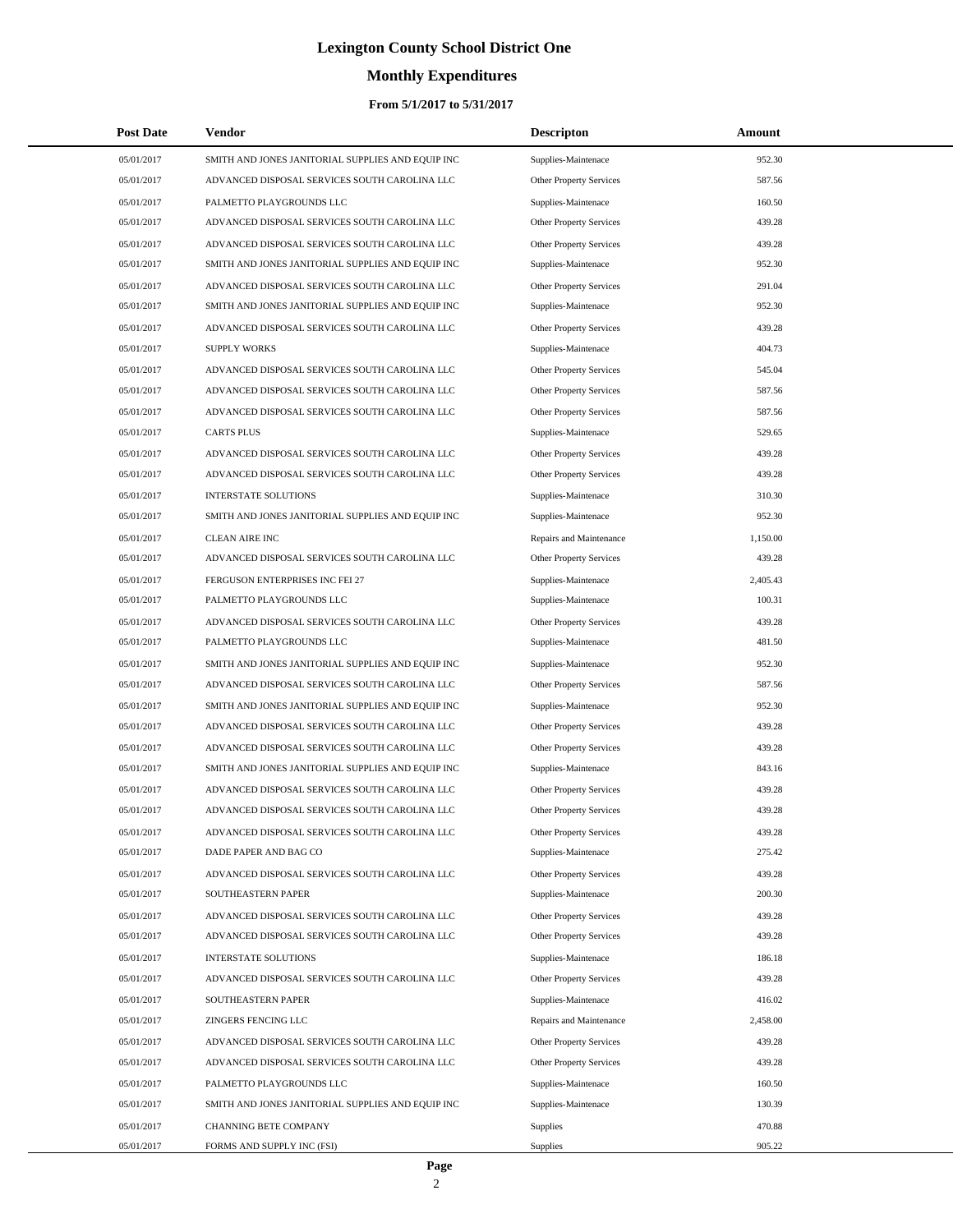# **Monthly Expenditures**

| <b>Post Date</b> | Vendor                                            | <b>Descripton</b>              | Amount   |
|------------------|---------------------------------------------------|--------------------------------|----------|
| 05/01/2017       | SMITH AND JONES JANITORIAL SUPPLIES AND EQUIP INC | Supplies-Maintenace            | 952.30   |
| 05/01/2017       | ADVANCED DISPOSAL SERVICES SOUTH CAROLINA LLC     | Other Property Services        | 587.56   |
| 05/01/2017       | PALMETTO PLAYGROUNDS LLC                          | Supplies-Maintenace            | 160.50   |
| 05/01/2017       | ADVANCED DISPOSAL SERVICES SOUTH CAROLINA LLC     | Other Property Services        | 439.28   |
| 05/01/2017       | ADVANCED DISPOSAL SERVICES SOUTH CAROLINA LLC     | <b>Other Property Services</b> | 439.28   |
| 05/01/2017       | SMITH AND JONES JANITORIAL SUPPLIES AND EQUIP INC | Supplies-Maintenace            | 952.30   |
| 05/01/2017       | ADVANCED DISPOSAL SERVICES SOUTH CAROLINA LLC     | Other Property Services        | 291.04   |
| 05/01/2017       | SMITH AND JONES JANITORIAL SUPPLIES AND EQUIP INC | Supplies-Maintenace            | 952.30   |
| 05/01/2017       | ADVANCED DISPOSAL SERVICES SOUTH CAROLINA LLC     | <b>Other Property Services</b> | 439.28   |
| 05/01/2017       | <b>SUPPLY WORKS</b>                               | Supplies-Maintenace            | 404.73   |
| 05/01/2017       | ADVANCED DISPOSAL SERVICES SOUTH CAROLINA LLC     | <b>Other Property Services</b> | 545.04   |
| 05/01/2017       | ADVANCED DISPOSAL SERVICES SOUTH CAROLINA LLC     | Other Property Services        | 587.56   |
| 05/01/2017       | ADVANCED DISPOSAL SERVICES SOUTH CAROLINA LLC     | <b>Other Property Services</b> | 587.56   |
| 05/01/2017       | <b>CARTS PLUS</b>                                 | Supplies-Maintenace            | 529.65   |
| 05/01/2017       | ADVANCED DISPOSAL SERVICES SOUTH CAROLINA LLC     | Other Property Services        | 439.28   |
| 05/01/2017       | ADVANCED DISPOSAL SERVICES SOUTH CAROLINA LLC     | <b>Other Property Services</b> | 439.28   |
| 05/01/2017       | <b>INTERSTATE SOLUTIONS</b>                       | Supplies-Maintenace            | 310.30   |
| 05/01/2017       | SMITH AND JONES JANITORIAL SUPPLIES AND EQUIP INC | Supplies-Maintenace            | 952.30   |
| 05/01/2017       | <b>CLEAN AIRE INC</b>                             | Repairs and Maintenance        | 1,150.00 |
| 05/01/2017       | ADVANCED DISPOSAL SERVICES SOUTH CAROLINA LLC     | Other Property Services        | 439.28   |
| 05/01/2017       | FERGUSON ENTERPRISES INC FEI 27                   | Supplies-Maintenace            | 2,405.43 |
| 05/01/2017       | PALMETTO PLAYGROUNDS LLC                          | Supplies-Maintenace            | 100.31   |
| 05/01/2017       | ADVANCED DISPOSAL SERVICES SOUTH CAROLINA LLC     | Other Property Services        | 439.28   |
| 05/01/2017       | PALMETTO PLAYGROUNDS LLC                          | Supplies-Maintenace            | 481.50   |
| 05/01/2017       | SMITH AND JONES JANITORIAL SUPPLIES AND EQUIP INC | Supplies-Maintenace            | 952.30   |
| 05/01/2017       | ADVANCED DISPOSAL SERVICES SOUTH CAROLINA LLC     | Other Property Services        | 587.56   |
| 05/01/2017       | SMITH AND JONES JANITORIAL SUPPLIES AND EQUIP INC | Supplies-Maintenace            | 952.30   |
| 05/01/2017       | ADVANCED DISPOSAL SERVICES SOUTH CAROLINA LLC     | Other Property Services        | 439.28   |
| 05/01/2017       | ADVANCED DISPOSAL SERVICES SOUTH CAROLINA LLC     | Other Property Services        | 439.28   |
| 05/01/2017       | SMITH AND JONES JANITORIAL SUPPLIES AND EQUIP INC | Supplies-Maintenace            | 843.16   |
| 05/01/2017       | ADVANCED DISPOSAL SERVICES SOUTH CAROLINA LLC     | Other Property Services        | 439.28   |
| 05/01/2017       | ADVANCED DISPOSAL SERVICES SOUTH CAROLINA LLC     | Other Property Services        | 439.28   |
| 05/01/2017       | ADVANCED DISPOSAL SERVICES SOUTH CAROLINA LLC     | Other Property Services        | 439.28   |
| 05/01/2017       | DADE PAPER AND BAG CO                             | Supplies-Maintenace            | 275.42   |
| 05/01/2017       | ADVANCED DISPOSAL SERVICES SOUTH CAROLINA LLC     | Other Property Services        | 439.28   |
| 05/01/2017       | SOUTHEASTERN PAPER                                | Supplies-Maintenace            | 200.30   |
| 05/01/2017       | ADVANCED DISPOSAL SERVICES SOUTH CAROLINA LLC     | <b>Other Property Services</b> | 439.28   |
| 05/01/2017       | ADVANCED DISPOSAL SERVICES SOUTH CAROLINA LLC     | Other Property Services        | 439.28   |
| 05/01/2017       | <b>INTERSTATE SOLUTIONS</b>                       | Supplies-Maintenace            | 186.18   |
| 05/01/2017       | ADVANCED DISPOSAL SERVICES SOUTH CAROLINA LLC     | Other Property Services        | 439.28   |
| 05/01/2017       | SOUTHEASTERN PAPER                                | Supplies-Maintenace            | 416.02   |
| 05/01/2017       | <b>ZINGERS FENCING LLC</b>                        | Repairs and Maintenance        | 2,458.00 |
| 05/01/2017       | ADVANCED DISPOSAL SERVICES SOUTH CAROLINA LLC     | Other Property Services        | 439.28   |
| 05/01/2017       | ADVANCED DISPOSAL SERVICES SOUTH CAROLINA LLC     | Other Property Services        | 439.28   |
| 05/01/2017       | PALMETTO PLAYGROUNDS LLC                          | Supplies-Maintenace            | 160.50   |
| 05/01/2017       | SMITH AND JONES JANITORIAL SUPPLIES AND EQUIP INC | Supplies-Maintenace            | 130.39   |
| 05/01/2017       | CHANNING BETE COMPANY                             | Supplies                       | 470.88   |
| 05/01/2017       | FORMS AND SUPPLY INC (FSI)                        | <b>Supplies</b>                | 905.22   |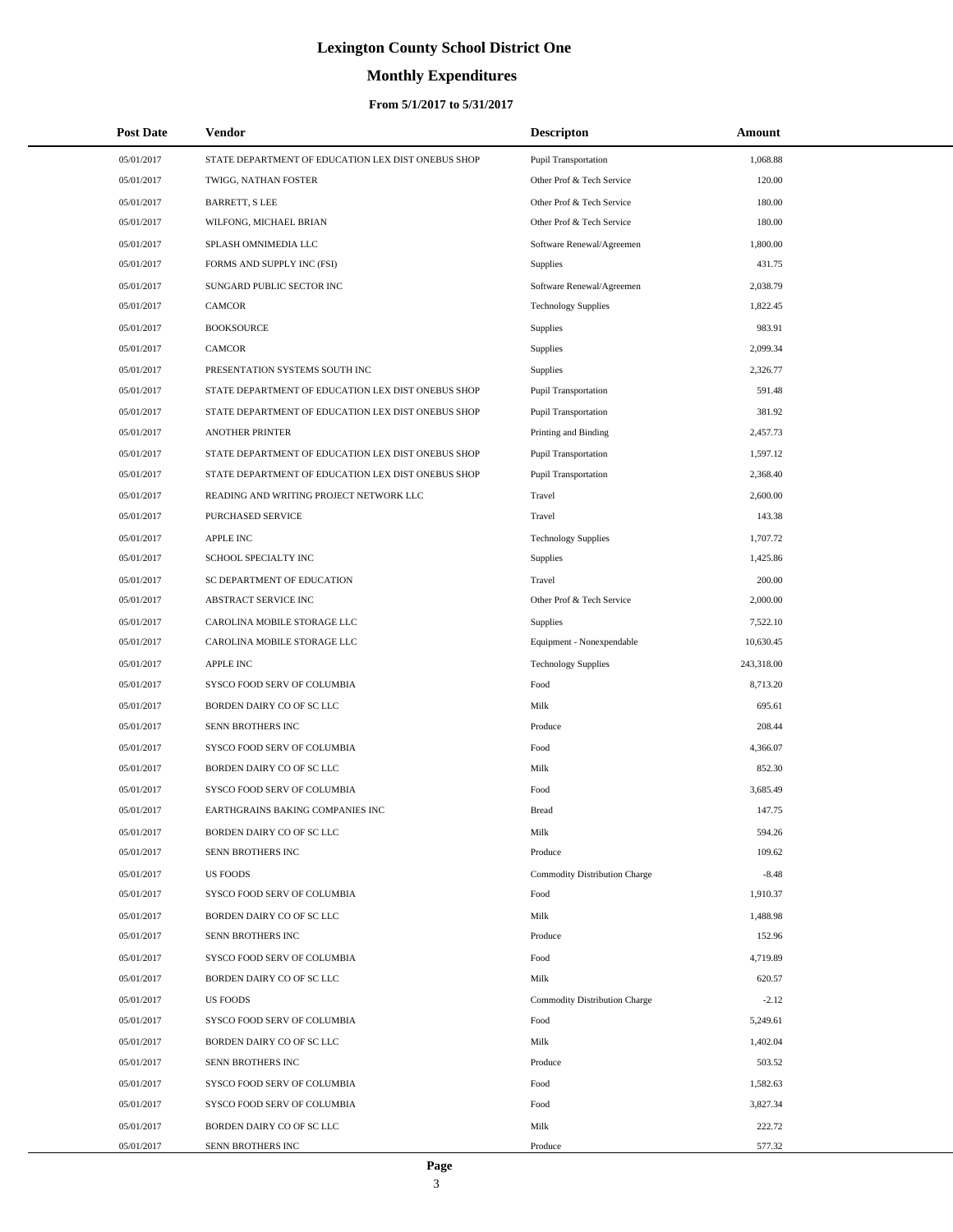# **Monthly Expenditures**

### **From 5/1/2017 to 5/31/2017**

| <b>Post Date</b> | <b>Vendor</b>                                      | <b>Descripton</b>                    | Amount     |
|------------------|----------------------------------------------------|--------------------------------------|------------|
| 05/01/2017       | STATE DEPARTMENT OF EDUCATION LEX DIST ONEBUS SHOP | <b>Pupil Transportation</b>          | 1,068.88   |
| 05/01/2017       | TWIGG, NATHAN FOSTER                               | Other Prof & Tech Service            | 120.00     |
| 05/01/2017       | <b>BARRETT, S LEE</b>                              | Other Prof & Tech Service            | 180.00     |
| 05/01/2017       | WILFONG, MICHAEL BRIAN                             | Other Prof & Tech Service            | 180.00     |
| 05/01/2017       | SPLASH OMNIMEDIA LLC                               | Software Renewal/Agreemen            | 1,800.00   |
| 05/01/2017       | FORMS AND SUPPLY INC (FSI)                         | <b>Supplies</b>                      | 431.75     |
| 05/01/2017       | SUNGARD PUBLIC SECTOR INC                          | Software Renewal/Agreemen            | 2,038.79   |
| 05/01/2017       | <b>CAMCOR</b>                                      | <b>Technology Supplies</b>           | 1,822.45   |
| 05/01/2017       | <b>BOOKSOURCE</b>                                  | <b>Supplies</b>                      | 983.91     |
| 05/01/2017       | <b>CAMCOR</b>                                      | <b>Supplies</b>                      | 2,099.34   |
| 05/01/2017       | PRESENTATION SYSTEMS SOUTH INC                     | <b>Supplies</b>                      | 2,326.77   |
| 05/01/2017       | STATE DEPARTMENT OF EDUCATION LEX DIST ONEBUS SHOP | Pupil Transportation                 | 591.48     |
| 05/01/2017       | STATE DEPARTMENT OF EDUCATION LEX DIST ONEBUS SHOP | <b>Pupil Transportation</b>          | 381.92     |
| 05/01/2017       | <b>ANOTHER PRINTER</b>                             | Printing and Binding                 | 2,457.73   |
| 05/01/2017       | STATE DEPARTMENT OF EDUCATION LEX DIST ONEBUS SHOP | Pupil Transportation                 | 1,597.12   |
| 05/01/2017       | STATE DEPARTMENT OF EDUCATION LEX DIST ONEBUS SHOP | Pupil Transportation                 | 2,368.40   |
| 05/01/2017       | READING AND WRITING PROJECT NETWORK LLC            | Travel                               | 2,600.00   |
| 05/01/2017       | PURCHASED SERVICE                                  | Travel                               | 143.38     |
| 05/01/2017       | <b>APPLE INC</b>                                   | <b>Technology Supplies</b>           | 1,707.72   |
| 05/01/2017       | SCHOOL SPECIALTY INC                               | Supplies                             | 1,425.86   |
| 05/01/2017       | SC DEPARTMENT OF EDUCATION                         | Travel                               | 200.00     |
| 05/01/2017       | ABSTRACT SERVICE INC                               | Other Prof & Tech Service            | 2,000.00   |
| 05/01/2017       | CAROLINA MOBILE STORAGE LLC                        | Supplies                             | 7,522.10   |
| 05/01/2017       | CAROLINA MOBILE STORAGE LLC                        | Equipment - Nonexpendable            | 10,630.45  |
| 05/01/2017       | <b>APPLE INC</b>                                   | <b>Technology Supplies</b>           | 243,318.00 |
| 05/01/2017       | SYSCO FOOD SERV OF COLUMBIA                        | Food                                 | 8,713.20   |
| 05/01/2017       | BORDEN DAIRY CO OF SC LLC                          | Milk                                 | 695.61     |
| 05/01/2017       | SENN BROTHERS INC                                  | Produce                              | 208.44     |
| 05/01/2017       | SYSCO FOOD SERV OF COLUMBIA                        | Food                                 | 4,366.07   |
| 05/01/2017       | BORDEN DAIRY CO OF SC LLC                          | Milk                                 | 852.30     |
| 05/01/2017       | SYSCO FOOD SERV OF COLUMBIA                        | Food                                 | 3,685.49   |
| 05/01/2017       | EARTHGRAINS BAKING COMPANIES INC                   | <b>Bread</b>                         | 147.75     |
| 05/01/2017       | BORDEN DAIRY CO OF SC LLC                          | Milk                                 | 594.26     |
| 05/01/2017       | SENN BROTHERS INC                                  | Produce                              | 109.62     |
| 05/01/2017       | <b>US FOODS</b>                                    | Commodity Distribution Charge        | $-8.48$    |
| 05/01/2017       | SYSCO FOOD SERV OF COLUMBIA                        | Food                                 | 1,910.37   |
| 05/01/2017       | BORDEN DAIRY CO OF SC LLC                          | Milk                                 | 1,488.98   |
| 05/01/2017       | SENN BROTHERS INC                                  | Produce                              | 152.96     |
| 05/01/2017       | SYSCO FOOD SERV OF COLUMBIA                        | Food                                 | 4,719.89   |
| 05/01/2017       | BORDEN DAIRY CO OF SC LLC                          | Milk                                 | 620.57     |
| 05/01/2017       | <b>US FOODS</b>                                    | <b>Commodity Distribution Charge</b> | $-2.12$    |
| 05/01/2017       | SYSCO FOOD SERV OF COLUMBIA                        | Food                                 | 5,249.61   |
| 05/01/2017       | BORDEN DAIRY CO OF SC LLC                          | Milk                                 | 1,402.04   |
| 05/01/2017       | SENN BROTHERS INC                                  | Produce                              | 503.52     |
| 05/01/2017       | SYSCO FOOD SERV OF COLUMBIA                        | Food                                 | 1,582.63   |
| 05/01/2017       | SYSCO FOOD SERV OF COLUMBIA                        | Food                                 | 3,827.34   |
| 05/01/2017       | BORDEN DAIRY CO OF SC LLC                          | Milk                                 | 222.72     |
| 05/01/2017       | SENN BROTHERS INC                                  | Produce                              | 577.32     |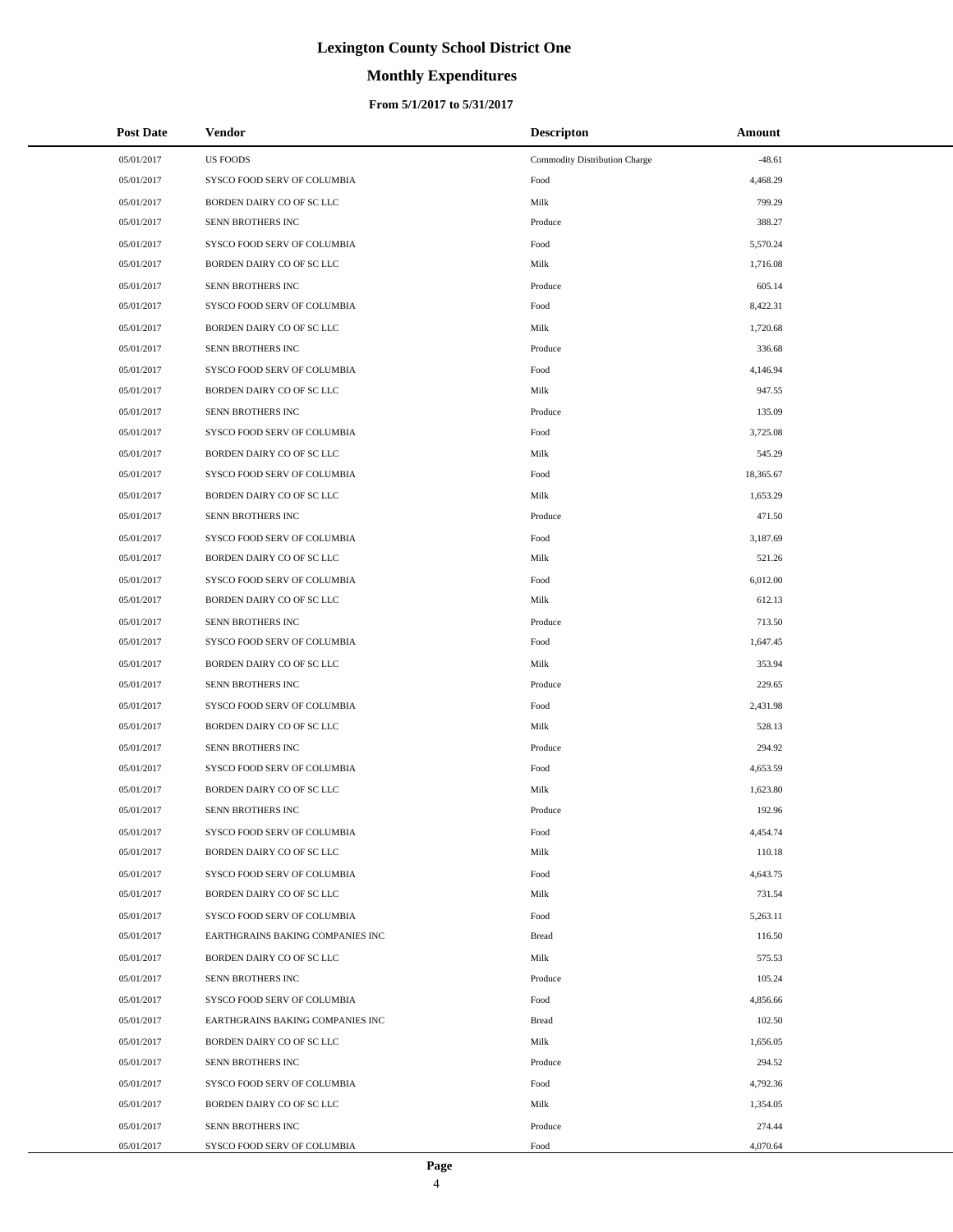# **Monthly Expenditures**

| <b>Post Date</b> | <b>Vendor</b>                    | <b>Descripton</b>             | Amount    |
|------------------|----------------------------------|-------------------------------|-----------|
| 05/01/2017       | <b>US FOODS</b>                  | Commodity Distribution Charge | $-48.61$  |
| 05/01/2017       | SYSCO FOOD SERV OF COLUMBIA      | Food                          | 4,468.29  |
| 05/01/2017       | BORDEN DAIRY CO OF SC LLC        | Milk                          | 799.29    |
| 05/01/2017       | SENN BROTHERS INC                | Produce                       | 388.27    |
| 05/01/2017       | SYSCO FOOD SERV OF COLUMBIA      | Food                          | 5,570.24  |
| 05/01/2017       | BORDEN DAIRY CO OF SC LLC        | Milk                          | 1,716.08  |
| 05/01/2017       | SENN BROTHERS INC                | Produce                       | 605.14    |
| 05/01/2017       | SYSCO FOOD SERV OF COLUMBIA      | Food                          | 8,422.31  |
| 05/01/2017       | BORDEN DAIRY CO OF SC LLC        | Milk                          | 1,720.68  |
| 05/01/2017       | SENN BROTHERS INC                | Produce                       | 336.68    |
| 05/01/2017       | SYSCO FOOD SERV OF COLUMBIA      | Food                          | 4,146.94  |
| 05/01/2017       | BORDEN DAIRY CO OF SC LLC        | Milk                          | 947.55    |
| 05/01/2017       | SENN BROTHERS INC                | Produce                       | 135.09    |
| 05/01/2017       | SYSCO FOOD SERV OF COLUMBIA      | Food                          | 3,725.08  |
| 05/01/2017       | BORDEN DAIRY CO OF SC LLC        | Milk                          | 545.29    |
| 05/01/2017       | SYSCO FOOD SERV OF COLUMBIA      | Food                          | 18,365.67 |
| 05/01/2017       | BORDEN DAIRY CO OF SC LLC        | Milk                          | 1,653.29  |
| 05/01/2017       | SENN BROTHERS INC                | Produce                       | 471.50    |
| 05/01/2017       | SYSCO FOOD SERV OF COLUMBIA      | Food                          | 3,187.69  |
| 05/01/2017       | BORDEN DAIRY CO OF SC LLC        | Milk                          | 521.26    |
| 05/01/2017       | SYSCO FOOD SERV OF COLUMBIA      | Food                          | 6,012.00  |
| 05/01/2017       | BORDEN DAIRY CO OF SC LLC        | Milk                          | 612.13    |
| 05/01/2017       | SENN BROTHERS INC                | Produce                       | 713.50    |
| 05/01/2017       | SYSCO FOOD SERV OF COLUMBIA      | Food                          | 1,647.45  |
| 05/01/2017       | BORDEN DAIRY CO OF SC LLC        | Milk                          | 353.94    |
| 05/01/2017       | SENN BROTHERS INC                | Produce                       | 229.65    |
| 05/01/2017       | SYSCO FOOD SERV OF COLUMBIA      | Food                          | 2,431.98  |
| 05/01/2017       | BORDEN DAIRY CO OF SC LLC        | Milk                          | 528.13    |
| 05/01/2017       | SENN BROTHERS INC                | Produce                       | 294.92    |
| 05/01/2017       | SYSCO FOOD SERV OF COLUMBIA      | Food                          | 4,653.59  |
| 05/01/2017       | BORDEN DAIRY CO OF SC LLC        | Milk                          | 1,623.80  |
| 05/01/2017       | SENN BROTHERS INC                | Produce                       | 192.96    |
| 05/01/2017       | SYSCO FOOD SERV OF COLUMBIA      | Food                          | 4,454.74  |
| 05/01/2017       | BORDEN DAIRY CO OF SC LLC        | Milk                          | 110.18    |
| 05/01/2017       | SYSCO FOOD SERV OF COLUMBIA      | Food                          | 4,643.75  |
| 05/01/2017       | BORDEN DAIRY CO OF SC LLC        | Milk                          | 731.54    |
| 05/01/2017       | SYSCO FOOD SERV OF COLUMBIA      | Food                          | 5,263.11  |
| 05/01/2017       | EARTHGRAINS BAKING COMPANIES INC | <b>Bread</b>                  | 116.50    |
| 05/01/2017       | BORDEN DAIRY CO OF SC LLC        | Milk                          | 575.53    |
| 05/01/2017       | SENN BROTHERS INC                | Produce                       | 105.24    |
| 05/01/2017       | SYSCO FOOD SERV OF COLUMBIA      | Food                          | 4,856.66  |
| 05/01/2017       | EARTHGRAINS BAKING COMPANIES INC | <b>Bread</b>                  | 102.50    |
| 05/01/2017       | BORDEN DAIRY CO OF SC LLC        | Milk                          | 1,656.05  |
| 05/01/2017       | SENN BROTHERS INC                | Produce                       | 294.52    |
| 05/01/2017       | SYSCO FOOD SERV OF COLUMBIA      | Food                          | 4,792.36  |
| 05/01/2017       | BORDEN DAIRY CO OF SC LLC        | Milk                          | 1,354.05  |
| 05/01/2017       | SENN BROTHERS INC                | Produce                       | 274.44    |
| 05/01/2017       | SYSCO FOOD SERV OF COLUMBIA      | Food                          | 4,070.64  |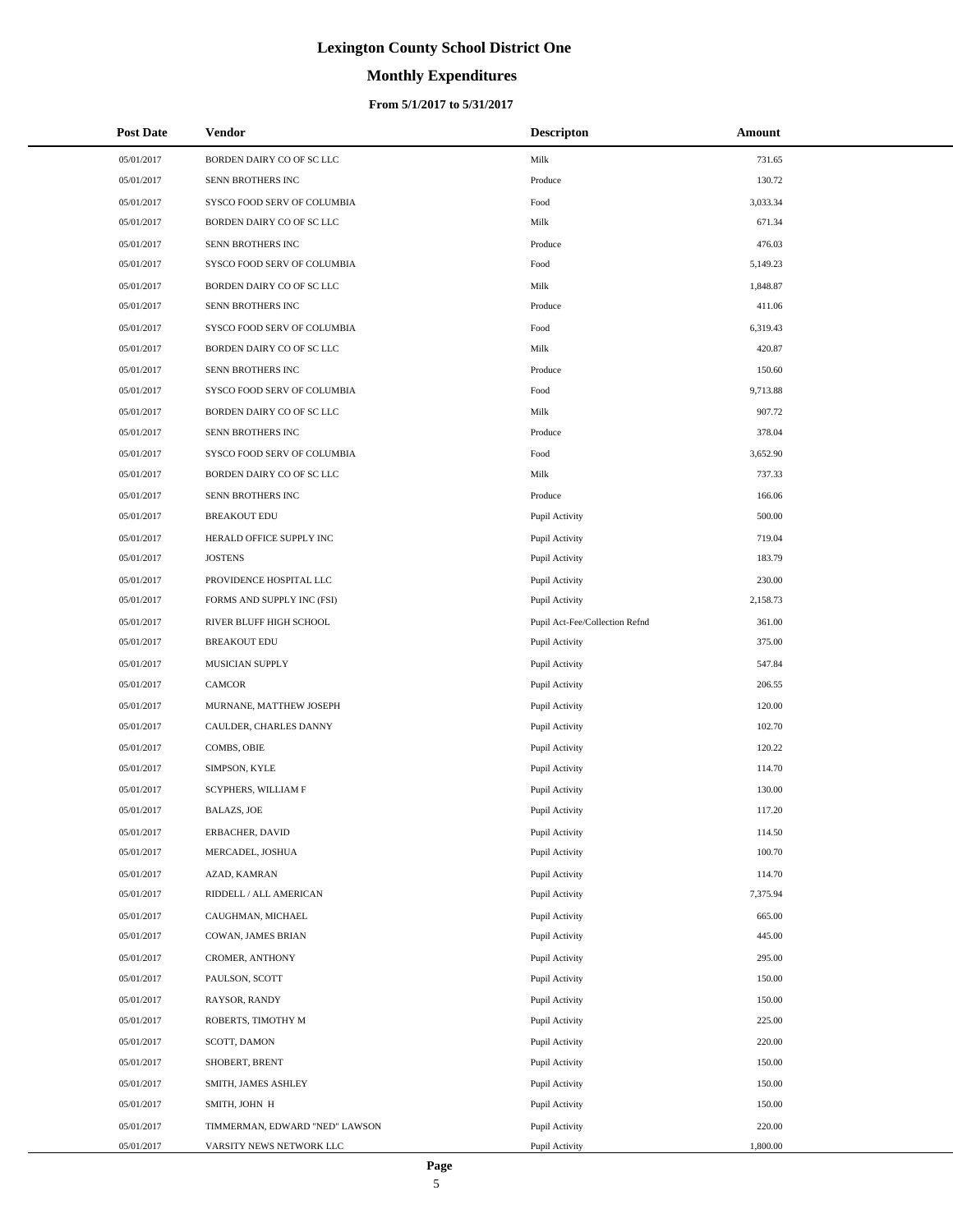# **Monthly Expenditures**

| <b>Post Date</b> | Vendor                         | <b>Descripton</b>              | Amount   |
|------------------|--------------------------------|--------------------------------|----------|
| 05/01/2017       | BORDEN DAIRY CO OF SC LLC      | Milk                           | 731.65   |
| 05/01/2017       | SENN BROTHERS INC              | Produce                        | 130.72   |
| 05/01/2017       | SYSCO FOOD SERV OF COLUMBIA    | Food                           | 3,033.34 |
| 05/01/2017       | BORDEN DAIRY CO OF SC LLC      | Milk                           | 671.34   |
| 05/01/2017       | SENN BROTHERS INC              | Produce                        | 476.03   |
| 05/01/2017       | SYSCO FOOD SERV OF COLUMBIA    | Food                           | 5,149.23 |
| 05/01/2017       | BORDEN DAIRY CO OF SC LLC      | Milk                           | 1,848.87 |
| 05/01/2017       | SENN BROTHERS INC              | Produce                        | 411.06   |
| 05/01/2017       | SYSCO FOOD SERV OF COLUMBIA    | Food                           | 6,319.43 |
| 05/01/2017       | BORDEN DAIRY CO OF SC LLC      | Milk                           | 420.87   |
| 05/01/2017       | SENN BROTHERS INC              | Produce                        | 150.60   |
| 05/01/2017       | SYSCO FOOD SERV OF COLUMBIA    | Food                           | 9,713.88 |
| 05/01/2017       | BORDEN DAIRY CO OF SC LLC      | Milk                           | 907.72   |
| 05/01/2017       | SENN BROTHERS INC              | Produce                        | 378.04   |
| 05/01/2017       | SYSCO FOOD SERV OF COLUMBIA    | Food                           | 3,652.90 |
| 05/01/2017       | BORDEN DAIRY CO OF SC LLC      | Milk                           | 737.33   |
| 05/01/2017       | SENN BROTHERS INC              | Produce                        | 166.06   |
| 05/01/2017       | <b>BREAKOUT EDU</b>            | Pupil Activity                 | 500.00   |
| 05/01/2017       | HERALD OFFICE SUPPLY INC       | Pupil Activity                 | 719.04   |
| 05/01/2017       | <b>JOSTENS</b>                 | Pupil Activity                 | 183.79   |
| 05/01/2017       | PROVIDENCE HOSPITAL LLC        | Pupil Activity                 | 230.00   |
| 05/01/2017       | FORMS AND SUPPLY INC (FSI)     | Pupil Activity                 | 2,158.73 |
| 05/01/2017       | RIVER BLUFF HIGH SCHOOL        | Pupil Act-Fee/Collection Refnd | 361.00   |
| 05/01/2017       | <b>BREAKOUT EDU</b>            | Pupil Activity                 | 375.00   |
| 05/01/2017       | MUSICIAN SUPPLY                | Pupil Activity                 | 547.84   |
| 05/01/2017       | CAMCOR                         | Pupil Activity                 | 206.55   |
| 05/01/2017       | MURNANE, MATTHEW JOSEPH        | Pupil Activity                 | 120.00   |
| 05/01/2017       | CAULDER, CHARLES DANNY         | Pupil Activity                 | 102.70   |
| 05/01/2017       | COMBS, OBIE                    | Pupil Activity                 | 120.22   |
| 05/01/2017       | SIMPSON, KYLE                  | Pupil Activity                 | 114.70   |
| 05/01/2017       | SCYPHERS, WILLIAM F            | Pupil Activity                 | 130.00   |
| 05/01/2017       | <b>BALAZS, JOE</b>             | Pupil Activity                 | 117.20   |
| 05/01/2017       | ERBACHER, DAVID                | Pupil Activity                 | 114.50   |
| 05/01/2017       | MERCADEL, JOSHUA               | Pupil Activity                 | 100.70   |
| 05/01/2017       | AZAD, KAMRAN                   | Pupil Activity                 | 114.70   |
| 05/01/2017       | RIDDELL / ALL AMERICAN         | Pupil Activity                 | 7,375.94 |
| 05/01/2017       | CAUGHMAN, MICHAEL              | Pupil Activity                 | 665.00   |
| 05/01/2017       | COWAN, JAMES BRIAN             | Pupil Activity                 | 445.00   |
| 05/01/2017       | CROMER, ANTHONY                | Pupil Activity                 | 295.00   |
| 05/01/2017       | PAULSON, SCOTT                 | Pupil Activity                 | 150.00   |
| 05/01/2017       | RAYSOR, RANDY                  | Pupil Activity                 | 150.00   |
| 05/01/2017       | ROBERTS, TIMOTHY M             | Pupil Activity                 | 225.00   |
| 05/01/2017       | SCOTT, DAMON                   | Pupil Activity                 | 220.00   |
| 05/01/2017       | SHOBERT, BRENT                 | Pupil Activity                 | 150.00   |
| 05/01/2017       | SMITH, JAMES ASHLEY            | Pupil Activity                 | 150.00   |
| 05/01/2017       | SMITH, JOHN H                  | Pupil Activity                 | 150.00   |
| 05/01/2017       | TIMMERMAN, EDWARD "NED" LAWSON | Pupil Activity                 | 220.00   |
| 05/01/2017       | VARSITY NEWS NETWORK LLC       | Pupil Activity                 | 1,800.00 |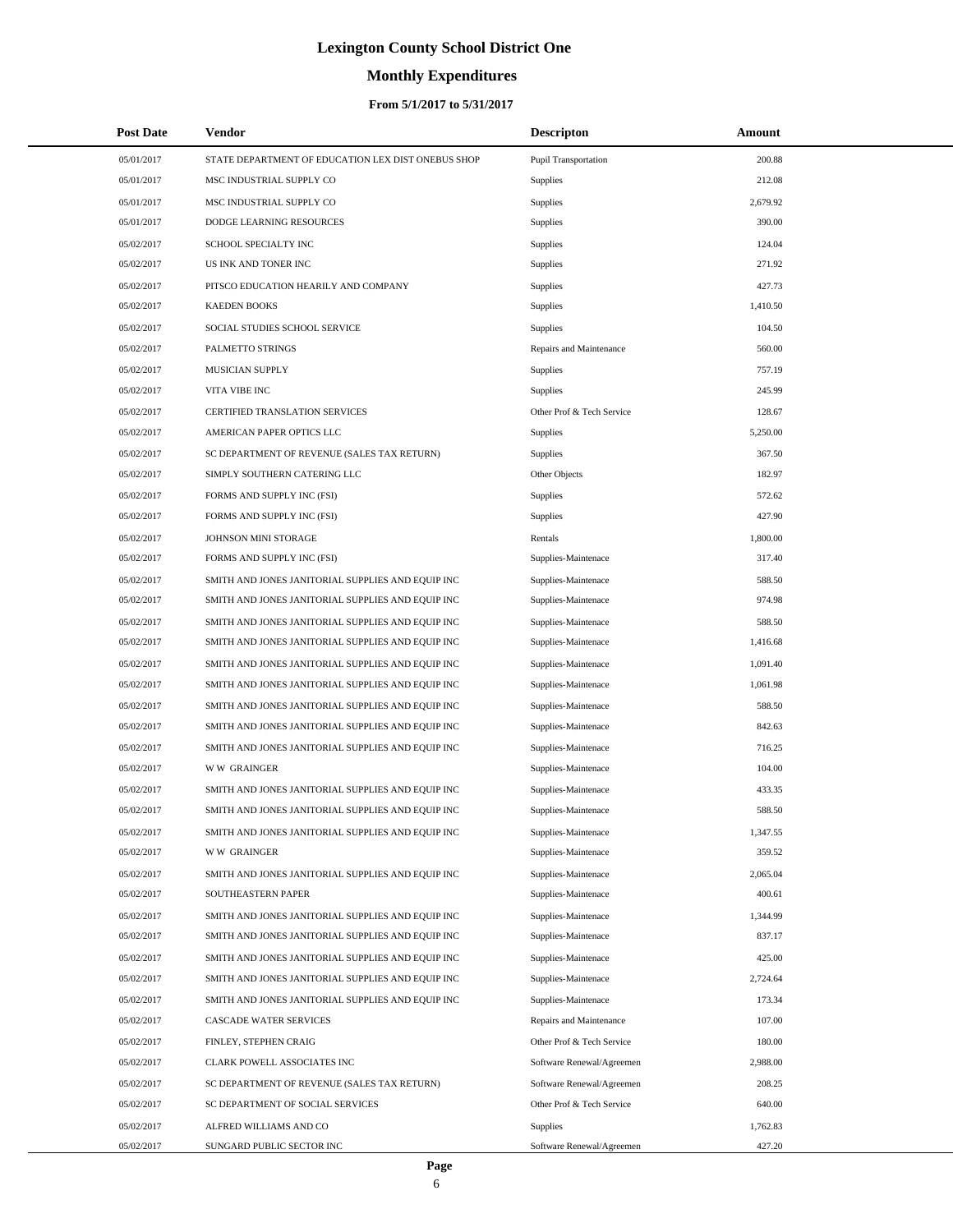# **Monthly Expenditures**

| <b>Post Date</b> | <b>Vendor</b>                                      | <b>Descripton</b>         | Amount   |
|------------------|----------------------------------------------------|---------------------------|----------|
| 05/01/2017       | STATE DEPARTMENT OF EDUCATION LEX DIST ONEBUS SHOP | Pupil Transportation      | 200.88   |
| 05/01/2017       | MSC INDUSTRIAL SUPPLY CO                           | Supplies                  | 212.08   |
| 05/01/2017       | MSC INDUSTRIAL SUPPLY CO                           | Supplies                  | 2,679.92 |
| 05/01/2017       | DODGE LEARNING RESOURCES                           | <b>Supplies</b>           | 390.00   |
| 05/02/2017       | SCHOOL SPECIALTY INC                               | Supplies                  | 124.04   |
| 05/02/2017       | US INK AND TONER INC                               | Supplies                  | 271.92   |
| 05/02/2017       | PITSCO EDUCATION HEARILY AND COMPANY               | <b>Supplies</b>           | 427.73   |
| 05/02/2017       | <b>KAEDEN BOOKS</b>                                | Supplies                  | 1,410.50 |
| 05/02/2017       | SOCIAL STUDIES SCHOOL SERVICE                      | <b>Supplies</b>           | 104.50   |
| 05/02/2017       | PALMETTO STRINGS                                   | Repairs and Maintenance   | 560.00   |
| 05/02/2017       | MUSICIAN SUPPLY                                    | Supplies                  | 757.19   |
| 05/02/2017       | VITA VIBE INC                                      | <b>Supplies</b>           | 245.99   |
| 05/02/2017       | CERTIFIED TRANSLATION SERVICES                     | Other Prof & Tech Service | 128.67   |
| 05/02/2017       | AMERICAN PAPER OPTICS LLC                          | Supplies                  | 5,250.00 |
| 05/02/2017       | SC DEPARTMENT OF REVENUE (SALES TAX RETURN)        | <b>Supplies</b>           | 367.50   |
| 05/02/2017       | SIMPLY SOUTHERN CATERING LLC                       | Other Objects             | 182.97   |
| 05/02/2017       | FORMS AND SUPPLY INC (FSI)                         | <b>Supplies</b>           | 572.62   |
| 05/02/2017       | FORMS AND SUPPLY INC (FSI)                         | Supplies                  | 427.90   |
| 05/02/2017       | JOHNSON MINI STORAGE                               | Rentals                   | 1,800.00 |
| 05/02/2017       | FORMS AND SUPPLY INC (FSI)                         | Supplies-Maintenace       | 317.40   |
| 05/02/2017       | SMITH AND JONES JANITORIAL SUPPLIES AND EQUIP INC  | Supplies-Maintenace       | 588.50   |
| 05/02/2017       | SMITH AND JONES JANITORIAL SUPPLIES AND EQUIP INC  | Supplies-Maintenace       | 974.98   |
| 05/02/2017       | SMITH AND JONES JANITORIAL SUPPLIES AND EQUIP INC  | Supplies-Maintenace       | 588.50   |
| 05/02/2017       | SMITH AND JONES JANITORIAL SUPPLIES AND EQUIP INC  | Supplies-Maintenace       | 1,416.68 |
| 05/02/2017       | SMITH AND JONES JANITORIAL SUPPLIES AND EQUIP INC  | Supplies-Maintenace       | 1,091.40 |
| 05/02/2017       | SMITH AND JONES JANITORIAL SUPPLIES AND EQUIP INC  | Supplies-Maintenace       | 1,061.98 |
| 05/02/2017       | SMITH AND JONES JANITORIAL SUPPLIES AND EQUIP INC  | Supplies-Maintenace       | 588.50   |
| 05/02/2017       | SMITH AND JONES JANITORIAL SUPPLIES AND EQUIP INC  | Supplies-Maintenace       | 842.63   |
| 05/02/2017       | SMITH AND JONES JANITORIAL SUPPLIES AND EQUIP INC  | Supplies-Maintenace       | 716.25   |
| 05/02/2017       | <b>WW GRAINGER</b>                                 | Supplies-Maintenace       | 104.00   |
| 05/02/2017       | SMITH AND JONES JANITORIAL SUPPLIES AND EQUIP INC  | Supplies-Maintenace       | 433.35   |
| 05/02/2017       | SMITH AND JONES JANITORIAL SUPPLIES AND EQUIP INC  | Supplies-Maintenace       | 588.50   |
| 05/02/2017       | SMITH AND JONES JANITORIAL SUPPLIES AND EQUIP INC  | Supplies-Maintenace       | 1,347.55 |
| 05/02/2017       | <b>WW GRAINGER</b>                                 | Supplies-Maintenace       | 359.52   |
| 05/02/2017       | SMITH AND JONES JANITORIAL SUPPLIES AND EQUIP INC  | Supplies-Maintenace       | 2,065.04 |
| 05/02/2017       | SOUTHEASTERN PAPER                                 | Supplies-Maintenace       | 400.61   |
| 05/02/2017       | SMITH AND JONES JANITORIAL SUPPLIES AND EQUIP INC  | Supplies-Maintenace       | 1,344.99 |
| 05/02/2017       | SMITH AND JONES JANITORIAL SUPPLIES AND EQUIP INC  | Supplies-Maintenace       | 837.17   |
| 05/02/2017       | SMITH AND JONES JANITORIAL SUPPLIES AND EQUIP INC  | Supplies-Maintenace       | 425.00   |
| 05/02/2017       | SMITH AND JONES JANITORIAL SUPPLIES AND EQUIP INC  | Supplies-Maintenace       | 2,724.64 |
| 05/02/2017       | SMITH AND JONES JANITORIAL SUPPLIES AND EQUIP INC  | Supplies-Maintenace       | 173.34   |
| 05/02/2017       | CASCADE WATER SERVICES                             | Repairs and Maintenance   | 107.00   |
| 05/02/2017       | FINLEY, STEPHEN CRAIG                              | Other Prof & Tech Service | 180.00   |
| 05/02/2017       | CLARK POWELL ASSOCIATES INC                        | Software Renewal/Agreemen | 2,988.00 |
| 05/02/2017       | SC DEPARTMENT OF REVENUE (SALES TAX RETURN)        | Software Renewal/Agreemen | 208.25   |
| 05/02/2017       | SC DEPARTMENT OF SOCIAL SERVICES                   | Other Prof & Tech Service | 640.00   |
| 05/02/2017       | ALFRED WILLIAMS AND CO                             | <b>Supplies</b>           | 1,762.83 |
| 05/02/2017       | SUNGARD PUBLIC SECTOR INC                          | Software Renewal/Agreemen | 427.20   |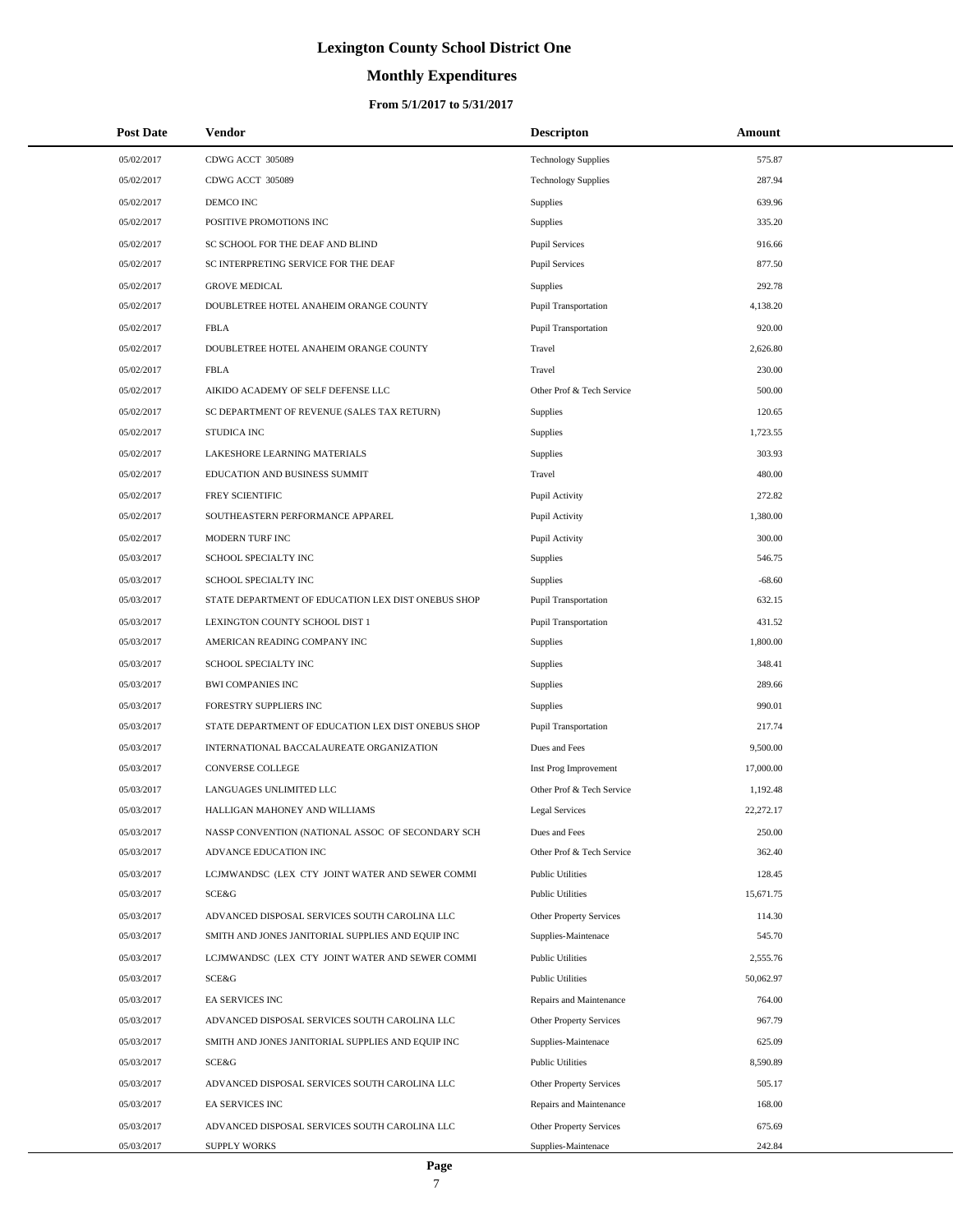# **Monthly Expenditures**

| <b>Post Date</b> | <b>Vendor</b>                                      | <b>Descripton</b>           | <b>Amount</b> |
|------------------|----------------------------------------------------|-----------------------------|---------------|
| 05/02/2017       | CDWG ACCT 305089                                   | <b>Technology Supplies</b>  | 575.87        |
| 05/02/2017       | CDWG ACCT 305089                                   | <b>Technology Supplies</b>  | 287.94        |
| 05/02/2017       | DEMCO INC                                          | <b>Supplies</b>             | 639.96        |
| 05/02/2017       | POSITIVE PROMOTIONS INC                            | <b>Supplies</b>             | 335.20        |
| 05/02/2017       | SC SCHOOL FOR THE DEAF AND BLIND                   | <b>Pupil Services</b>       | 916.66        |
| 05/02/2017       | SC INTERPRETING SERVICE FOR THE DEAF               | <b>Pupil Services</b>       | 877.50        |
| 05/02/2017       | <b>GROVE MEDICAL</b>                               | <b>Supplies</b>             | 292.78        |
| 05/02/2017       | DOUBLETREE HOTEL ANAHEIM ORANGE COUNTY             | <b>Pupil Transportation</b> | 4,138.20      |
| 05/02/2017       | <b>FBLA</b>                                        | <b>Pupil Transportation</b> | 920.00        |
| 05/02/2017       | DOUBLETREE HOTEL ANAHEIM ORANGE COUNTY             | Travel                      | 2,626.80      |
| 05/02/2017       | <b>FBLA</b>                                        | Travel                      | 230.00        |
| 05/02/2017       | AIKIDO ACADEMY OF SELF DEFENSE LLC                 | Other Prof & Tech Service   | 500.00        |
| 05/02/2017       | SC DEPARTMENT OF REVENUE (SALES TAX RETURN)        | Supplies                    | 120.65        |
| 05/02/2017       | <b>STUDICA INC</b>                                 | Supplies                    | 1,723.55      |
| 05/02/2017       | LAKESHORE LEARNING MATERIALS                       | Supplies                    | 303.93        |
| 05/02/2017       | EDUCATION AND BUSINESS SUMMIT                      | Travel                      | 480.00        |
| 05/02/2017       | FREY SCIENTIFIC                                    | Pupil Activity              | 272.82        |
| 05/02/2017       | SOUTHEASTERN PERFORMANCE APPAREL                   | Pupil Activity              | 1,380.00      |
| 05/02/2017       | MODERN TURF INC                                    | Pupil Activity              | 300.00        |
| 05/03/2017       | SCHOOL SPECIALTY INC                               | <b>Supplies</b>             | 546.75        |
| 05/03/2017       | SCHOOL SPECIALTY INC                               | <b>Supplies</b>             | $-68.60$      |
| 05/03/2017       | STATE DEPARTMENT OF EDUCATION LEX DIST ONEBUS SHOP | <b>Pupil Transportation</b> | 632.15        |
| 05/03/2017       | LEXINGTON COUNTY SCHOOL DIST 1                     | <b>Pupil Transportation</b> | 431.52        |
| 05/03/2017       | AMERICAN READING COMPANY INC                       | <b>Supplies</b>             | 1,800.00      |
| 05/03/2017       | SCHOOL SPECIALTY INC                               | <b>Supplies</b>             | 348.41        |
| 05/03/2017       | <b>BWI COMPANIES INC</b>                           | Supplies                    | 289.66        |
| 05/03/2017       | FORESTRY SUPPLIERS INC                             | Supplies                    | 990.01        |
| 05/03/2017       | STATE DEPARTMENT OF EDUCATION LEX DIST ONEBUS SHOP | <b>Pupil Transportation</b> | 217.74        |
| 05/03/2017       | INTERNATIONAL BACCALAUREATE ORGANIZATION           | Dues and Fees               | 9,500.00      |
| 05/03/2017       | <b>CONVERSE COLLEGE</b>                            | Inst Prog Improvement       | 17,000.00     |
| 05/03/2017       | LANGUAGES UNLIMITED LLC                            | Other Prof & Tech Service   | 1,192.48      |
| 05/03/2017       | HALLIGAN MAHONEY AND WILLIAMS                      | Legal Services              | 22,272.17     |
| 05/03/2017       | NASSP CONVENTION (NATIONAL ASSOC OF SECONDARY SCH  | Dues and Fees               | 250.00        |
| 05/03/2017       | ADVANCE EDUCATION INC                              | Other Prof & Tech Service   | 362.40        |
| 05/03/2017       | LCJMWANDSC (LEX CTY JOINT WATER AND SEWER COMMI    | <b>Public Utilities</b>     | 128.45        |
| 05/03/2017       | <b>SCE&amp;G</b>                                   | <b>Public Utilities</b>     | 15,671.75     |
| 05/03/2017       | ADVANCED DISPOSAL SERVICES SOUTH CAROLINA LLC      | Other Property Services     | 114.30        |
| 05/03/2017       | SMITH AND JONES JANITORIAL SUPPLIES AND EQUIP INC  | Supplies-Maintenace         | 545.70        |
| 05/03/2017       | LCJMWANDSC (LEX CTY JOINT WATER AND SEWER COMMI    | <b>Public Utilities</b>     | 2,555.76      |
| 05/03/2017       | SCE&G                                              | <b>Public Utilities</b>     | 50,062.97     |
| 05/03/2017       | EA SERVICES INC                                    | Repairs and Maintenance     | 764.00        |
| 05/03/2017       | ADVANCED DISPOSAL SERVICES SOUTH CAROLINA LLC      | Other Property Services     | 967.79        |
| 05/03/2017       | SMITH AND JONES JANITORIAL SUPPLIES AND EQUIP INC  | Supplies-Maintenace         | 625.09        |
| 05/03/2017       | SCE&G                                              | <b>Public Utilities</b>     | 8,590.89      |
| 05/03/2017       | ADVANCED DISPOSAL SERVICES SOUTH CAROLINA LLC      | Other Property Services     | 505.17        |
| 05/03/2017       | EA SERVICES INC                                    | Repairs and Maintenance     | 168.00        |
| 05/03/2017       | ADVANCED DISPOSAL SERVICES SOUTH CAROLINA LLC      | Other Property Services     | 675.69        |
| 05/03/2017       | <b>SUPPLY WORKS</b>                                | Supplies-Maintenace         | 242.84        |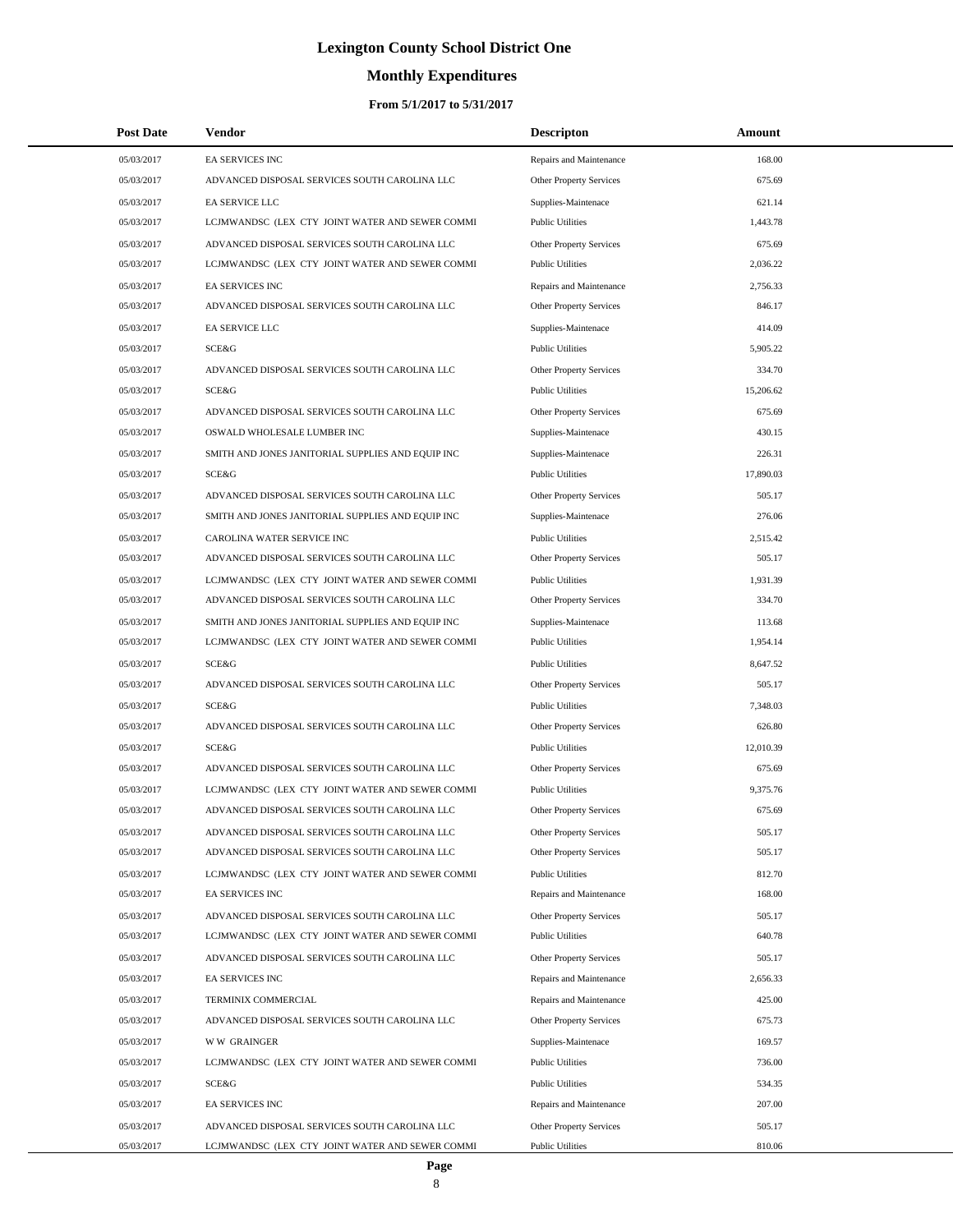# **Monthly Expenditures**

| <b>Post Date</b> | Vendor                                            | <b>Descripton</b>              | Amount    |  |
|------------------|---------------------------------------------------|--------------------------------|-----------|--|
| 05/03/2017       | <b>EA SERVICES INC</b>                            | Repairs and Maintenance        | 168.00    |  |
| 05/03/2017       | ADVANCED DISPOSAL SERVICES SOUTH CAROLINA LLC     | <b>Other Property Services</b> | 675.69    |  |
| 05/03/2017       | EA SERVICE LLC                                    | Supplies-Maintenace            | 621.14    |  |
| 05/03/2017       | LCJMWANDSC (LEX CTY JOINT WATER AND SEWER COMMI   | <b>Public Utilities</b>        | 1,443.78  |  |
| 05/03/2017       | ADVANCED DISPOSAL SERVICES SOUTH CAROLINA LLC     | <b>Other Property Services</b> | 675.69    |  |
| 05/03/2017       | LCJMWANDSC (LEX CTY JOINT WATER AND SEWER COMMI   | <b>Public Utilities</b>        | 2,036.22  |  |
| 05/03/2017       | EA SERVICES INC                                   | Repairs and Maintenance        | 2,756.33  |  |
| 05/03/2017       | ADVANCED DISPOSAL SERVICES SOUTH CAROLINA LLC     | Other Property Services        | 846.17    |  |
| 05/03/2017       | EA SERVICE LLC                                    | Supplies-Maintenace            | 414.09    |  |
| 05/03/2017       | SCE&G                                             | <b>Public Utilities</b>        | 5,905.22  |  |
| 05/03/2017       | ADVANCED DISPOSAL SERVICES SOUTH CAROLINA LLC     | Other Property Services        | 334.70    |  |
| 05/03/2017       | <b>SCE&amp;G</b>                                  | <b>Public Utilities</b>        | 15,206.62 |  |
| 05/03/2017       | ADVANCED DISPOSAL SERVICES SOUTH CAROLINA LLC     | <b>Other Property Services</b> | 675.69    |  |
| 05/03/2017       | OSWALD WHOLESALE LUMBER INC                       | Supplies-Maintenace            | 430.15    |  |
| 05/03/2017       | SMITH AND JONES JANITORIAL SUPPLIES AND EQUIP INC | Supplies-Maintenace            | 226.31    |  |
| 05/03/2017       | <b>SCE&amp;G</b>                                  | <b>Public Utilities</b>        | 17,890.03 |  |
| 05/03/2017       | ADVANCED DISPOSAL SERVICES SOUTH CAROLINA LLC     | <b>Other Property Services</b> | 505.17    |  |
| 05/03/2017       | SMITH AND JONES JANITORIAL SUPPLIES AND EQUIP INC | Supplies-Maintenace            | 276.06    |  |
| 05/03/2017       | CAROLINA WATER SERVICE INC                        | <b>Public Utilities</b>        | 2,515.42  |  |
| 05/03/2017       | ADVANCED DISPOSAL SERVICES SOUTH CAROLINA LLC     | <b>Other Property Services</b> | 505.17    |  |
| 05/03/2017       | LCJMWANDSC (LEX CTY JOINT WATER AND SEWER COMMI   | <b>Public Utilities</b>        | 1,931.39  |  |
| 05/03/2017       | ADVANCED DISPOSAL SERVICES SOUTH CAROLINA LLC     | Other Property Services        | 334.70    |  |
| 05/03/2017       | SMITH AND JONES JANITORIAL SUPPLIES AND EQUIP INC | Supplies-Maintenace            | 113.68    |  |
| 05/03/2017       | LCJMWANDSC (LEX CTY JOINT WATER AND SEWER COMMI   | <b>Public Utilities</b>        | 1,954.14  |  |
| 05/03/2017       | SCE&G                                             | <b>Public Utilities</b>        | 8,647.52  |  |
| 05/03/2017       | ADVANCED DISPOSAL SERVICES SOUTH CAROLINA LLC     | Other Property Services        | 505.17    |  |
| 05/03/2017       | SCE&G                                             | <b>Public Utilities</b>        | 7,348.03  |  |
| 05/03/2017       | ADVANCED DISPOSAL SERVICES SOUTH CAROLINA LLC     | <b>Other Property Services</b> | 626.80    |  |
| 05/03/2017       | <b>SCE&amp;G</b>                                  | <b>Public Utilities</b>        | 12,010.39 |  |
| 05/03/2017       | ADVANCED DISPOSAL SERVICES SOUTH CAROLINA LLC     | Other Property Services        | 675.69    |  |
| 05/03/2017       | LCJMWANDSC (LEX CTY JOINT WATER AND SEWER COMMI   | <b>Public Utilities</b>        | 9,375.76  |  |
| 05/03/2017       | ADVANCED DISPOSAL SERVICES SOUTH CAROLINA LLC     | <b>Other Property Services</b> | 675.69    |  |
| 05/03/2017       | ADVANCED DISPOSAL SERVICES SOUTH CAROLINA LLC     | <b>Other Property Services</b> | 505.17    |  |
| 05/03/2017       | ADVANCED DISPOSAL SERVICES SOUTH CAROLINA LLC     | Other Property Services        | 505.17    |  |
| 05/03/2017       | LCJMWANDSC (LEX CTY JOINT WATER AND SEWER COMMI   | <b>Public Utilities</b>        | 812.70    |  |
| 05/03/2017       | EA SERVICES INC                                   | Repairs and Maintenance        | 168.00    |  |
| 05/03/2017       | ADVANCED DISPOSAL SERVICES SOUTH CAROLINA LLC     | Other Property Services        | 505.17    |  |
| 05/03/2017       | LCJMWANDSC (LEX CTY JOINT WATER AND SEWER COMMI   | <b>Public Utilities</b>        | 640.78    |  |
| 05/03/2017       | ADVANCED DISPOSAL SERVICES SOUTH CAROLINA LLC     | Other Property Services        | 505.17    |  |
| 05/03/2017       | EA SERVICES INC                                   | Repairs and Maintenance        | 2,656.33  |  |
| 05/03/2017       | TERMINIX COMMERCIAL                               | Repairs and Maintenance        | 425.00    |  |
| 05/03/2017       | ADVANCED DISPOSAL SERVICES SOUTH CAROLINA LLC     | Other Property Services        | 675.73    |  |
| 05/03/2017       | <b>WW GRAINGER</b>                                | Supplies-Maintenace            | 169.57    |  |
| 05/03/2017       | LCJMWANDSC (LEX CTY JOINT WATER AND SEWER COMMI   | <b>Public Utilities</b>        | 736.00    |  |
| 05/03/2017       | SCE&G                                             | <b>Public Utilities</b>        | 534.35    |  |
| 05/03/2017       | EA SERVICES INC                                   | Repairs and Maintenance        | 207.00    |  |
| 05/03/2017       | ADVANCED DISPOSAL SERVICES SOUTH CAROLINA LLC     | Other Property Services        | 505.17    |  |
| 05/03/2017       | LCJMWANDSC (LEX CTY JOINT WATER AND SEWER COMMI   | <b>Public Utilities</b>        | 810.06    |  |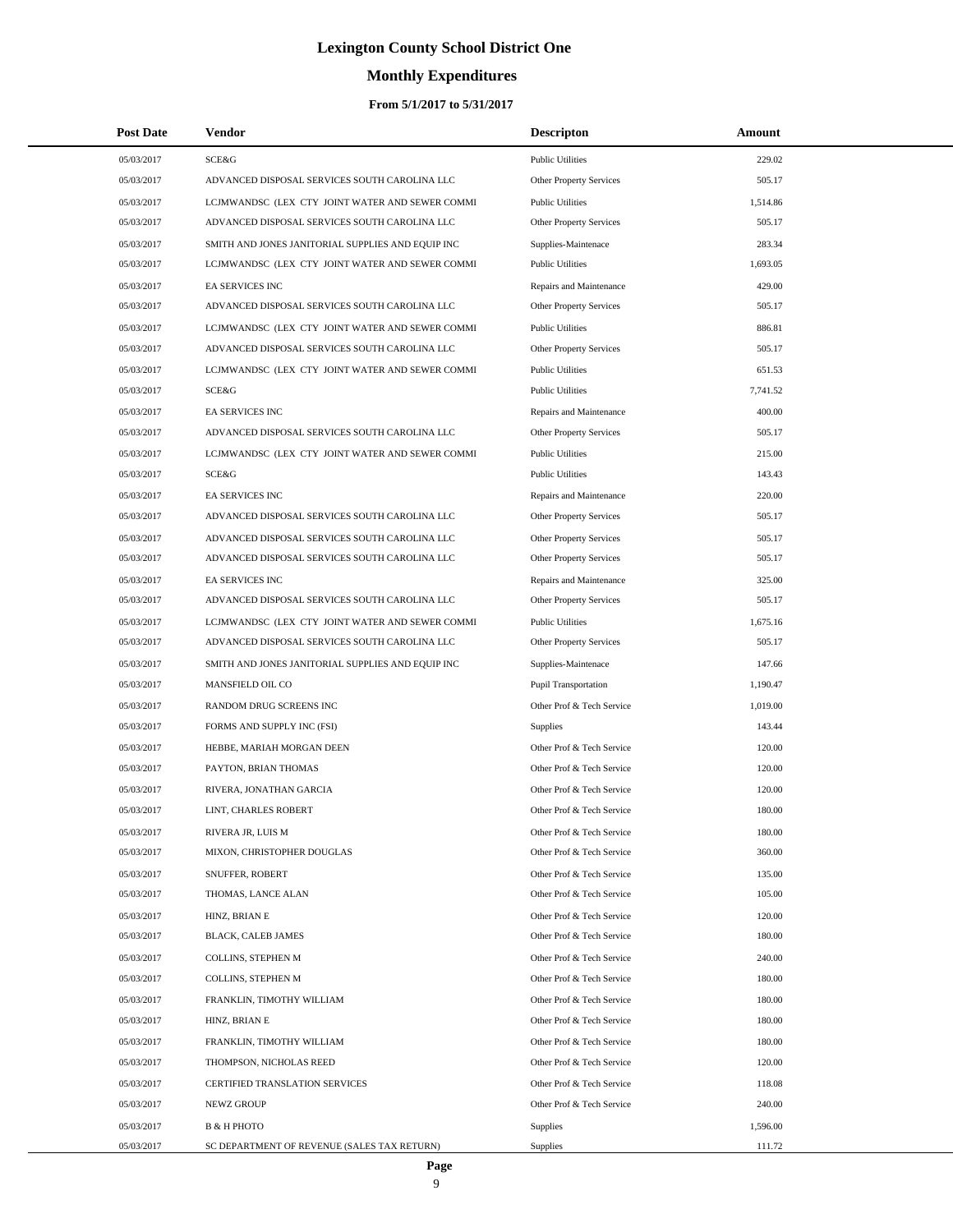### **Monthly Expenditures**

### **From 5/1/2017 to 5/31/2017**

| <b>Post Date</b> | <b>Vendor</b>                                     | <b>Descripton</b>              | Amount   |
|------------------|---------------------------------------------------|--------------------------------|----------|
| 05/03/2017       | SCE&G                                             | <b>Public Utilities</b>        | 229.02   |
| 05/03/2017       | ADVANCED DISPOSAL SERVICES SOUTH CAROLINA LLC     | <b>Other Property Services</b> | 505.17   |
| 05/03/2017       | LCJMWANDSC (LEX CTY JOINT WATER AND SEWER COMMI   | <b>Public Utilities</b>        | 1,514.86 |
| 05/03/2017       | ADVANCED DISPOSAL SERVICES SOUTH CAROLINA LLC     | Other Property Services        | 505.17   |
| 05/03/2017       | SMITH AND JONES JANITORIAL SUPPLIES AND EQUIP INC | Supplies-Maintenace            | 283.34   |
| 05/03/2017       | LCJMWANDSC (LEX CTY JOINT WATER AND SEWER COMMI   | <b>Public Utilities</b>        | 1,693.05 |
| 05/03/2017       | <b>EA SERVICES INC</b>                            | Repairs and Maintenance        | 429.00   |
| 05/03/2017       | ADVANCED DISPOSAL SERVICES SOUTH CAROLINA LLC     | Other Property Services        | 505.17   |
| 05/03/2017       | LCJMWANDSC (LEX CTY JOINT WATER AND SEWER COMMI   | <b>Public Utilities</b>        | 886.81   |
| 05/03/2017       | ADVANCED DISPOSAL SERVICES SOUTH CAROLINA LLC     | Other Property Services        | 505.17   |
| 05/03/2017       | LCJMWANDSC (LEX CTY JOINT WATER AND SEWER COMMI   | <b>Public Utilities</b>        | 651.53   |
| 05/03/2017       | <b>SCE&amp;G</b>                                  | <b>Public Utilities</b>        | 7,741.52 |
| 05/03/2017       | <b>EA SERVICES INC</b>                            | Repairs and Maintenance        | 400.00   |
| 05/03/2017       | ADVANCED DISPOSAL SERVICES SOUTH CAROLINA LLC     | Other Property Services        | 505.17   |
| 05/03/2017       | LCJMWANDSC (LEX CTY JOINT WATER AND SEWER COMMI   | <b>Public Utilities</b>        | 215.00   |
| 05/03/2017       | SCE&G                                             | <b>Public Utilities</b>        | 143.43   |
| 05/03/2017       | <b>EA SERVICES INC</b>                            | Repairs and Maintenance        | 220.00   |
| 05/03/2017       | ADVANCED DISPOSAL SERVICES SOUTH CAROLINA LLC     | <b>Other Property Services</b> | 505.17   |
| 05/03/2017       | ADVANCED DISPOSAL SERVICES SOUTH CAROLINA LLC     | Other Property Services        | 505.17   |
| 05/03/2017       | ADVANCED DISPOSAL SERVICES SOUTH CAROLINA LLC     | Other Property Services        | 505.17   |
| 05/03/2017       | <b>EA SERVICES INC</b>                            | Repairs and Maintenance        | 325.00   |
| 05/03/2017       | ADVANCED DISPOSAL SERVICES SOUTH CAROLINA LLC     | Other Property Services        | 505.17   |
| 05/03/2017       | LCJMWANDSC (LEX CTY JOINT WATER AND SEWER COMMI   | <b>Public Utilities</b>        | 1,675.16 |
| 05/03/2017       | ADVANCED DISPOSAL SERVICES SOUTH CAROLINA LLC     | Other Property Services        | 505.17   |
| 05/03/2017       | SMITH AND JONES JANITORIAL SUPPLIES AND EQUIP INC | Supplies-Maintenace            | 147.66   |
| 05/03/2017       | MANSFIELD OIL CO                                  | <b>Pupil Transportation</b>    | 1,190.47 |
| 05/03/2017       | RANDOM DRUG SCREENS INC                           | Other Prof & Tech Service      | 1,019.00 |
| 05/03/2017       | FORMS AND SUPPLY INC (FSI)                        | <b>Supplies</b>                | 143.44   |
| 05/03/2017       | HEBBE, MARIAH MORGAN DEEN                         | Other Prof & Tech Service      | 120.00   |
| 05/03/2017       | PAYTON, BRIAN THOMAS                              | Other Prof & Tech Service      | 120.00   |
| 05/03/2017       | RIVERA, JONATHAN GARCIA                           | Other Prof & Tech Service      | 120.00   |
| 05/03/2017       | LINT, CHARLES ROBERT                              | Other Prof & Tech Service      | 180.00   |
| 05/03/2017       | RIVERA JR, LUIS M                                 | Other Prof & Tech Service      | 180.00   |
| 05/03/2017       | MIXON, CHRISTOPHER DOUGLAS                        | Other Prof & Tech Service      | 360.00   |
| 05/03/2017       | <b>SNUFFER, ROBERT</b>                            | Other Prof & Tech Service      | 135.00   |
| 05/03/2017       | THOMAS, LANCE ALAN                                | Other Prof & Tech Service      | 105.00   |
| 05/03/2017       | HINZ, BRIAN E                                     | Other Prof & Tech Service      | 120.00   |
| 05/03/2017       | <b>BLACK, CALEB JAMES</b>                         | Other Prof & Tech Service      | 180.00   |
| 05/03/2017       | COLLINS, STEPHEN M                                | Other Prof & Tech Service      | 240.00   |
| 05/03/2017       | COLLINS, STEPHEN M                                | Other Prof & Tech Service      | 180.00   |
| 05/03/2017       | FRANKLIN, TIMOTHY WILLIAM                         | Other Prof & Tech Service      | 180.00   |
| 05/03/2017       | HINZ, BRIAN E                                     | Other Prof & Tech Service      | 180.00   |
| 05/03/2017       | FRANKLIN, TIMOTHY WILLIAM                         | Other Prof & Tech Service      | 180.00   |
| 05/03/2017       | THOMPSON, NICHOLAS REED                           | Other Prof & Tech Service      | 120.00   |
| 05/03/2017       | CERTIFIED TRANSLATION SERVICES                    | Other Prof & Tech Service      | 118.08   |
| 05/03/2017       | NEWZ GROUP                                        | Other Prof & Tech Service      | 240.00   |
| 05/03/2017       | <b>B &amp; H PHOTO</b>                            | <b>Supplies</b>                | 1,596.00 |
| 05/03/2017       | SC DEPARTMENT OF REVENUE (SALES TAX RETURN)       | Supplies                       | 111.72   |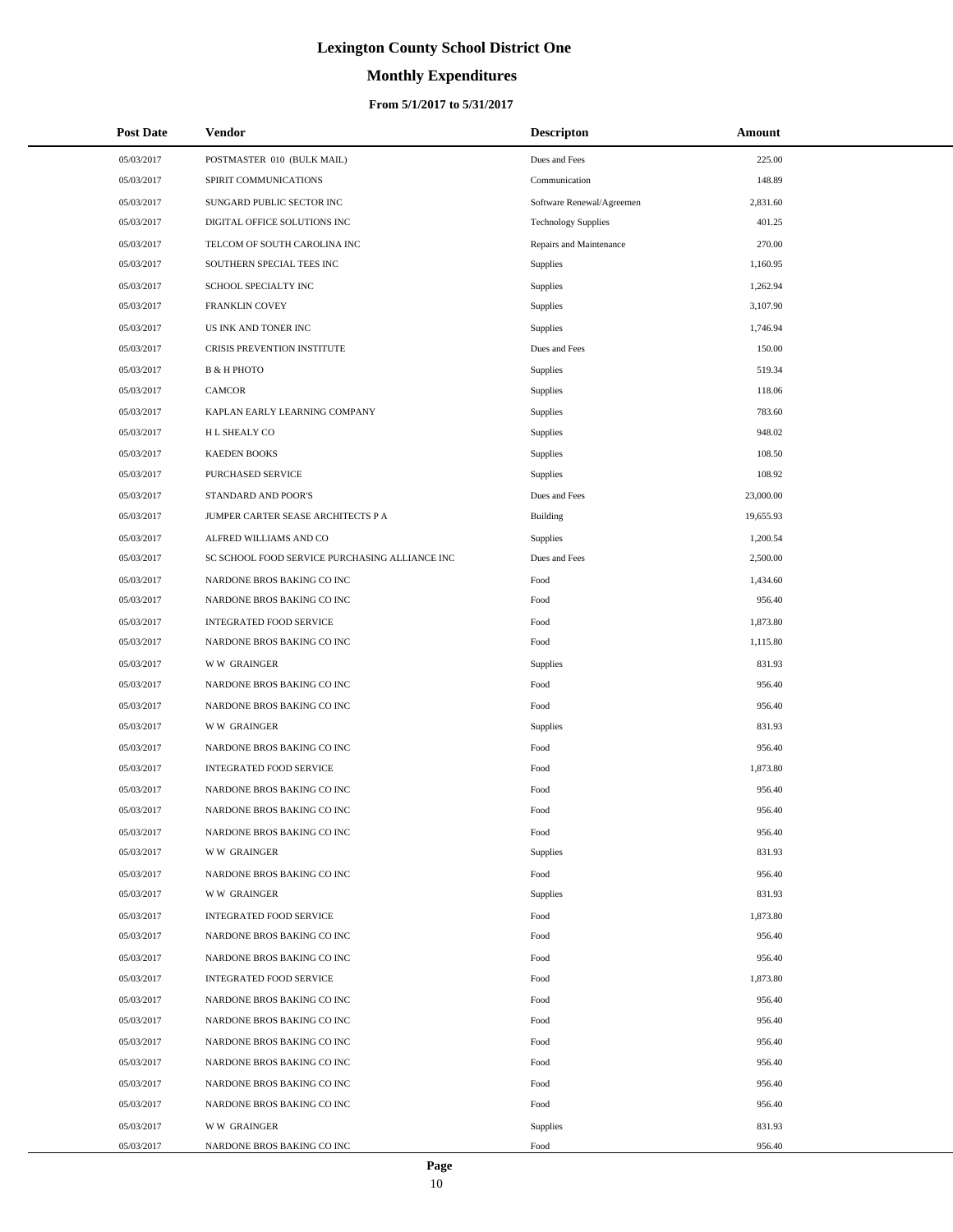# **Monthly Expenditures**

### **From 5/1/2017 to 5/31/2017**

| <b>Post Date</b> | <b>Vendor</b>                                  | <b>Descripton</b>          | Amount    |
|------------------|------------------------------------------------|----------------------------|-----------|
| 05/03/2017       | POSTMASTER 010 (BULK MAIL)                     | Dues and Fees              | 225.00    |
| 05/03/2017       | SPIRIT COMMUNICATIONS                          | Communication              | 148.89    |
| 05/03/2017       | SUNGARD PUBLIC SECTOR INC                      | Software Renewal/Agreemen  | 2,831.60  |
| 05/03/2017       | DIGITAL OFFICE SOLUTIONS INC                   | <b>Technology Supplies</b> | 401.25    |
| 05/03/2017       | TELCOM OF SOUTH CAROLINA INC                   | Repairs and Maintenance    | 270.00    |
| 05/03/2017       | SOUTHERN SPECIAL TEES INC                      | Supplies                   | 1,160.95  |
| 05/03/2017       | SCHOOL SPECIALTY INC                           | <b>Supplies</b>            | 1,262.94  |
| 05/03/2017       | FRANKLIN COVEY                                 | Supplies                   | 3,107.90  |
| 05/03/2017       | US INK AND TONER INC                           | <b>Supplies</b>            | 1,746.94  |
| 05/03/2017       | CRISIS PREVENTION INSTITUTE                    | Dues and Fees              | 150.00    |
| 05/03/2017       | <b>B &amp; H PHOTO</b>                         | Supplies                   | 519.34    |
| 05/03/2017       | <b>CAMCOR</b>                                  | Supplies                   | 118.06    |
| 05/03/2017       | KAPLAN EARLY LEARNING COMPANY                  | Supplies                   | 783.60    |
| 05/03/2017       | H L SHEALY CO                                  | Supplies                   | 948.02    |
| 05/03/2017       | <b>KAEDEN BOOKS</b>                            | Supplies                   | 108.50    |
| 05/03/2017       | PURCHASED SERVICE                              | Supplies                   | 108.92    |
| 05/03/2017       | STANDARD AND POOR'S                            | Dues and Fees              | 23,000.00 |
| 05/03/2017       | JUMPER CARTER SEASE ARCHITECTS P A             | <b>Building</b>            | 19,655.93 |
| 05/03/2017       | ALFRED WILLIAMS AND CO                         | Supplies                   | 1,200.54  |
| 05/03/2017       | SC SCHOOL FOOD SERVICE PURCHASING ALLIANCE INC | Dues and Fees              | 2,500.00  |
| 05/03/2017       | NARDONE BROS BAKING CO INC                     | Food                       | 1,434.60  |
| 05/03/2017       | NARDONE BROS BAKING CO INC                     | Food                       | 956.40    |
| 05/03/2017       | <b>INTEGRATED FOOD SERVICE</b>                 | Food                       | 1,873.80  |
| 05/03/2017       | NARDONE BROS BAKING CO INC                     | Food                       | 1,115.80  |
| 05/03/2017       | <b>WW GRAINGER</b>                             | Supplies                   | 831.93    |
| 05/03/2017       | NARDONE BROS BAKING CO INC                     | Food                       | 956.40    |
| 05/03/2017       | NARDONE BROS BAKING CO INC                     | Food                       | 956.40    |
| 05/03/2017       | <b>WW GRAINGER</b>                             | Supplies                   | 831.93    |
| 05/03/2017       | NARDONE BROS BAKING CO INC                     | Food                       | 956.40    |
| 05/03/2017       | <b>INTEGRATED FOOD SERVICE</b>                 | Food                       | 1,873.80  |
| 05/03/2017       | NARDONE BROS BAKING CO INC                     | Food                       | 956.40    |
| 05/03/2017       | NARDONE BROS BAKING CO INC                     | Food                       | 956.40    |
| 05/03/2017       | NARDONE BROS BAKING CO INC                     | Food                       | 956.40    |
| 05/03/2017       | <b>WW GRAINGER</b>                             | Supplies                   | 831.93    |
| 05/03/2017       | NARDONE BROS BAKING CO INC                     | Food                       | 956.40    |
| 05/03/2017       | <b>WW GRAINGER</b>                             | Supplies                   | 831.93    |
| 05/03/2017       | <b>INTEGRATED FOOD SERVICE</b>                 | Food                       | 1,873.80  |
| 05/03/2017       | NARDONE BROS BAKING CO INC                     | Food                       | 956.40    |
| 05/03/2017       | NARDONE BROS BAKING CO INC                     | Food                       | 956.40    |
| 05/03/2017       | <b>INTEGRATED FOOD SERVICE</b>                 | Food                       | 1,873.80  |
| 05/03/2017       | NARDONE BROS BAKING CO INC                     | Food                       | 956.40    |
| 05/03/2017       | NARDONE BROS BAKING CO INC                     | Food                       | 956.40    |
| 05/03/2017       | NARDONE BROS BAKING CO INC                     | Food                       | 956.40    |
| 05/03/2017       | NARDONE BROS BAKING CO INC                     | Food                       | 956.40    |
| 05/03/2017       | NARDONE BROS BAKING CO INC                     | Food                       | 956.40    |
| 05/03/2017       | NARDONE BROS BAKING CO INC                     | Food                       | 956.40    |
| 05/03/2017       | <b>WW GRAINGER</b>                             | Supplies                   | 831.93    |
| 05/03/2017       | NARDONE BROS BAKING CO INC                     | Food                       | 956.40    |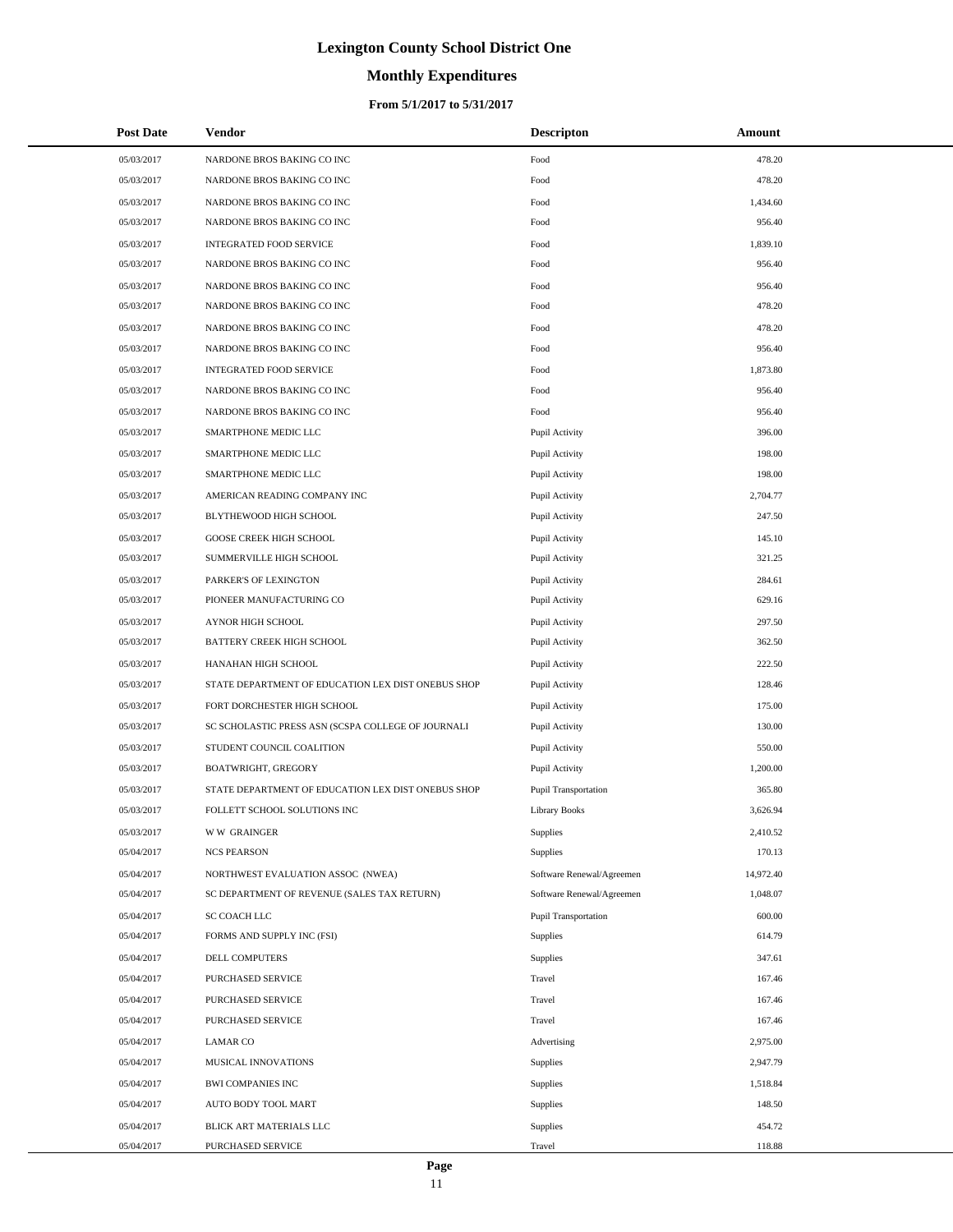# **Monthly Expenditures**

### **From 5/1/2017 to 5/31/2017**

| <b>Post Date</b> | Vendor                                             | <b>Descripton</b>         | Amount    |
|------------------|----------------------------------------------------|---------------------------|-----------|
| 05/03/2017       | NARDONE BROS BAKING CO INC                         | Food                      | 478.20    |
| 05/03/2017       | NARDONE BROS BAKING CO INC                         | Food                      | 478.20    |
| 05/03/2017       | NARDONE BROS BAKING CO INC                         | Food                      | 1,434.60  |
| 05/03/2017       | NARDONE BROS BAKING CO INC                         | Food                      | 956.40    |
| 05/03/2017       | INTEGRATED FOOD SERVICE                            | Food                      | 1,839.10  |
| 05/03/2017       | NARDONE BROS BAKING CO INC                         | Food                      | 956.40    |
| 05/03/2017       | NARDONE BROS BAKING CO INC                         | Food                      | 956.40    |
| 05/03/2017       | NARDONE BROS BAKING CO INC                         | Food                      | 478.20    |
| 05/03/2017       | NARDONE BROS BAKING CO INC                         | Food                      | 478.20    |
| 05/03/2017       | NARDONE BROS BAKING CO INC                         | Food                      | 956.40    |
| 05/03/2017       | INTEGRATED FOOD SERVICE                            | Food                      | 1,873.80  |
| 05/03/2017       | NARDONE BROS BAKING CO INC                         | Food                      | 956.40    |
| 05/03/2017       | NARDONE BROS BAKING CO INC                         | Food                      | 956.40    |
| 05/03/2017       | SMARTPHONE MEDIC LLC                               | Pupil Activity            | 396.00    |
| 05/03/2017       | SMARTPHONE MEDIC LLC                               | Pupil Activity            | 198.00    |
| 05/03/2017       | SMARTPHONE MEDIC LLC                               | Pupil Activity            | 198.00    |
| 05/03/2017       | AMERICAN READING COMPANY INC                       | Pupil Activity            | 2,704.77  |
| 05/03/2017       | BLYTHEWOOD HIGH SCHOOL                             | Pupil Activity            | 247.50    |
| 05/03/2017       | <b>GOOSE CREEK HIGH SCHOOL</b>                     | Pupil Activity            | 145.10    |
| 05/03/2017       | SUMMERVILLE HIGH SCHOOL                            | Pupil Activity            | 321.25    |
| 05/03/2017       | PARKER'S OF LEXINGTON                              | Pupil Activity            | 284.61    |
| 05/03/2017       | PIONEER MANUFACTURING CO                           | Pupil Activity            | 629.16    |
| 05/03/2017       | AYNOR HIGH SCHOOL                                  | Pupil Activity            | 297.50    |
| 05/03/2017       | BATTERY CREEK HIGH SCHOOL                          | Pupil Activity            | 362.50    |
| 05/03/2017       | HANAHAN HIGH SCHOOL                                | Pupil Activity            | 222.50    |
| 05/03/2017       | STATE DEPARTMENT OF EDUCATION LEX DIST ONEBUS SHOP | Pupil Activity            | 128.46    |
| 05/03/2017       | FORT DORCHESTER HIGH SCHOOL                        | Pupil Activity            | 175.00    |
| 05/03/2017       | SC SCHOLASTIC PRESS ASN (SCSPA COLLEGE OF JOURNALI | Pupil Activity            | 130.00    |
| 05/03/2017       | STUDENT COUNCIL COALITION                          | Pupil Activity            | 550.00    |
| 05/03/2017       | BOATWRIGHT, GREGORY                                | Pupil Activity            | 1,200.00  |
| 05/03/2017       | STATE DEPARTMENT OF EDUCATION LEX DIST ONEBUS SHOP | Pupil Transportation      | 365.80    |
| 05/03/2017       | FOLLETT SCHOOL SOLUTIONS INC                       | <b>Library Books</b>      | 3,626.94  |
| 05/03/2017       | <b>WW GRAINGER</b>                                 | Supplies                  | 2,410.52  |
| 05/04/2017       | <b>NCS PEARSON</b>                                 | Supplies                  | 170.13    |
| 05/04/2017       | NORTHWEST EVALUATION ASSOC (NWEA)                  | Software Renewal/Agreemen | 14,972.40 |
| 05/04/2017       | SC DEPARTMENT OF REVENUE (SALES TAX RETURN)        | Software Renewal/Agreemen | 1,048.07  |
| 05/04/2017       | SC COACH LLC                                       | Pupil Transportation      | 600.00    |
| 05/04/2017       | FORMS AND SUPPLY INC (FSI)                         | Supplies                  | 614.79    |
| 05/04/2017       | <b>DELL COMPUTERS</b>                              | Supplies                  | 347.61    |
| 05/04/2017       | PURCHASED SERVICE                                  | Travel                    | 167.46    |
| 05/04/2017       | PURCHASED SERVICE                                  | Travel                    | 167.46    |
| 05/04/2017       | PURCHASED SERVICE                                  | Travel                    | 167.46    |
| 05/04/2017       | <b>LAMAR CO</b>                                    | Advertising               | 2,975.00  |
| 05/04/2017       | MUSICAL INNOVATIONS                                | Supplies                  | 2,947.79  |
| 05/04/2017       | <b>BWI COMPANIES INC</b>                           | Supplies                  | 1,518.84  |
| 05/04/2017       | AUTO BODY TOOL MART                                | Supplies                  | 148.50    |
| 05/04/2017       | BLICK ART MATERIALS LLC                            | Supplies                  | 454.72    |
| 05/04/2017       | PURCHASED SERVICE                                  | Travel                    | 118.88    |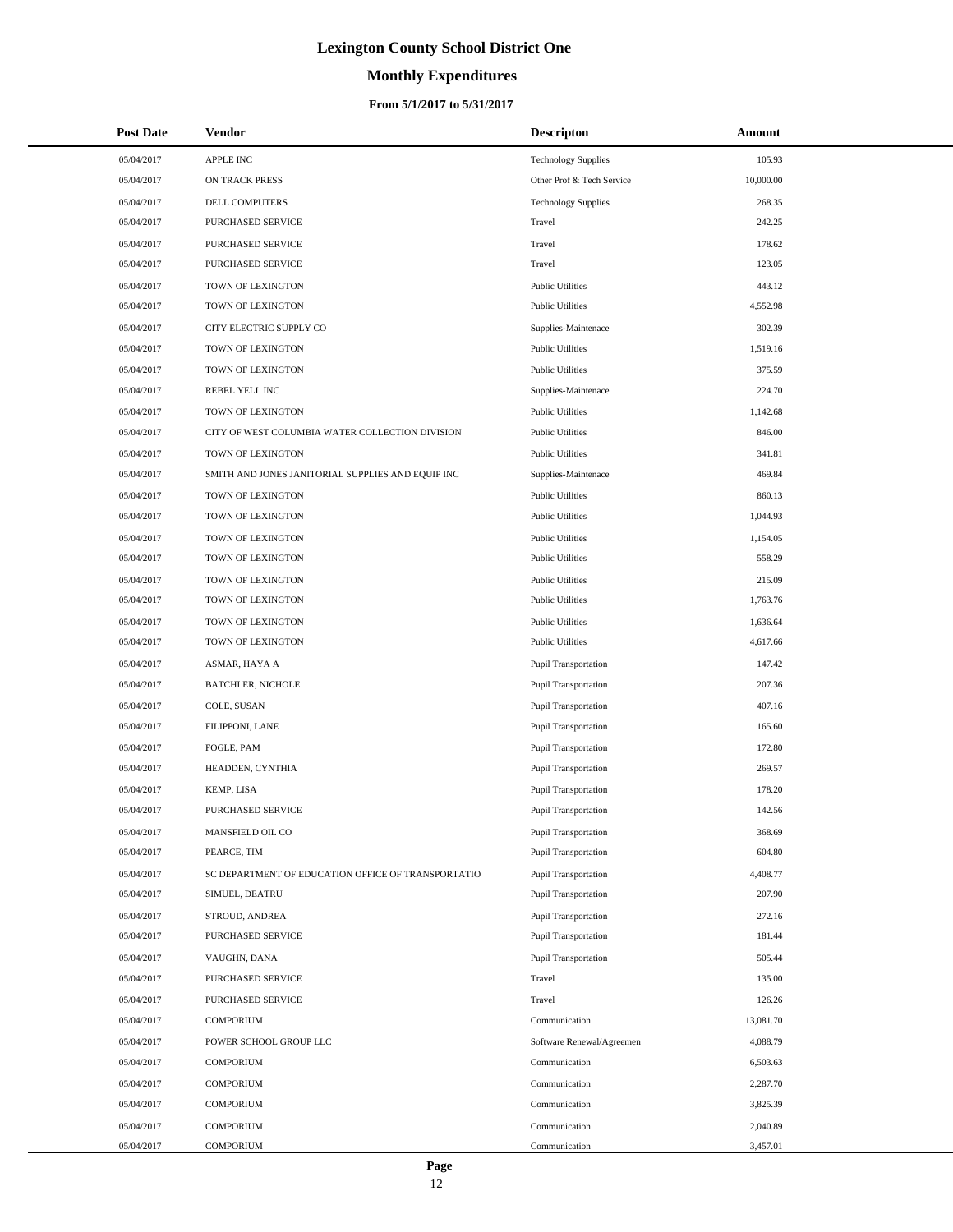# **Monthly Expenditures**

### **From 5/1/2017 to 5/31/2017**

| <b>Post Date</b> | <b>Vendor</b>                                      | <b>Descripton</b>           | Amount    |
|------------------|----------------------------------------------------|-----------------------------|-----------|
| 05/04/2017       | APPLE INC                                          | <b>Technology Supplies</b>  | 105.93    |
| 05/04/2017       | ON TRACK PRESS                                     | Other Prof & Tech Service   | 10,000.00 |
| 05/04/2017       | <b>DELL COMPUTERS</b>                              | <b>Technology Supplies</b>  | 268.35    |
| 05/04/2017       | PURCHASED SERVICE                                  | Travel                      | 242.25    |
| 05/04/2017       | PURCHASED SERVICE                                  | Travel                      | 178.62    |
| 05/04/2017       | PURCHASED SERVICE                                  | Travel                      | 123.05    |
| 05/04/2017       | TOWN OF LEXINGTON                                  | <b>Public Utilities</b>     | 443.12    |
| 05/04/2017       | TOWN OF LEXINGTON                                  | <b>Public Utilities</b>     | 4,552.98  |
| 05/04/2017       | CITY ELECTRIC SUPPLY CO                            | Supplies-Maintenace         | 302.39    |
| 05/04/2017       | TOWN OF LEXINGTON                                  | <b>Public Utilities</b>     | 1,519.16  |
| 05/04/2017       | TOWN OF LEXINGTON                                  | <b>Public Utilities</b>     | 375.59    |
| 05/04/2017       | REBEL YELL INC                                     | Supplies-Maintenace         | 224.70    |
| 05/04/2017       | TOWN OF LEXINGTON                                  | <b>Public Utilities</b>     | 1,142.68  |
| 05/04/2017       | CITY OF WEST COLUMBIA WATER COLLECTION DIVISION    | <b>Public Utilities</b>     | 846.00    |
| 05/04/2017       | TOWN OF LEXINGTON                                  | <b>Public Utilities</b>     | 341.81    |
| 05/04/2017       | SMITH AND JONES JANITORIAL SUPPLIES AND EQUIP INC  | Supplies-Maintenace         | 469.84    |
| 05/04/2017       | TOWN OF LEXINGTON                                  | <b>Public Utilities</b>     | 860.13    |
| 05/04/2017       | TOWN OF LEXINGTON                                  | <b>Public Utilities</b>     | 1,044.93  |
| 05/04/2017       | TOWN OF LEXINGTON                                  | <b>Public Utilities</b>     | 1,154.05  |
| 05/04/2017       | TOWN OF LEXINGTON                                  | <b>Public Utilities</b>     | 558.29    |
| 05/04/2017       | TOWN OF LEXINGTON                                  | <b>Public Utilities</b>     | 215.09    |
| 05/04/2017       | TOWN OF LEXINGTON                                  | <b>Public Utilities</b>     | 1,763.76  |
| 05/04/2017       | TOWN OF LEXINGTON                                  | <b>Public Utilities</b>     | 1,636.64  |
| 05/04/2017       | TOWN OF LEXINGTON                                  | <b>Public Utilities</b>     | 4,617.66  |
| 05/04/2017       | ASMAR, HAYA A                                      | Pupil Transportation        | 147.42    |
| 05/04/2017       | <b>BATCHLER, NICHOLE</b>                           | Pupil Transportation        | 207.36    |
| 05/04/2017       | COLE, SUSAN                                        | Pupil Transportation        | 407.16    |
| 05/04/2017       | FILIPPONI, LANE                                    | Pupil Transportation        | 165.60    |
| 05/04/2017       | FOGLE, PAM                                         | Pupil Transportation        | 172.80    |
| 05/04/2017       | HEADDEN, CYNTHIA                                   | Pupil Transportation        | 269.57    |
| 05/04/2017       | KEMP, LISA                                         | Pupil Transportation        | 178.20    |
| 05/04/2017       | PURCHASED SERVICE                                  | Pupil Transportation        | 142.56    |
| 05/04/2017       | MANSFIELD OIL CO                                   | <b>Pupil Transportation</b> | 368.69    |
| 05/04/2017       | PEARCE, TIM                                        | <b>Pupil Transportation</b> | 604.80    |
| 05/04/2017       | SC DEPARTMENT OF EDUCATION OFFICE OF TRANSPORTATIO | <b>Pupil Transportation</b> | 4,408.77  |
| 05/04/2017       | SIMUEL, DEATRU                                     | <b>Pupil Transportation</b> | 207.90    |
| 05/04/2017       | STROUD, ANDREA                                     | <b>Pupil Transportation</b> | 272.16    |
| 05/04/2017       | PURCHASED SERVICE                                  | Pupil Transportation        | 181.44    |
| 05/04/2017       | VAUGHN, DANA                                       | Pupil Transportation        | 505.44    |
| 05/04/2017       | PURCHASED SERVICE                                  | Travel                      | 135.00    |
| 05/04/2017       | PURCHASED SERVICE                                  | Travel                      | 126.26    |
| 05/04/2017       | <b>COMPORIUM</b>                                   | Communication               | 13,081.70 |
| 05/04/2017       | POWER SCHOOL GROUP LLC                             | Software Renewal/Agreemen   | 4,088.79  |
| 05/04/2017       | <b>COMPORIUM</b>                                   | Communication               | 6,503.63  |
| 05/04/2017       | <b>COMPORIUM</b>                                   | Communication               | 2,287.70  |
| 05/04/2017       | COMPORIUM                                          | Communication               | 3,825.39  |
| 05/04/2017       | <b>COMPORIUM</b>                                   | Communication               | 2,040.89  |
| 05/04/2017       | <b>COMPORIUM</b>                                   | Communication               | 3,457.01  |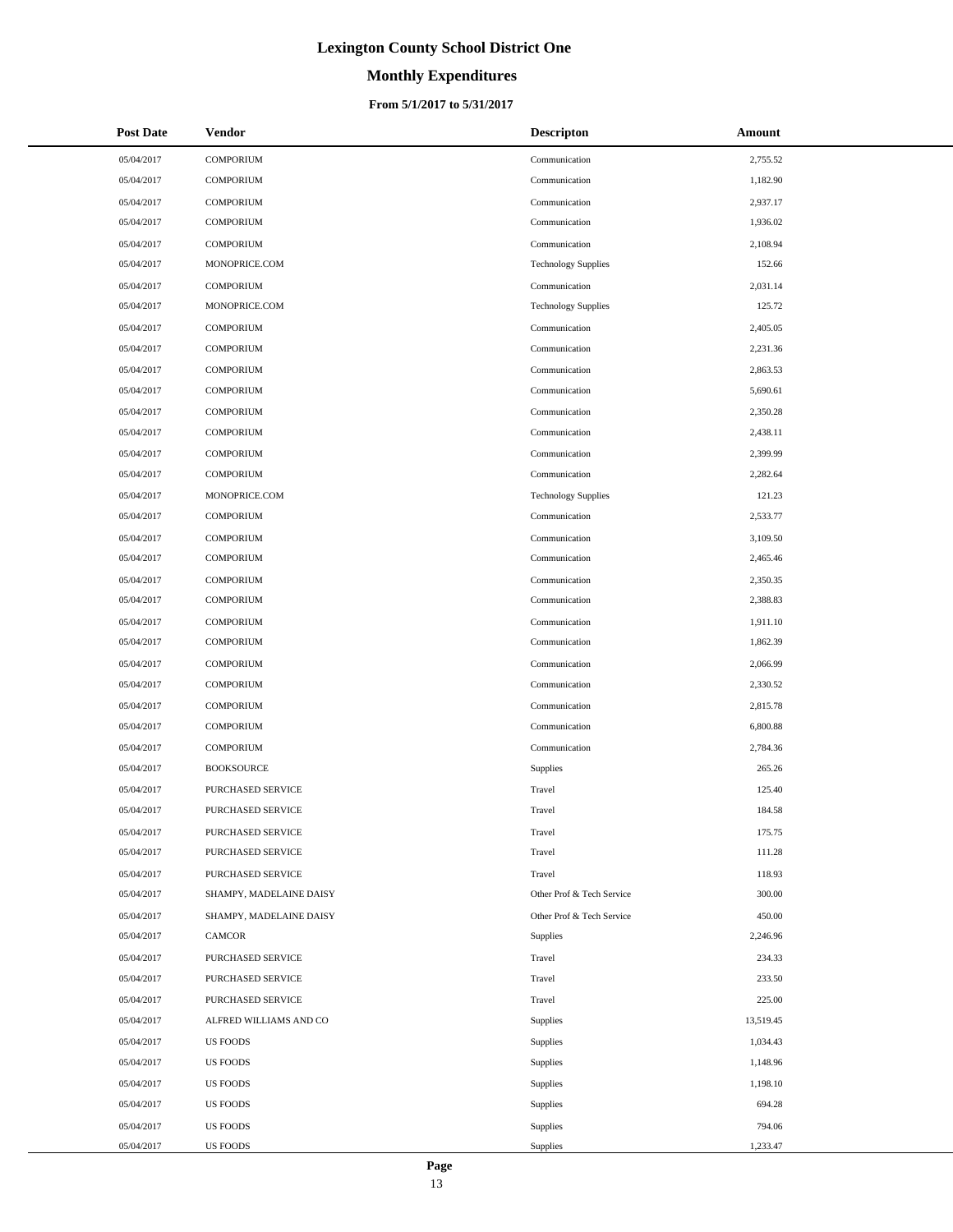# **Monthly Expenditures**

### **From 5/1/2017 to 5/31/2017**

| <b>Post Date</b> | <b>Vendor</b>           | <b>Descripton</b>          | Amount    |
|------------------|-------------------------|----------------------------|-----------|
| 05/04/2017       | <b>COMPORIUM</b>        | Communication              | 2,755.52  |
| 05/04/2017       | <b>COMPORIUM</b>        | Communication              | 1,182.90  |
| 05/04/2017       | <b>COMPORIUM</b>        | Communication              | 2,937.17  |
| 05/04/2017       | <b>COMPORIUM</b>        | Communication              | 1,936.02  |
| 05/04/2017       | <b>COMPORIUM</b>        | Communication              | 2,108.94  |
| 05/04/2017       | MONOPRICE.COM           | <b>Technology Supplies</b> | 152.66    |
| 05/04/2017       | <b>COMPORIUM</b>        | Communication              | 2,031.14  |
| 05/04/2017       | MONOPRICE.COM           | <b>Technology Supplies</b> | 125.72    |
| 05/04/2017       | <b>COMPORIUM</b>        | Communication              | 2,405.05  |
| 05/04/2017       | <b>COMPORIUM</b>        | Communication              | 2,231.36  |
| 05/04/2017       | <b>COMPORIUM</b>        | Communication              | 2,863.53  |
| 05/04/2017       | <b>COMPORIUM</b>        | Communication              | 5,690.61  |
| 05/04/2017       | <b>COMPORIUM</b>        | Communication              | 2,350.28  |
| 05/04/2017       | <b>COMPORIUM</b>        | Communication              | 2,438.11  |
| 05/04/2017       | <b>COMPORIUM</b>        | Communication              | 2,399.99  |
| 05/04/2017       | <b>COMPORIUM</b>        | Communication              | 2,282.64  |
| 05/04/2017       | MONOPRICE.COM           | <b>Technology Supplies</b> | 121.23    |
| 05/04/2017       | <b>COMPORIUM</b>        | Communication              | 2,533.77  |
| 05/04/2017       | <b>COMPORIUM</b>        | Communication              | 3,109.50  |
| 05/04/2017       | <b>COMPORIUM</b>        | Communication              | 2,465.46  |
| 05/04/2017       | <b>COMPORIUM</b>        | Communication              | 2,350.35  |
| 05/04/2017       | <b>COMPORIUM</b>        | Communication              | 2,388.83  |
| 05/04/2017       | <b>COMPORIUM</b>        | Communication              | 1,911.10  |
| 05/04/2017       | <b>COMPORIUM</b>        | Communication              | 1,862.39  |
| 05/04/2017       | <b>COMPORIUM</b>        | Communication              | 2,066.99  |
| 05/04/2017       | <b>COMPORIUM</b>        | Communication              | 2,330.52  |
| 05/04/2017       | <b>COMPORIUM</b>        | Communication              | 2,815.78  |
| 05/04/2017       | <b>COMPORIUM</b>        | Communication              | 6,800.88  |
| 05/04/2017       | <b>COMPORIUM</b>        | Communication              | 2,784.36  |
| 05/04/2017       | <b>BOOKSOURCE</b>       | <b>Supplies</b>            | 265.26    |
| 05/04/2017       | PURCHASED SERVICE       | Travel                     | 125.40    |
| 05/04/2017       | PURCHASED SERVICE       | Travel                     | 184.58    |
| 05/04/2017       | PURCHASED SERVICE       | Travel                     | 175.75    |
| 05/04/2017       | PURCHASED SERVICE       | Travel                     | 111.28    |
| 05/04/2017       | PURCHASED SERVICE       | Travel                     | 118.93    |
| 05/04/2017       | SHAMPY, MADELAINE DAISY | Other Prof & Tech Service  | 300.00    |
| 05/04/2017       | SHAMPY, MADELAINE DAISY | Other Prof & Tech Service  | 450.00    |
| 05/04/2017       | CAMCOR                  | <b>Supplies</b>            | 2,246.96  |
| 05/04/2017       | PURCHASED SERVICE       | Travel                     | 234.33    |
| 05/04/2017       | PURCHASED SERVICE       | Travel                     | 233.50    |
| 05/04/2017       | PURCHASED SERVICE       | Travel                     | 225.00    |
| 05/04/2017       | ALFRED WILLIAMS AND CO  | <b>Supplies</b>            | 13,519.45 |
| 05/04/2017       | <b>US FOODS</b>         | Supplies                   | 1,034.43  |
| 05/04/2017       | US FOODS                | <b>Supplies</b>            | 1,148.96  |
| 05/04/2017       | <b>US FOODS</b>         | <b>Supplies</b>            | 1,198.10  |
| 05/04/2017       | <b>US FOODS</b>         | <b>Supplies</b>            | 694.28    |
| 05/04/2017       | US FOODS                | Supplies                   | 794.06    |
| 05/04/2017       | US FOODS                | Supplies                   | 1,233.47  |

 $\overline{a}$ 

 $\overline{a}$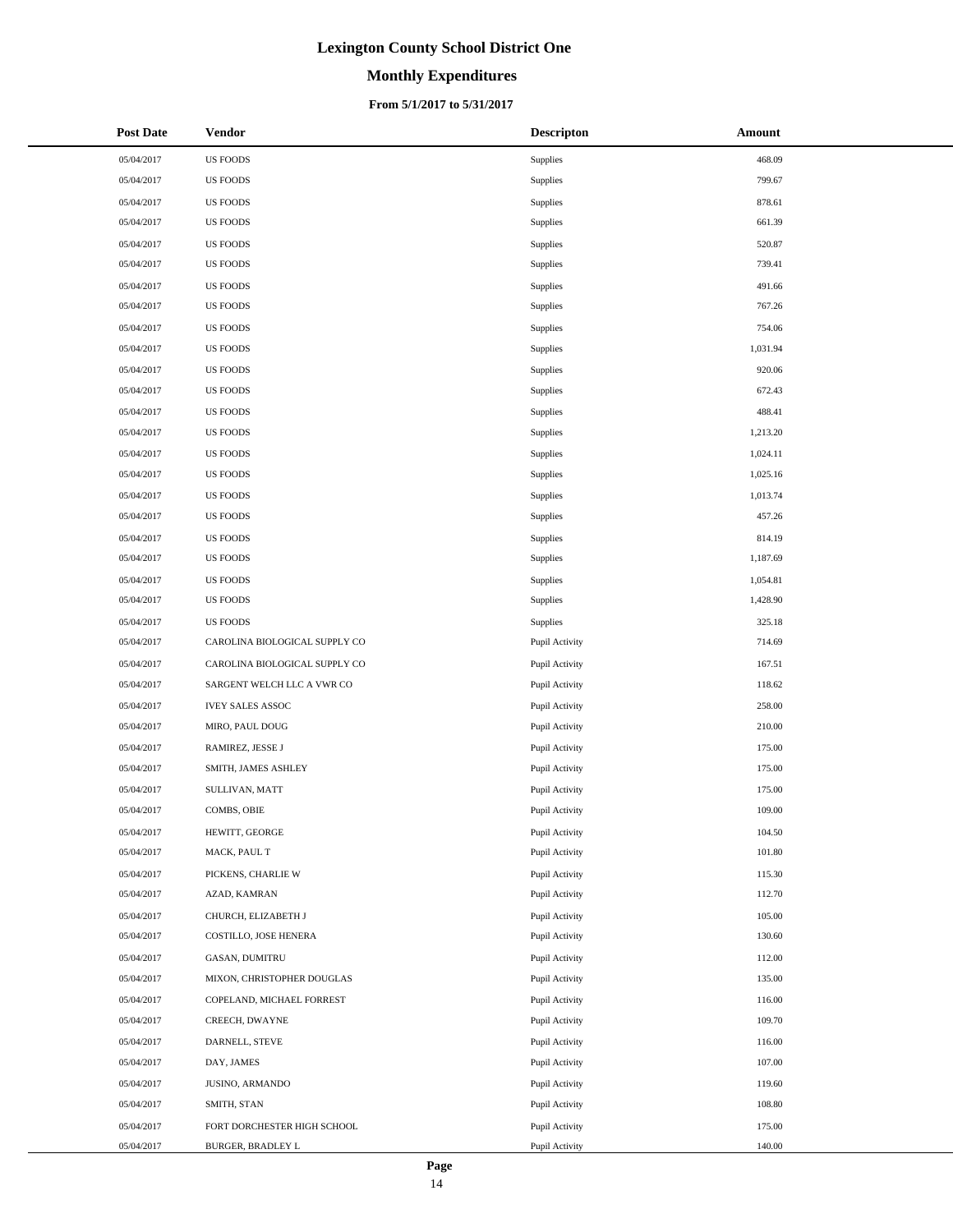# **Monthly Expenditures**

### **From 5/1/2017 to 5/31/2017**

| <b>Post Date</b> | Vendor                        | <b>Descripton</b> | Amount   |
|------------------|-------------------------------|-------------------|----------|
| 05/04/2017       | <b>US FOODS</b>               | Supplies          | 468.09   |
| 05/04/2017       | <b>US FOODS</b>               | Supplies          | 799.67   |
| 05/04/2017       | <b>US FOODS</b>               | Supplies          | 878.61   |
| 05/04/2017       | <b>US FOODS</b>               | Supplies          | 661.39   |
| 05/04/2017       | <b>US FOODS</b>               | Supplies          | 520.87   |
| 05/04/2017       | <b>US FOODS</b>               | Supplies          | 739.41   |
| 05/04/2017       | <b>US FOODS</b>               | Supplies          | 491.66   |
| 05/04/2017       | <b>US FOODS</b>               | Supplies          | 767.26   |
| 05/04/2017       | <b>US FOODS</b>               | Supplies          | 754.06   |
| 05/04/2017       | <b>US FOODS</b>               | Supplies          | 1,031.94 |
| 05/04/2017       | <b>US FOODS</b>               | Supplies          | 920.06   |
| 05/04/2017       | <b>US FOODS</b>               | Supplies          | 672.43   |
| 05/04/2017       | <b>US FOODS</b>               | Supplies          | 488.41   |
| 05/04/2017       | <b>US FOODS</b>               | Supplies          | 1,213.20 |
| 05/04/2017       | <b>US FOODS</b>               | Supplies          | 1,024.11 |
| 05/04/2017       | <b>US FOODS</b>               | Supplies          | 1,025.16 |
| 05/04/2017       | <b>US FOODS</b>               | Supplies          | 1,013.74 |
| 05/04/2017       | <b>US FOODS</b>               | Supplies          | 457.26   |
| 05/04/2017       | <b>US FOODS</b>               | Supplies          | 814.19   |
| 05/04/2017       | <b>US FOODS</b>               | Supplies          | 1,187.69 |
| 05/04/2017       | <b>US FOODS</b>               | Supplies          | 1,054.81 |
| 05/04/2017       | <b>US FOODS</b>               | Supplies          | 1,428.90 |
| 05/04/2017       | <b>US FOODS</b>               | Supplies          | 325.18   |
| 05/04/2017       | CAROLINA BIOLOGICAL SUPPLY CO | Pupil Activity    | 714.69   |
| 05/04/2017       | CAROLINA BIOLOGICAL SUPPLY CO | Pupil Activity    | 167.51   |
| 05/04/2017       | SARGENT WELCH LLC A VWR CO    | Pupil Activity    | 118.62   |
| 05/04/2017       | <b>IVEY SALES ASSOC</b>       | Pupil Activity    | 258.00   |
| 05/04/2017       | MIRO, PAUL DOUG               | Pupil Activity    | 210.00   |
| 05/04/2017       | RAMIREZ, JESSE J              | Pupil Activity    | 175.00   |
| 05/04/2017       | SMITH, JAMES ASHLEY           | Pupil Activity    | 175.00   |
| 05/04/2017       | SULLIVAN, MATT                | Pupil Activity    | 175.00   |
| 05/04/2017       | COMBS, OBIE                   | Pupil Activity    | 109.00   |
| 05/04/2017       | HEWITT, GEORGE                | Pupil Activity    | 104.50   |
| 05/04/2017       | MACK, PAUL T                  | Pupil Activity    | 101.80   |
| 05/04/2017       | PICKENS, CHARLIE W            | Pupil Activity    | 115.30   |
| 05/04/2017       | AZAD, KAMRAN                  | Pupil Activity    | 112.70   |
| 05/04/2017       | CHURCH, ELIZABETH J           | Pupil Activity    | 105.00   |
| 05/04/2017       | COSTILLO, JOSE HENERA         | Pupil Activity    | 130.60   |
| 05/04/2017       | GASAN, DUMITRU                | Pupil Activity    | 112.00   |
| 05/04/2017       | MIXON, CHRISTOPHER DOUGLAS    | Pupil Activity    | 135.00   |
| 05/04/2017       | COPELAND, MICHAEL FORREST     | Pupil Activity    | 116.00   |
| 05/04/2017       | CREECH, DWAYNE                | Pupil Activity    | 109.70   |
| 05/04/2017       | DARNELL, STEVE                | Pupil Activity    | 116.00   |
| 05/04/2017       | DAY, JAMES                    | Pupil Activity    | 107.00   |
| 05/04/2017       | JUSINO, ARMANDO               | Pupil Activity    | 119.60   |
| 05/04/2017       | SMITH, STAN                   | Pupil Activity    | 108.80   |
| 05/04/2017       | FORT DORCHESTER HIGH SCHOOL   | Pupil Activity    | 175.00   |
| 05/04/2017       | BURGER, BRADLEY L             | Pupil Activity    | 140.00   |

 $\overline{a}$  $\overline{\phantom{0}}$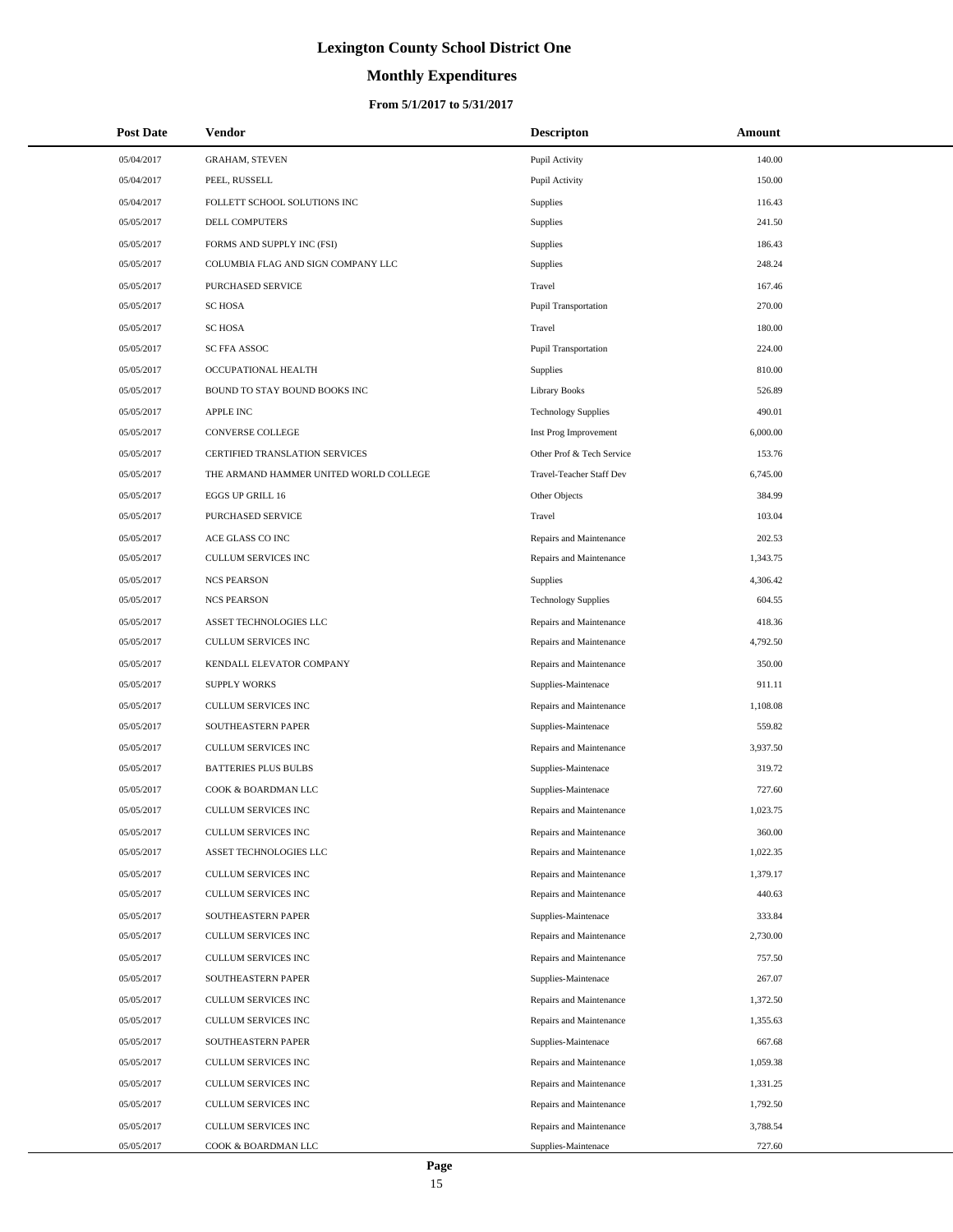# **Monthly Expenditures**

### **From 5/1/2017 to 5/31/2017**

| <b>Post Date</b>         | Vendor                                    | <b>Descripton</b>                              | <b>Amount</b>      |
|--------------------------|-------------------------------------------|------------------------------------------------|--------------------|
| 05/04/2017               | <b>GRAHAM, STEVEN</b>                     | Pupil Activity                                 | 140.00             |
| 05/04/2017               | PEEL, RUSSELL                             | Pupil Activity                                 | 150.00             |
| 05/04/2017               | FOLLETT SCHOOL SOLUTIONS INC              | Supplies                                       | 116.43             |
| 05/05/2017               | DELL COMPUTERS                            | Supplies                                       | 241.50             |
| 05/05/2017               | FORMS AND SUPPLY INC (FSI)                | Supplies                                       | 186.43             |
| 05/05/2017               | COLUMBIA FLAG AND SIGN COMPANY LLC        | Supplies                                       | 248.24             |
| 05/05/2017               | PURCHASED SERVICE                         | Travel                                         | 167.46             |
| 05/05/2017               | <b>SC HOSA</b>                            | Pupil Transportation                           | 270.00             |
| 05/05/2017               | <b>SC HOSA</b>                            | Travel                                         | 180.00             |
| 05/05/2017               | SC FFA ASSOC                              | Pupil Transportation                           | 224.00             |
| 05/05/2017               | OCCUPATIONAL HEALTH                       | Supplies                                       | 810.00             |
| 05/05/2017               | BOUND TO STAY BOUND BOOKS INC             | Library Books                                  | 526.89             |
| 05/05/2017               | <b>APPLE INC</b>                          | <b>Technology Supplies</b>                     | 490.01             |
| 05/05/2017               | <b>CONVERSE COLLEGE</b>                   | Inst Prog Improvement                          | 6,000.00           |
| 05/05/2017               | CERTIFIED TRANSLATION SERVICES            | Other Prof & Tech Service                      | 153.76             |
| 05/05/2017               | THE ARMAND HAMMER UNITED WORLD COLLEGE    | Travel-Teacher Staff Dev                       | 6,745.00           |
| 05/05/2017               | EGGS UP GRILL 16                          | Other Objects                                  | 384.99             |
| 05/05/2017               | PURCHASED SERVICE                         | Travel                                         | 103.04             |
| 05/05/2017               | ACE GLASS CO INC                          | Repairs and Maintenance                        | 202.53             |
| 05/05/2017               | <b>CULLUM SERVICES INC</b>                | Repairs and Maintenance                        | 1,343.75           |
| 05/05/2017               | <b>NCS PEARSON</b>                        | Supplies                                       | 4,306.42           |
| 05/05/2017               | <b>NCS PEARSON</b>                        | <b>Technology Supplies</b>                     | 604.55             |
| 05/05/2017               | ASSET TECHNOLOGIES LLC                    | Repairs and Maintenance                        | 418.36             |
| 05/05/2017               | <b>CULLUM SERVICES INC</b>                | Repairs and Maintenance                        | 4,792.50           |
| 05/05/2017               | KENDALL ELEVATOR COMPANY                  | Repairs and Maintenance                        | 350.00             |
| 05/05/2017               | <b>SUPPLY WORKS</b>                       | Supplies-Maintenace                            | 911.11             |
| 05/05/2017               | <b>CULLUM SERVICES INC</b>                | Repairs and Maintenance                        | 1,108.08           |
| 05/05/2017               | SOUTHEASTERN PAPER                        | Supplies-Maintenace                            | 559.82             |
| 05/05/2017               | <b>CULLUM SERVICES INC</b>                | Repairs and Maintenance                        | 3,937.50           |
| 05/05/2017               | <b>BATTERIES PLUS BULBS</b>               | Supplies-Maintenace                            | 319.72             |
| 05/05/2017               | COOK & BOARDMAN LLC                       | Supplies-Maintenace                            | 727.60             |
| 05/05/2017               | <b>CULLUM SERVICES INC</b>                | Repairs and Maintenance                        | 1,023.75           |
| 05/05/2017               | CULLUM SERVICES INC                       | Repairs and Maintenance                        | 360.00             |
| 05/05/2017               | ASSET TECHNOLOGIES LLC                    | Repairs and Maintenance                        | 1,022.35           |
| 05/05/2017               | CULLUM SERVICES INC                       | Repairs and Maintenance                        | 1,379.17           |
| 05/05/2017               | CULLUM SERVICES INC                       | Repairs and Maintenance                        | 440.63             |
| 05/05/2017<br>05/05/2017 | SOUTHEASTERN PAPER<br>CULLUM SERVICES INC | Supplies-Maintenace<br>Repairs and Maintenance | 333.84<br>2,730.00 |
| 05/05/2017               | CULLUM SERVICES INC                       | Repairs and Maintenance                        | 757.50             |
| 05/05/2017               | SOUTHEASTERN PAPER                        | Supplies-Maintenace                            | 267.07             |
| 05/05/2017               | CULLUM SERVICES INC                       | Repairs and Maintenance                        | 1,372.50           |
| 05/05/2017               | CULLUM SERVICES INC                       | Repairs and Maintenance                        | 1,355.63           |
| 05/05/2017               | SOUTHEASTERN PAPER                        | Supplies-Maintenace                            | 667.68             |
| 05/05/2017               | CULLUM SERVICES INC                       | Repairs and Maintenance                        | 1,059.38           |
| 05/05/2017               | CULLUM SERVICES INC                       | Repairs and Maintenance                        | 1,331.25           |
| 05/05/2017               | CULLUM SERVICES INC                       | Repairs and Maintenance                        | 1,792.50           |
| 05/05/2017               | CULLUM SERVICES INC                       | Repairs and Maintenance                        | 3,788.54           |
| 05/05/2017               | COOK & BOARDMAN LLC                       | Supplies-Maintenace                            | 727.60             |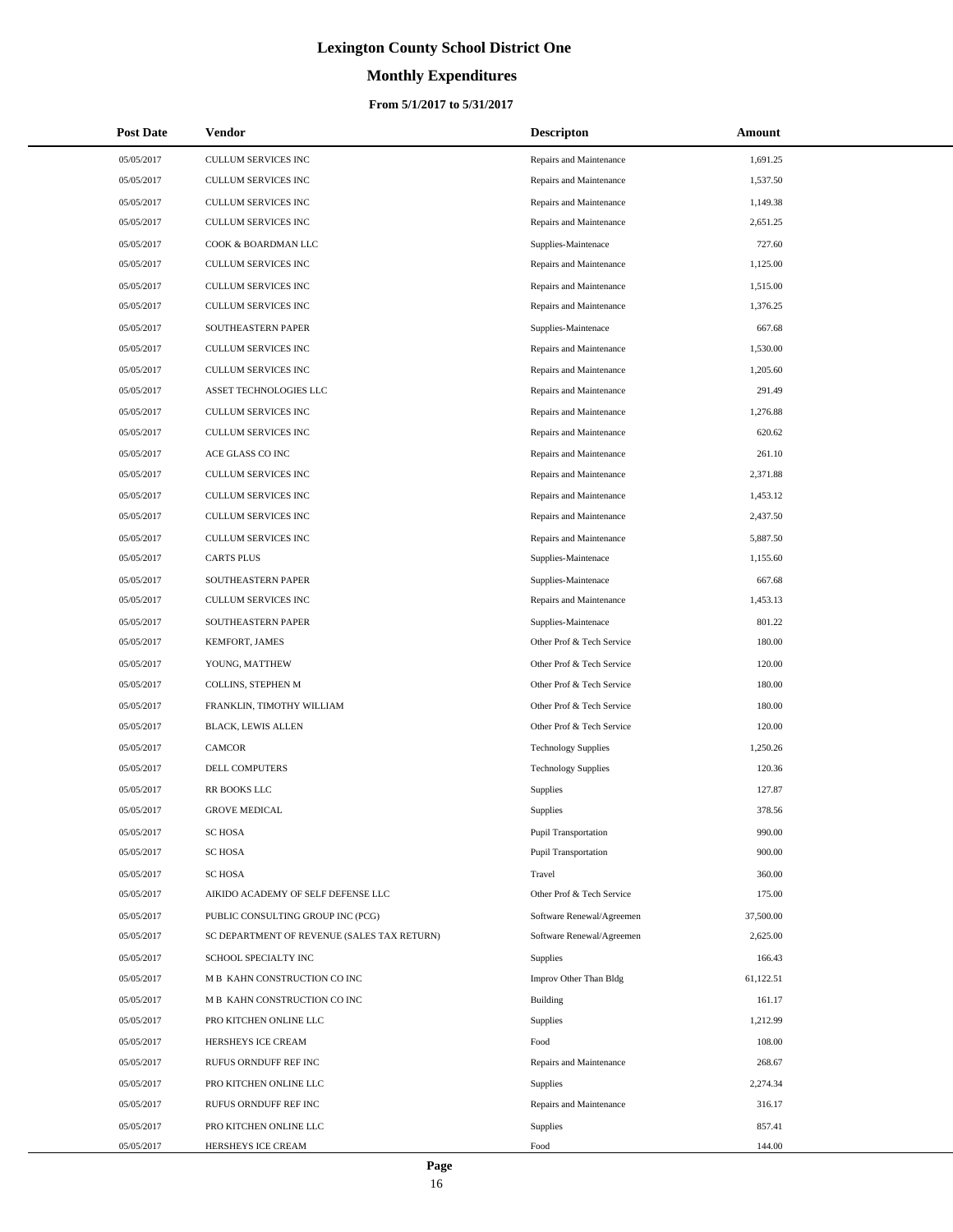# **Monthly Expenditures**

### **From 5/1/2017 to 5/31/2017**

| <b>Post Date</b> | <b>Vendor</b>                               | <b>Descripton</b>          | Amount    |
|------------------|---------------------------------------------|----------------------------|-----------|
| 05/05/2017       | CULLUM SERVICES INC                         | Repairs and Maintenance    | 1,691.25  |
| 05/05/2017       | CULLUM SERVICES INC                         | Repairs and Maintenance    | 1,537.50  |
| 05/05/2017       | CULLUM SERVICES INC                         | Repairs and Maintenance    | 1,149.38  |
| 05/05/2017       | <b>CULLUM SERVICES INC</b>                  | Repairs and Maintenance    | 2,651.25  |
| 05/05/2017       | COOK & BOARDMAN LLC                         | Supplies-Maintenace        | 727.60    |
| 05/05/2017       | CULLUM SERVICES INC                         | Repairs and Maintenance    | 1,125.00  |
| 05/05/2017       | CULLUM SERVICES INC                         | Repairs and Maintenance    | 1,515.00  |
| 05/05/2017       | <b>CULLUM SERVICES INC</b>                  | Repairs and Maintenance    | 1,376.25  |
| 05/05/2017       | SOUTHEASTERN PAPER                          | Supplies-Maintenace        | 667.68    |
| 05/05/2017       | CULLUM SERVICES INC                         | Repairs and Maintenance    | 1,530.00  |
| 05/05/2017       | CULLUM SERVICES INC                         | Repairs and Maintenance    | 1,205.60  |
| 05/05/2017       | ASSET TECHNOLOGIES LLC                      | Repairs and Maintenance    | 291.49    |
| 05/05/2017       | CULLUM SERVICES INC                         | Repairs and Maintenance    | 1,276.88  |
| 05/05/2017       | <b>CULLUM SERVICES INC</b>                  | Repairs and Maintenance    | 620.62    |
| 05/05/2017       | ACE GLASS CO INC                            | Repairs and Maintenance    | 261.10    |
| 05/05/2017       | CULLUM SERVICES INC                         | Repairs and Maintenance    | 2,371.88  |
| 05/05/2017       | CULLUM SERVICES INC                         | Repairs and Maintenance    | 1,453.12  |
| 05/05/2017       | CULLUM SERVICES INC                         | Repairs and Maintenance    | 2,437.50  |
| 05/05/2017       | CULLUM SERVICES INC                         | Repairs and Maintenance    | 5,887.50  |
| 05/05/2017       | <b>CARTS PLUS</b>                           | Supplies-Maintenace        | 1,155.60  |
| 05/05/2017       | SOUTHEASTERN PAPER                          | Supplies-Maintenace        | 667.68    |
| 05/05/2017       | CULLUM SERVICES INC                         | Repairs and Maintenance    | 1,453.13  |
| 05/05/2017       | SOUTHEASTERN PAPER                          | Supplies-Maintenace        | 801.22    |
| 05/05/2017       | KEMFORT, JAMES                              | Other Prof & Tech Service  | 180.00    |
| 05/05/2017       | YOUNG, MATTHEW                              | Other Prof & Tech Service  | 120.00    |
| 05/05/2017       | COLLINS, STEPHEN M                          | Other Prof & Tech Service  | 180.00    |
| 05/05/2017       | FRANKLIN, TIMOTHY WILLIAM                   | Other Prof & Tech Service  | 180.00    |
| 05/05/2017       | <b>BLACK, LEWIS ALLEN</b>                   | Other Prof & Tech Service  | 120.00    |
| 05/05/2017       | <b>CAMCOR</b>                               | <b>Technology Supplies</b> | 1,250.26  |
| 05/05/2017       | DELL COMPUTERS                              | <b>Technology Supplies</b> | 120.36    |
| 05/05/2017       | RR BOOKS LLC                                | Supplies                   | 127.87    |
| 05/05/2017       | <b>GROVE MEDICAL</b>                        | <b>Supplies</b>            | 378.56    |
| 05/05/2017       | <b>SC HOSA</b>                              | Pupil Transportation       | 990.00    |
| 05/05/2017       | <b>SC HOSA</b>                              | Pupil Transportation       | 900.00    |
| 05/05/2017       | <b>SC HOSA</b>                              | Travel                     | 360.00    |
| 05/05/2017       | AIKIDO ACADEMY OF SELF DEFENSE LLC          | Other Prof & Tech Service  | 175.00    |
| 05/05/2017       | PUBLIC CONSULTING GROUP INC (PCG)           | Software Renewal/Agreemen  | 37,500.00 |
| 05/05/2017       | SC DEPARTMENT OF REVENUE (SALES TAX RETURN) | Software Renewal/Agreemen  | 2,625.00  |
| 05/05/2017       | SCHOOL SPECIALTY INC                        | Supplies                   | 166.43    |
| 05/05/2017       | M B KAHN CONSTRUCTION CO INC                | Improv Other Than Bldg     | 61,122.51 |
| 05/05/2017       | M B KAHN CONSTRUCTION CO INC                | Building                   | 161.17    |
| 05/05/2017       | PRO KITCHEN ONLINE LLC                      | Supplies                   | 1,212.99  |
| 05/05/2017       | HERSHEYS ICE CREAM                          | Food                       | 108.00    |
| 05/05/2017       | RUFUS ORNDUFF REF INC                       | Repairs and Maintenance    | 268.67    |
| 05/05/2017       | PRO KITCHEN ONLINE LLC                      | <b>Supplies</b>            | 2,274.34  |
| 05/05/2017       | RUFUS ORNDUFF REF INC                       | Repairs and Maintenance    | 316.17    |
| 05/05/2017       | PRO KITCHEN ONLINE LLC                      | Supplies                   | 857.41    |
| 05/05/2017       | HERSHEYS ICE CREAM                          | Food                       | 144.00    |

÷.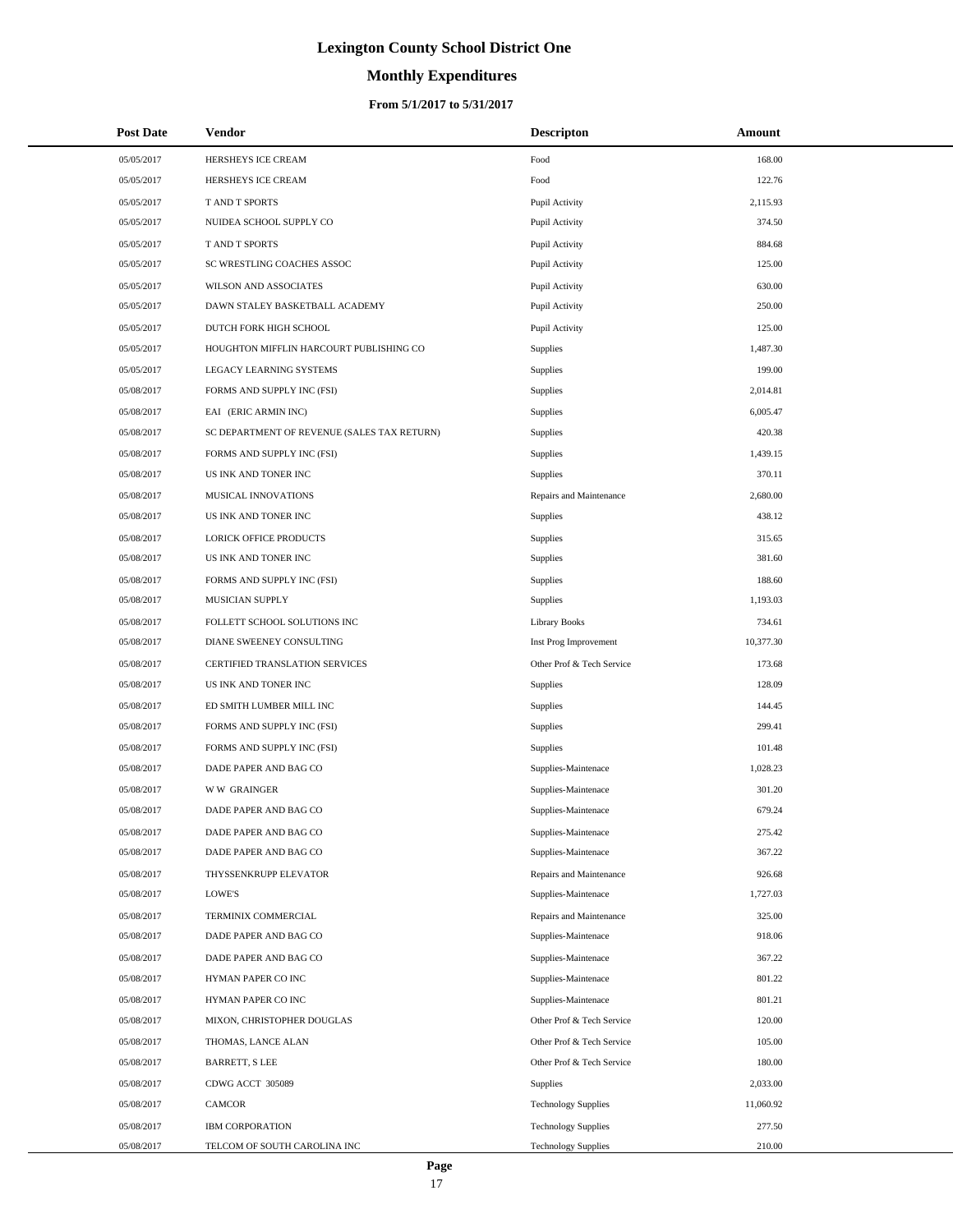# **Monthly Expenditures**

### **From 5/1/2017 to 5/31/2017**

| <b>Post Date</b> | <b>Vendor</b>                               | <b>Descripton</b>          | Amount    |
|------------------|---------------------------------------------|----------------------------|-----------|
| 05/05/2017       | HERSHEYS ICE CREAM                          | Food                       | 168.00    |
| 05/05/2017       | HERSHEYS ICE CREAM                          | Food                       | 122.76    |
| 05/05/2017       | T AND T SPORTS                              | Pupil Activity             | 2,115.93  |
| 05/05/2017       | NUIDEA SCHOOL SUPPLY CO                     | Pupil Activity             | 374.50    |
| 05/05/2017       | T AND T SPORTS                              | Pupil Activity             | 884.68    |
| 05/05/2017       | SC WRESTLING COACHES ASSOC                  | Pupil Activity             | 125.00    |
| 05/05/2017       | WILSON AND ASSOCIATES                       | Pupil Activity             | 630.00    |
| 05/05/2017       | DAWN STALEY BASKETBALL ACADEMY              | Pupil Activity             | 250.00    |
| 05/05/2017       | DUTCH FORK HIGH SCHOOL                      | Pupil Activity             | 125.00    |
| 05/05/2017       | HOUGHTON MIFFLIN HARCOURT PUBLISHING CO     | Supplies                   | 1,487.30  |
| 05/05/2017       | LEGACY LEARNING SYSTEMS                     | Supplies                   | 199.00    |
| 05/08/2017       | FORMS AND SUPPLY INC (FSI)                  | Supplies                   | 2,014.81  |
| 05/08/2017       | EAI (ERIC ARMIN INC)                        | Supplies                   | 6,005.47  |
| 05/08/2017       | SC DEPARTMENT OF REVENUE (SALES TAX RETURN) | Supplies                   | 420.38    |
| 05/08/2017       | FORMS AND SUPPLY INC (FSI)                  | Supplies                   | 1,439.15  |
| 05/08/2017       | US INK AND TONER INC                        | Supplies                   | 370.11    |
| 05/08/2017       | MUSICAL INNOVATIONS                         | Repairs and Maintenance    | 2,680.00  |
| 05/08/2017       | US INK AND TONER INC                        | Supplies                   | 438.12    |
| 05/08/2017       | LORICK OFFICE PRODUCTS                      | Supplies                   | 315.65    |
| 05/08/2017       | US INK AND TONER INC                        | Supplies                   | 381.60    |
| 05/08/2017       | FORMS AND SUPPLY INC (FSI)                  | <b>Supplies</b>            | 188.60    |
| 05/08/2017       | MUSICIAN SUPPLY                             | Supplies                   | 1,193.03  |
| 05/08/2017       | FOLLETT SCHOOL SOLUTIONS INC                | Library Books              | 734.61    |
| 05/08/2017       | DIANE SWEENEY CONSULTING                    | Inst Prog Improvement      | 10,377.30 |
| 05/08/2017       | CERTIFIED TRANSLATION SERVICES              | Other Prof & Tech Service  | 173.68    |
| 05/08/2017       | US INK AND TONER INC                        | Supplies                   | 128.09    |
| 05/08/2017       | ED SMITH LUMBER MILL INC                    | Supplies                   | 144.45    |
| 05/08/2017       | FORMS AND SUPPLY INC (FSI)                  | Supplies                   | 299.41    |
| 05/08/2017       | FORMS AND SUPPLY INC (FSI)                  | Supplies                   | 101.48    |
| 05/08/2017       | DADE PAPER AND BAG CO                       | Supplies-Maintenace        | 1,028.23  |
| 05/08/2017       | <b>WW GRAINGER</b>                          | Supplies-Maintenace        | 301.20    |
| 05/08/2017       | DADE PAPER AND BAG CO                       | Supplies-Maintenace        | 679.24    |
| 05/08/2017       | DADE PAPER AND BAG CO                       | Supplies-Maintenace        | 275.42    |
| 05/08/2017       | DADE PAPER AND BAG CO                       | Supplies-Maintenace        | 367.22    |
| 05/08/2017       | THYSSENKRUPP ELEVATOR                       | Repairs and Maintenance    | 926.68    |
| 05/08/2017       | LOWE'S                                      | Supplies-Maintenace        | 1,727.03  |
| 05/08/2017       | TERMINIX COMMERCIAL                         | Repairs and Maintenance    | 325.00    |
| 05/08/2017       | DADE PAPER AND BAG CO                       | Supplies-Maintenace        | 918.06    |
| 05/08/2017       | DADE PAPER AND BAG CO                       | Supplies-Maintenace        | 367.22    |
| 05/08/2017       | HYMAN PAPER CO INC                          | Supplies-Maintenace        | 801.22    |
| 05/08/2017       | HYMAN PAPER CO INC                          | Supplies-Maintenace        | 801.21    |
| 05/08/2017       | MIXON, CHRISTOPHER DOUGLAS                  | Other Prof & Tech Service  | 120.00    |
| 05/08/2017       | THOMAS, LANCE ALAN                          | Other Prof & Tech Service  | 105.00    |
| 05/08/2017       | <b>BARRETT, S LEE</b>                       | Other Prof & Tech Service  | 180.00    |
| 05/08/2017       | CDWG ACCT 305089                            | <b>Supplies</b>            | 2,033.00  |
| 05/08/2017       | CAMCOR                                      | <b>Technology Supplies</b> | 11,060.92 |
| 05/08/2017       | <b>IBM CORPORATION</b>                      | <b>Technology Supplies</b> | 277.50    |
| 05/08/2017       | TELCOM OF SOUTH CAROLINA INC                | <b>Technology Supplies</b> | 210.00    |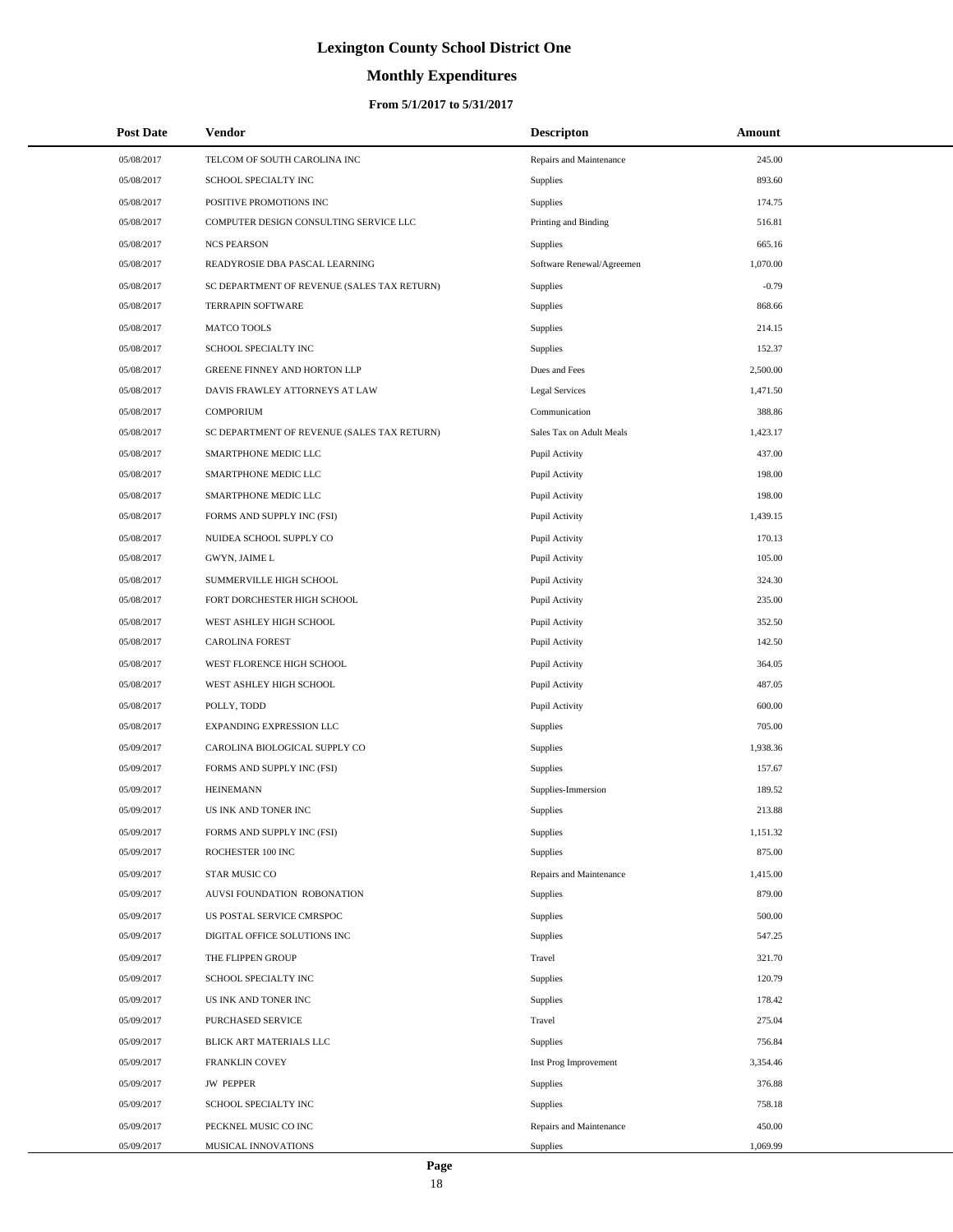# **Monthly Expenditures**

| <b>Post Date</b> | Vendor                                      | <b>Descripton</b>         | Amount   |  |
|------------------|---------------------------------------------|---------------------------|----------|--|
| 05/08/2017       | TELCOM OF SOUTH CAROLINA INC                | Repairs and Maintenance   | 245.00   |  |
| 05/08/2017       | SCHOOL SPECIALTY INC                        | Supplies                  | 893.60   |  |
| 05/08/2017       | POSITIVE PROMOTIONS INC                     | <b>Supplies</b>           | 174.75   |  |
| 05/08/2017       | COMPUTER DESIGN CONSULTING SERVICE LLC      | Printing and Binding      | 516.81   |  |
| 05/08/2017       | <b>NCS PEARSON</b>                          | <b>Supplies</b>           | 665.16   |  |
| 05/08/2017       | READYROSIE DBA PASCAL LEARNING              | Software Renewal/Agreemen | 1,070.00 |  |
| 05/08/2017       | SC DEPARTMENT OF REVENUE (SALES TAX RETURN) | Supplies                  | $-0.79$  |  |
| 05/08/2017       | <b>TERRAPIN SOFTWARE</b>                    | Supplies                  | 868.66   |  |
| 05/08/2017       | <b>MATCO TOOLS</b>                          | Supplies                  | 214.15   |  |
| 05/08/2017       | SCHOOL SPECIALTY INC                        | Supplies                  | 152.37   |  |
| 05/08/2017       | GREENE FINNEY AND HORTON LLP                | Dues and Fees             | 2,500.00 |  |
| 05/08/2017       | DAVIS FRAWLEY ATTORNEYS AT LAW              | <b>Legal Services</b>     | 1,471.50 |  |
| 05/08/2017       | <b>COMPORIUM</b>                            | Communication             | 388.86   |  |
| 05/08/2017       | SC DEPARTMENT OF REVENUE (SALES TAX RETURN) | Sales Tax on Adult Meals  | 1,423.17 |  |
| 05/08/2017       | SMARTPHONE MEDIC LLC                        | Pupil Activity            | 437.00   |  |
| 05/08/2017       | SMARTPHONE MEDIC LLC                        | Pupil Activity            | 198.00   |  |
| 05/08/2017       | SMARTPHONE MEDIC LLC                        | Pupil Activity            | 198.00   |  |
| 05/08/2017       | FORMS AND SUPPLY INC (FSI)                  | Pupil Activity            | 1,439.15 |  |
| 05/08/2017       | NUIDEA SCHOOL SUPPLY CO                     | Pupil Activity            | 170.13   |  |
| 05/08/2017       | GWYN, JAIME L                               | Pupil Activity            | 105.00   |  |
| 05/08/2017       | SUMMERVILLE HIGH SCHOOL                     | Pupil Activity            | 324.30   |  |
| 05/08/2017       | FORT DORCHESTER HIGH SCHOOL                 | Pupil Activity            | 235.00   |  |
| 05/08/2017       | WEST ASHLEY HIGH SCHOOL                     | Pupil Activity            | 352.50   |  |
| 05/08/2017       | <b>CAROLINA FOREST</b>                      | Pupil Activity            | 142.50   |  |
| 05/08/2017       | WEST FLORENCE HIGH SCHOOL                   | Pupil Activity            | 364.05   |  |
| 05/08/2017       | WEST ASHLEY HIGH SCHOOL                     | Pupil Activity            | 487.05   |  |
| 05/08/2017       | POLLY, TODD                                 | Pupil Activity            | 600.00   |  |
| 05/08/2017       | EXPANDING EXPRESSION LLC                    | Supplies                  | 705.00   |  |
| 05/09/2017       | CAROLINA BIOLOGICAL SUPPLY CO               | Supplies                  | 1,938.36 |  |
| 05/09/2017       | FORMS AND SUPPLY INC (FSI)                  | Supplies                  | 157.67   |  |
| 05/09/2017       | <b>HEINEMANN</b>                            | Supplies-Immersion        | 189.52   |  |
| 05/09/2017       | US INK AND TONER INC                        | Supplies                  | 213.88   |  |
| 05/09/2017       | FORMS AND SUPPLY INC (FSI)                  | Supplies                  | 1,151.32 |  |
| 05/09/2017       | ROCHESTER 100 INC                           | Supplies                  | 875.00   |  |
| 05/09/2017       | STAR MUSIC CO                               | Repairs and Maintenance   | 1,415.00 |  |
| 05/09/2017       | AUVSI FOUNDATION ROBONATION                 | Supplies                  | 879.00   |  |
| 05/09/2017       | US POSTAL SERVICE CMRSPOC                   | Supplies                  | 500.00   |  |
| 05/09/2017       | DIGITAL OFFICE SOLUTIONS INC                | Supplies                  | 547.25   |  |
| 05/09/2017       | THE FLIPPEN GROUP                           | Travel                    | 321.70   |  |
| 05/09/2017       | SCHOOL SPECIALTY INC                        | Supplies                  | 120.79   |  |
| 05/09/2017       | US INK AND TONER INC                        | Supplies                  | 178.42   |  |
| 05/09/2017       | PURCHASED SERVICE                           | Travel                    | 275.04   |  |
| 05/09/2017       | BLICK ART MATERIALS LLC                     | Supplies                  | 756.84   |  |
| 05/09/2017       | <b>FRANKLIN COVEY</b>                       | Inst Prog Improvement     | 3,354.46 |  |
| 05/09/2017       | <b>JW PEPPER</b>                            | Supplies                  | 376.88   |  |
| 05/09/2017       | SCHOOL SPECIALTY INC                        | Supplies                  | 758.18   |  |
| 05/09/2017       | PECKNEL MUSIC CO INC                        | Repairs and Maintenance   | 450.00   |  |
| 05/09/2017       | MUSICAL INNOVATIONS                         | Supplies                  | 1,069.99 |  |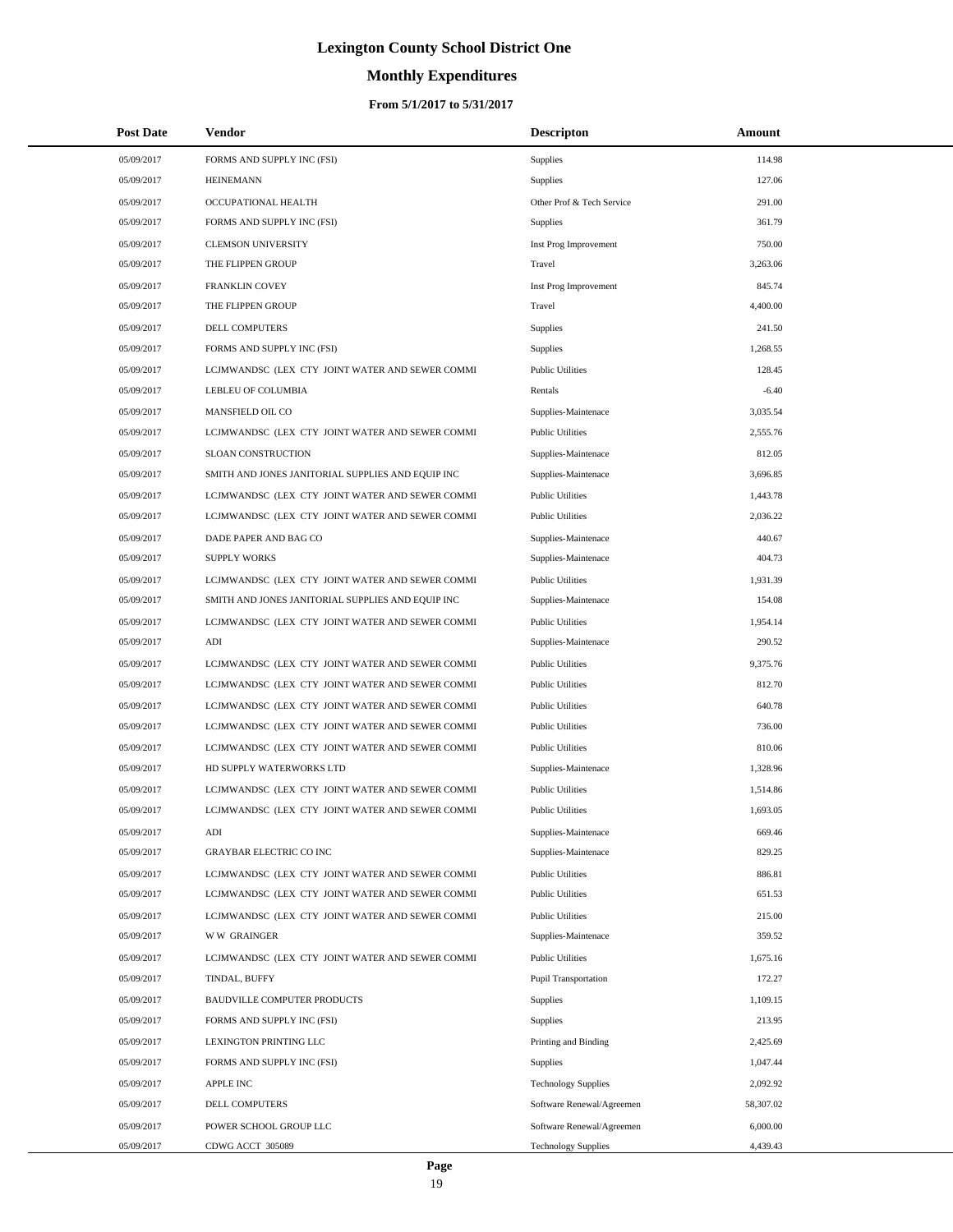# **Monthly Expenditures**

| <b>Post Date</b> | Vendor                                            | <b>Descripton</b>          | Amount    |
|------------------|---------------------------------------------------|----------------------------|-----------|
| 05/09/2017       | FORMS AND SUPPLY INC (FSI)                        | Supplies                   | 114.98    |
| 05/09/2017       | <b>HEINEMANN</b>                                  | Supplies                   | 127.06    |
| 05/09/2017       | OCCUPATIONAL HEALTH                               | Other Prof & Tech Service  | 291.00    |
| 05/09/2017       | FORMS AND SUPPLY INC (FSI)                        | Supplies                   | 361.79    |
| 05/09/2017       | <b>CLEMSON UNIVERSITY</b>                         | Inst Prog Improvement      | 750.00    |
| 05/09/2017       | THE FLIPPEN GROUP                                 | Travel                     | 3,263.06  |
| 05/09/2017       | FRANKLIN COVEY                                    | Inst Prog Improvement      | 845.74    |
| 05/09/2017       | THE FLIPPEN GROUP                                 | Travel                     | 4,400.00  |
| 05/09/2017       | DELL COMPUTERS                                    | Supplies                   | 241.50    |
| 05/09/2017       | FORMS AND SUPPLY INC (FSI)                        | Supplies                   | 1,268.55  |
| 05/09/2017       | LCJMWANDSC (LEX CTY JOINT WATER AND SEWER COMMI   | <b>Public Utilities</b>    | 128.45    |
| 05/09/2017       | LEBLEU OF COLUMBIA                                | Rentals                    | $-6.40$   |
| 05/09/2017       | MANSFIELD OIL CO                                  | Supplies-Maintenace        | 3,035.54  |
| 05/09/2017       | LCJMWANDSC (LEX CTY JOINT WATER AND SEWER COMMI   | <b>Public Utilities</b>    | 2,555.76  |
| 05/09/2017       | SLOAN CONSTRUCTION                                | Supplies-Maintenace        | 812.05    |
| 05/09/2017       | SMITH AND JONES JANITORIAL SUPPLIES AND EQUIP INC | Supplies-Maintenace        | 3,696.85  |
| 05/09/2017       | LCJMWANDSC (LEX CTY JOINT WATER AND SEWER COMMI   | <b>Public Utilities</b>    | 1,443.78  |
| 05/09/2017       | LCJMWANDSC (LEX CTY JOINT WATER AND SEWER COMMI   | <b>Public Utilities</b>    | 2,036.22  |
| 05/09/2017       | DADE PAPER AND BAG CO                             | Supplies-Maintenace        | 440.67    |
| 05/09/2017       | <b>SUPPLY WORKS</b>                               | Supplies-Maintenace        | 404.73    |
| 05/09/2017       | LCJMWANDSC (LEX CTY JOINT WATER AND SEWER COMMI   | <b>Public Utilities</b>    | 1,931.39  |
| 05/09/2017       | SMITH AND JONES JANITORIAL SUPPLIES AND EQUIP INC | Supplies-Maintenace        | 154.08    |
| 05/09/2017       | LCJMWANDSC (LEX CTY JOINT WATER AND SEWER COMMI   | <b>Public Utilities</b>    | 1,954.14  |
| 05/09/2017       | ADI                                               | Supplies-Maintenace        | 290.52    |
| 05/09/2017       | LCJMWANDSC (LEX CTY JOINT WATER AND SEWER COMMI   | <b>Public Utilities</b>    | 9,375.76  |
| 05/09/2017       | LCJMWANDSC (LEX CTY JOINT WATER AND SEWER COMMI   | <b>Public Utilities</b>    | 812.70    |
| 05/09/2017       | LCJMWANDSC (LEX CTY JOINT WATER AND SEWER COMMI   | <b>Public Utilities</b>    | 640.78    |
| 05/09/2017       | LCJMWANDSC (LEX CTY JOINT WATER AND SEWER COMMI   | <b>Public Utilities</b>    | 736.00    |
| 05/09/2017       | LCJMWANDSC (LEX CTY JOINT WATER AND SEWER COMMI   | <b>Public Utilities</b>    | 810.06    |
| 05/09/2017       | HD SUPPLY WATERWORKS LTD                          | Supplies-Maintenace        | 1,328.96  |
| 05/09/2017       | LCJMWANDSC (LEX CTY JOINT WATER AND SEWER COMMI   | <b>Public Utilities</b>    | 1,514.86  |
| 05/09/2017       | LCJMWANDSC (LEX CTY JOINT WATER AND SEWER COMMI   | <b>Public Utilities</b>    | 1,693.05  |
| 05/09/2017       | ADI                                               | Supplies-Maintenace        | 669.46    |
| 05/09/2017       | <b>GRAYBAR ELECTRIC CO INC</b>                    | Supplies-Maintenace        | 829.25    |
| 05/09/2017       | LCJMWANDSC (LEX CTY JOINT WATER AND SEWER COMMI   | <b>Public Utilities</b>    | 886.81    |
| 05/09/2017       | LCJMWANDSC (LEX CTY JOINT WATER AND SEWER COMMI   | <b>Public Utilities</b>    | 651.53    |
| 05/09/2017       | LCJMWANDSC (LEX CTY JOINT WATER AND SEWER COMMI   | <b>Public Utilities</b>    | 215.00    |
| 05/09/2017       | <b>WW GRAINGER</b>                                | Supplies-Maintenace        | 359.52    |
| 05/09/2017       | LCJMWANDSC (LEX CTY JOINT WATER AND SEWER COMMI   | <b>Public Utilities</b>    | 1,675.16  |
| 05/09/2017       | TINDAL, BUFFY                                     | Pupil Transportation       | 172.27    |
| 05/09/2017       | <b>BAUDVILLE COMPUTER PRODUCTS</b>                | <b>Supplies</b>            | 1,109.15  |
| 05/09/2017       | FORMS AND SUPPLY INC (FSI)                        | Supplies                   | 213.95    |
| 05/09/2017       | LEXINGTON PRINTING LLC                            | Printing and Binding       | 2,425.69  |
| 05/09/2017       | FORMS AND SUPPLY INC (FSI)                        | Supplies                   | 1,047.44  |
| 05/09/2017       | <b>APPLE INC</b>                                  | <b>Technology Supplies</b> | 2,092.92  |
| 05/09/2017       | DELL COMPUTERS                                    | Software Renewal/Agreemen  | 58,307.02 |
| 05/09/2017       | POWER SCHOOL GROUP LLC                            | Software Renewal/Agreemen  | 6,000.00  |
| 05/09/2017       | CDWG ACCT 305089                                  | <b>Technology Supplies</b> | 4,439.43  |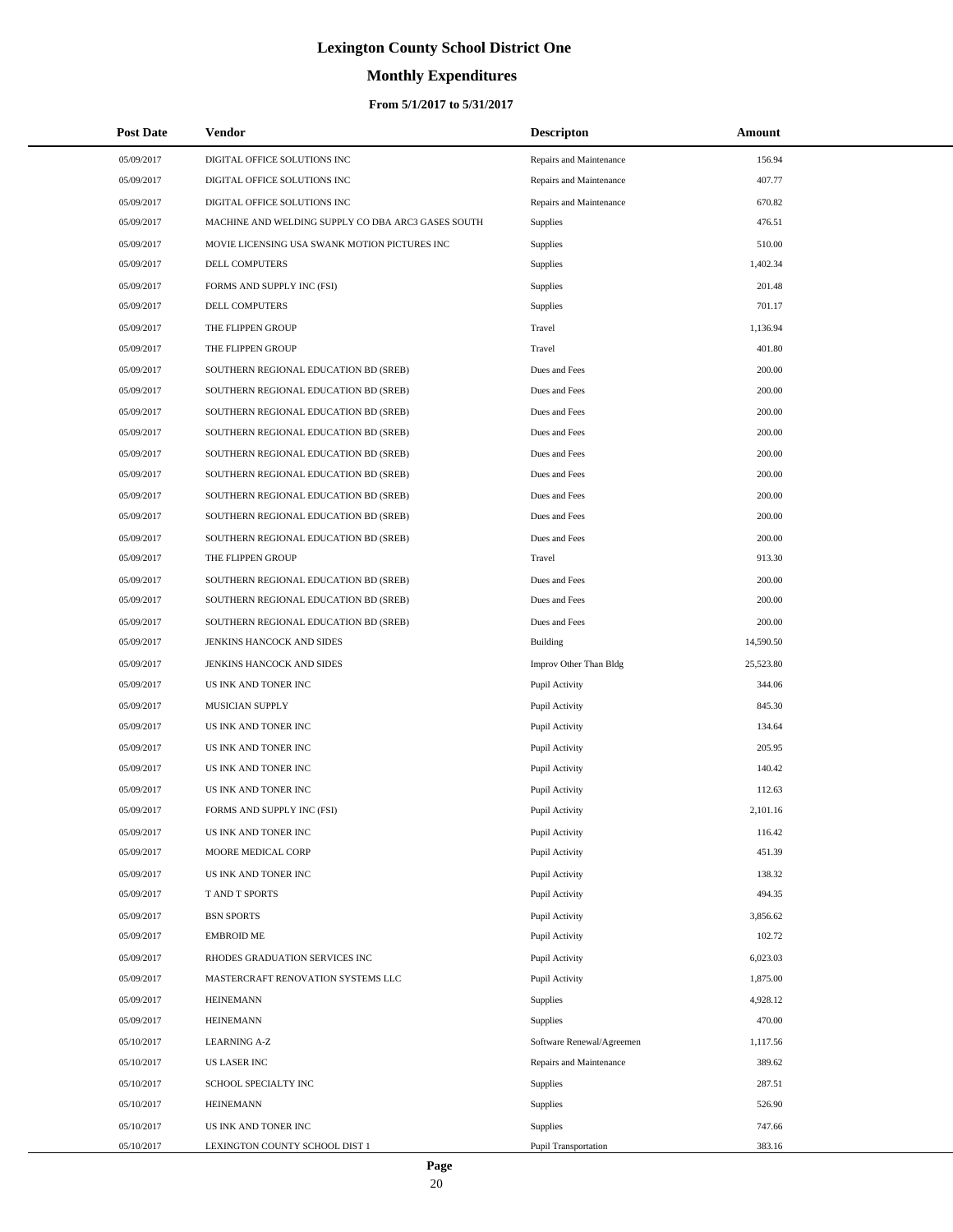# **Monthly Expenditures**

### **From 5/1/2017 to 5/31/2017**

| <b>Post Date</b> | Vendor                                             | <b>Descripton</b>         | Amount    |
|------------------|----------------------------------------------------|---------------------------|-----------|
| 05/09/2017       | DIGITAL OFFICE SOLUTIONS INC                       | Repairs and Maintenance   | 156.94    |
| 05/09/2017       | DIGITAL OFFICE SOLUTIONS INC                       | Repairs and Maintenance   | 407.77    |
| 05/09/2017       | DIGITAL OFFICE SOLUTIONS INC                       | Repairs and Maintenance   | 670.82    |
| 05/09/2017       | MACHINE AND WELDING SUPPLY CO DBA ARC3 GASES SOUTH | Supplies                  | 476.51    |
| 05/09/2017       | MOVIE LICENSING USA SWANK MOTION PICTURES INC      | Supplies                  | 510.00    |
| 05/09/2017       | DELL COMPUTERS                                     | Supplies                  | 1,402.34  |
| 05/09/2017       | FORMS AND SUPPLY INC (FSI)                         | Supplies                  | 201.48    |
| 05/09/2017       | DELL COMPUTERS                                     | Supplies                  | 701.17    |
| 05/09/2017       | THE FLIPPEN GROUP                                  | Travel                    | 1,136.94  |
| 05/09/2017       | THE FLIPPEN GROUP                                  | Travel                    | 401.80    |
| 05/09/2017       | SOUTHERN REGIONAL EDUCATION BD (SREB)              | Dues and Fees             | 200.00    |
| 05/09/2017       | SOUTHERN REGIONAL EDUCATION BD (SREB)              | Dues and Fees             | 200.00    |
| 05/09/2017       | SOUTHERN REGIONAL EDUCATION BD (SREB)              | Dues and Fees             | 200.00    |
| 05/09/2017       | SOUTHERN REGIONAL EDUCATION BD (SREB)              | Dues and Fees             | 200.00    |
| 05/09/2017       | SOUTHERN REGIONAL EDUCATION BD (SREB)              | Dues and Fees             | 200.00    |
| 05/09/2017       | SOUTHERN REGIONAL EDUCATION BD (SREB)              | Dues and Fees             | 200.00    |
| 05/09/2017       | SOUTHERN REGIONAL EDUCATION BD (SREB)              | Dues and Fees             | 200.00    |
| 05/09/2017       | SOUTHERN REGIONAL EDUCATION BD (SREB)              | Dues and Fees             | 200.00    |
| 05/09/2017       | SOUTHERN REGIONAL EDUCATION BD (SREB)              | Dues and Fees             | 200.00    |
| 05/09/2017       | THE FLIPPEN GROUP                                  | Travel                    | 913.30    |
| 05/09/2017       | SOUTHERN REGIONAL EDUCATION BD (SREB)              | Dues and Fees             | 200.00    |
| 05/09/2017       | SOUTHERN REGIONAL EDUCATION BD (SREB)              | Dues and Fees             | 200.00    |
| 05/09/2017       | SOUTHERN REGIONAL EDUCATION BD (SREB)              | Dues and Fees             | 200.00    |
| 05/09/2017       | JENKINS HANCOCK AND SIDES                          | Building                  | 14,590.50 |
| 05/09/2017       | JENKINS HANCOCK AND SIDES                          | Improv Other Than Bldg    | 25,523.80 |
| 05/09/2017       | US INK AND TONER INC                               | Pupil Activity            | 344.06    |
| 05/09/2017       | MUSICIAN SUPPLY                                    | Pupil Activity            | 845.30    |
| 05/09/2017       | US INK AND TONER INC                               | Pupil Activity            | 134.64    |
| 05/09/2017       | US INK AND TONER INC                               | Pupil Activity            | 205.95    |
| 05/09/2017       | US INK AND TONER INC                               | Pupil Activity            | 140.42    |
| 05/09/2017       | US INK AND TONER INC                               | Pupil Activity            | 112.63    |
| 05/09/2017       | FORMS AND SUPPLY INC (FSI)                         | Pupil Activity            | 2,101.16  |
| 05/09/2017       | US INK AND TONER INC                               | Pupil Activity            | 116.42    |
| 05/09/2017       | MOORE MEDICAL CORP                                 | Pupil Activity            | 451.39    |
| 05/09/2017       | US INK AND TONER INC                               | Pupil Activity            | 138.32    |
| 05/09/2017       | T AND T SPORTS                                     | Pupil Activity            | 494.35    |
| 05/09/2017       | <b>BSN SPORTS</b>                                  | Pupil Activity            | 3,856.62  |
| 05/09/2017       | <b>EMBROID ME</b>                                  | Pupil Activity            | 102.72    |
| 05/09/2017       | RHODES GRADUATION SERVICES INC                     | Pupil Activity            | 6,023.03  |
| 05/09/2017       | MASTERCRAFT RENOVATION SYSTEMS LLC                 | Pupil Activity            | 1,875.00  |
| 05/09/2017       | <b>HEINEMANN</b>                                   | Supplies                  | 4,928.12  |
| 05/09/2017       | <b>HEINEMANN</b>                                   | Supplies                  | 470.00    |
| 05/10/2017       | <b>LEARNING A-Z</b>                                | Software Renewal/Agreemen | 1,117.56  |
| 05/10/2017       | <b>US LASER INC</b>                                | Repairs and Maintenance   | 389.62    |
| 05/10/2017       | SCHOOL SPECIALTY INC                               | Supplies                  | 287.51    |
| 05/10/2017       | <b>HEINEMANN</b>                                   | Supplies                  | 526.90    |
| 05/10/2017       | US INK AND TONER INC                               | <b>Supplies</b>           | 747.66    |
| 05/10/2017       | LEXINGTON COUNTY SCHOOL DIST 1                     | Pupil Transportation      | 383.16    |

 $\overline{a}$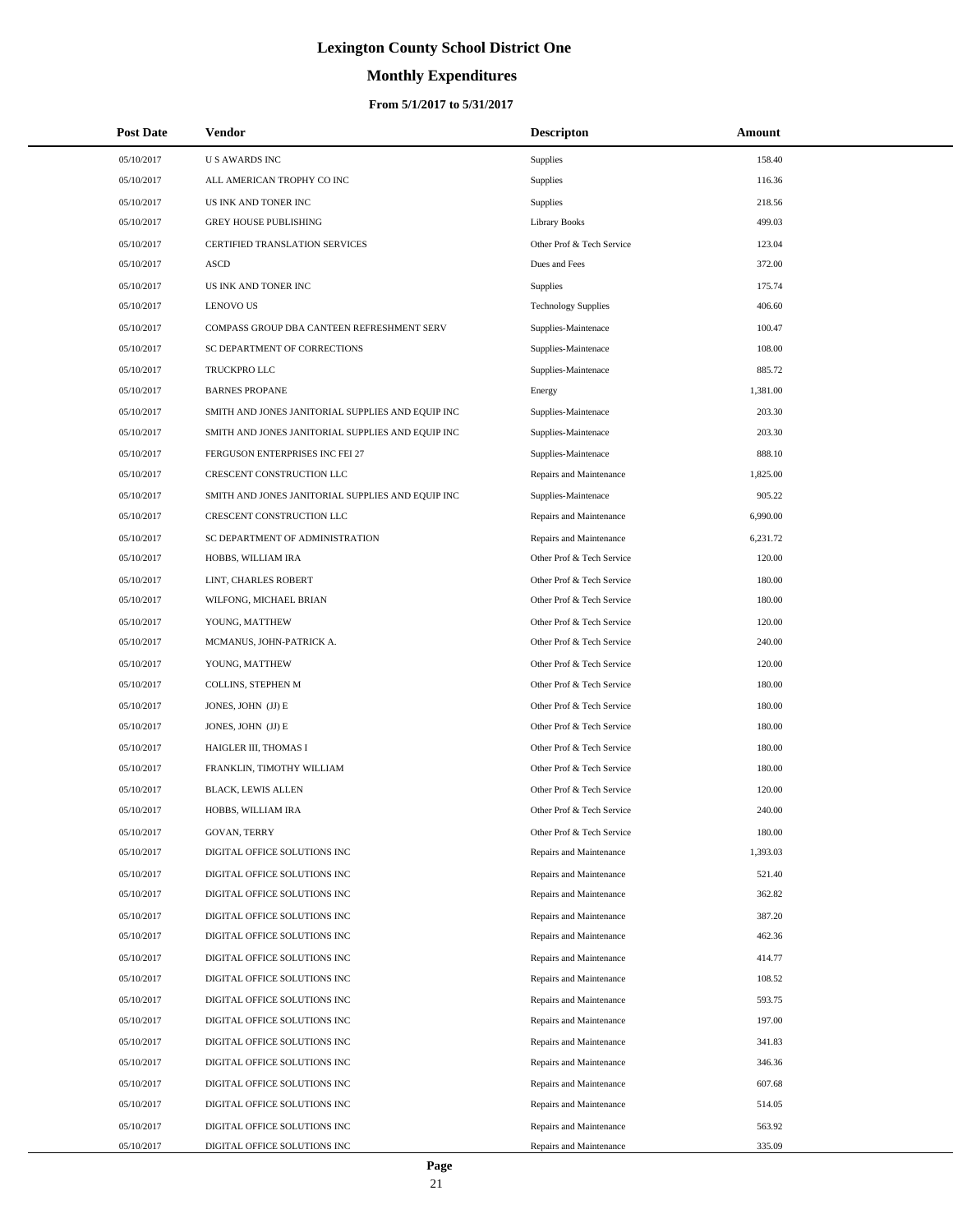# **Monthly Expenditures**

### **From 5/1/2017 to 5/31/2017**

| <b>Post Date</b> | <b>Vendor</b>                                     | <b>Descripton</b>          | Amount   |  |
|------------------|---------------------------------------------------|----------------------------|----------|--|
| 05/10/2017       | <b>US AWARDS INC</b>                              | Supplies                   | 158.40   |  |
| 05/10/2017       | ALL AMERICAN TROPHY CO INC                        | Supplies                   | 116.36   |  |
| 05/10/2017       | US INK AND TONER INC                              | Supplies                   | 218.56   |  |
| 05/10/2017       | <b>GREY HOUSE PUBLISHING</b>                      | <b>Library Books</b>       | 499.03   |  |
| 05/10/2017       | <b>CERTIFIED TRANSLATION SERVICES</b>             | Other Prof & Tech Service  | 123.04   |  |
| 05/10/2017       | <b>ASCD</b>                                       | Dues and Fees              | 372.00   |  |
| 05/10/2017       | US INK AND TONER INC                              | Supplies                   | 175.74   |  |
| 05/10/2017       | <b>LENOVO US</b>                                  | <b>Technology Supplies</b> | 406.60   |  |
| 05/10/2017       | COMPASS GROUP DBA CANTEEN REFRESHMENT SERV        | Supplies-Maintenace        | 100.47   |  |
| 05/10/2017       | SC DEPARTMENT OF CORRECTIONS                      | Supplies-Maintenace        | 108.00   |  |
| 05/10/2017       | TRUCKPRO LLC                                      | Supplies-Maintenace        | 885.72   |  |
| 05/10/2017       | <b>BARNES PROPANE</b>                             | Energy                     | 1,381.00 |  |
| 05/10/2017       | SMITH AND JONES JANITORIAL SUPPLIES AND EQUIP INC | Supplies-Maintenace        | 203.30   |  |
| 05/10/2017       | SMITH AND JONES JANITORIAL SUPPLIES AND EQUIP INC | Supplies-Maintenace        | 203.30   |  |
| 05/10/2017       | FERGUSON ENTERPRISES INC FEI 27                   | Supplies-Maintenace        | 888.10   |  |
| 05/10/2017       | CRESCENT CONSTRUCTION LLC                         | Repairs and Maintenance    | 1,825.00 |  |
| 05/10/2017       | SMITH AND JONES JANITORIAL SUPPLIES AND EQUIP INC | Supplies-Maintenace        | 905.22   |  |
| 05/10/2017       | CRESCENT CONSTRUCTION LLC                         | Repairs and Maintenance    | 6,990.00 |  |
| 05/10/2017       | SC DEPARTMENT OF ADMINISTRATION                   | Repairs and Maintenance    | 6,231.72 |  |
| 05/10/2017       | HOBBS, WILLIAM IRA                                | Other Prof & Tech Service  | 120.00   |  |
| 05/10/2017       | LINT, CHARLES ROBERT                              | Other Prof & Tech Service  | 180.00   |  |
| 05/10/2017       | WILFONG, MICHAEL BRIAN                            | Other Prof & Tech Service  | 180.00   |  |
| 05/10/2017       | YOUNG, MATTHEW                                    | Other Prof & Tech Service  | 120.00   |  |
| 05/10/2017       | MCMANUS, JOHN-PATRICK A.                          | Other Prof & Tech Service  | 240.00   |  |
| 05/10/2017       | YOUNG, MATTHEW                                    | Other Prof & Tech Service  | 120.00   |  |
| 05/10/2017       | COLLINS, STEPHEN M                                | Other Prof & Tech Service  | 180.00   |  |
| 05/10/2017       | JONES, JOHN (JJ) E                                | Other Prof & Tech Service  | 180.00   |  |
| 05/10/2017       | JONES, JOHN (JJ) E                                | Other Prof & Tech Service  | 180.00   |  |
| 05/10/2017       | HAIGLER III, THOMAS I                             | Other Prof & Tech Service  | 180.00   |  |
| 05/10/2017       | FRANKLIN, TIMOTHY WILLIAM                         | Other Prof & Tech Service  | 180.00   |  |
| 05/10/2017       | <b>BLACK, LEWIS ALLEN</b>                         | Other Prof & Tech Service  | 120.00   |  |
| 05/10/2017       | HOBBS, WILLIAM IRA                                | Other Prof & Tech Service  | 240.00   |  |
| 05/10/2017       | <b>GOVAN, TERRY</b>                               | Other Prof & Tech Service  | 180.00   |  |
| 05/10/2017       | DIGITAL OFFICE SOLUTIONS INC                      | Repairs and Maintenance    | 1,393.03 |  |
| 05/10/2017       | DIGITAL OFFICE SOLUTIONS INC                      | Repairs and Maintenance    | 521.40   |  |
| 05/10/2017       | DIGITAL OFFICE SOLUTIONS INC                      | Repairs and Maintenance    | 362.82   |  |
| 05/10/2017       | DIGITAL OFFICE SOLUTIONS INC                      | Repairs and Maintenance    | 387.20   |  |
| 05/10/2017       | DIGITAL OFFICE SOLUTIONS INC                      | Repairs and Maintenance    | 462.36   |  |
| 05/10/2017       | DIGITAL OFFICE SOLUTIONS INC                      | Repairs and Maintenance    | 414.77   |  |
| 05/10/2017       | DIGITAL OFFICE SOLUTIONS INC                      | Repairs and Maintenance    | 108.52   |  |
| 05/10/2017       | DIGITAL OFFICE SOLUTIONS INC                      | Repairs and Maintenance    | 593.75   |  |
| 05/10/2017       | DIGITAL OFFICE SOLUTIONS INC                      | Repairs and Maintenance    | 197.00   |  |
| 05/10/2017       | DIGITAL OFFICE SOLUTIONS INC                      | Repairs and Maintenance    | 341.83   |  |
| 05/10/2017       | DIGITAL OFFICE SOLUTIONS INC                      | Repairs and Maintenance    | 346.36   |  |
| 05/10/2017       | DIGITAL OFFICE SOLUTIONS INC                      | Repairs and Maintenance    | 607.68   |  |
| 05/10/2017       | DIGITAL OFFICE SOLUTIONS INC                      | Repairs and Maintenance    | 514.05   |  |
| 05/10/2017       | DIGITAL OFFICE SOLUTIONS INC                      | Repairs and Maintenance    | 563.92   |  |
| 05/10/2017       | DIGITAL OFFICE SOLUTIONS INC                      | Repairs and Maintenance    | 335.09   |  |

 $\overline{a}$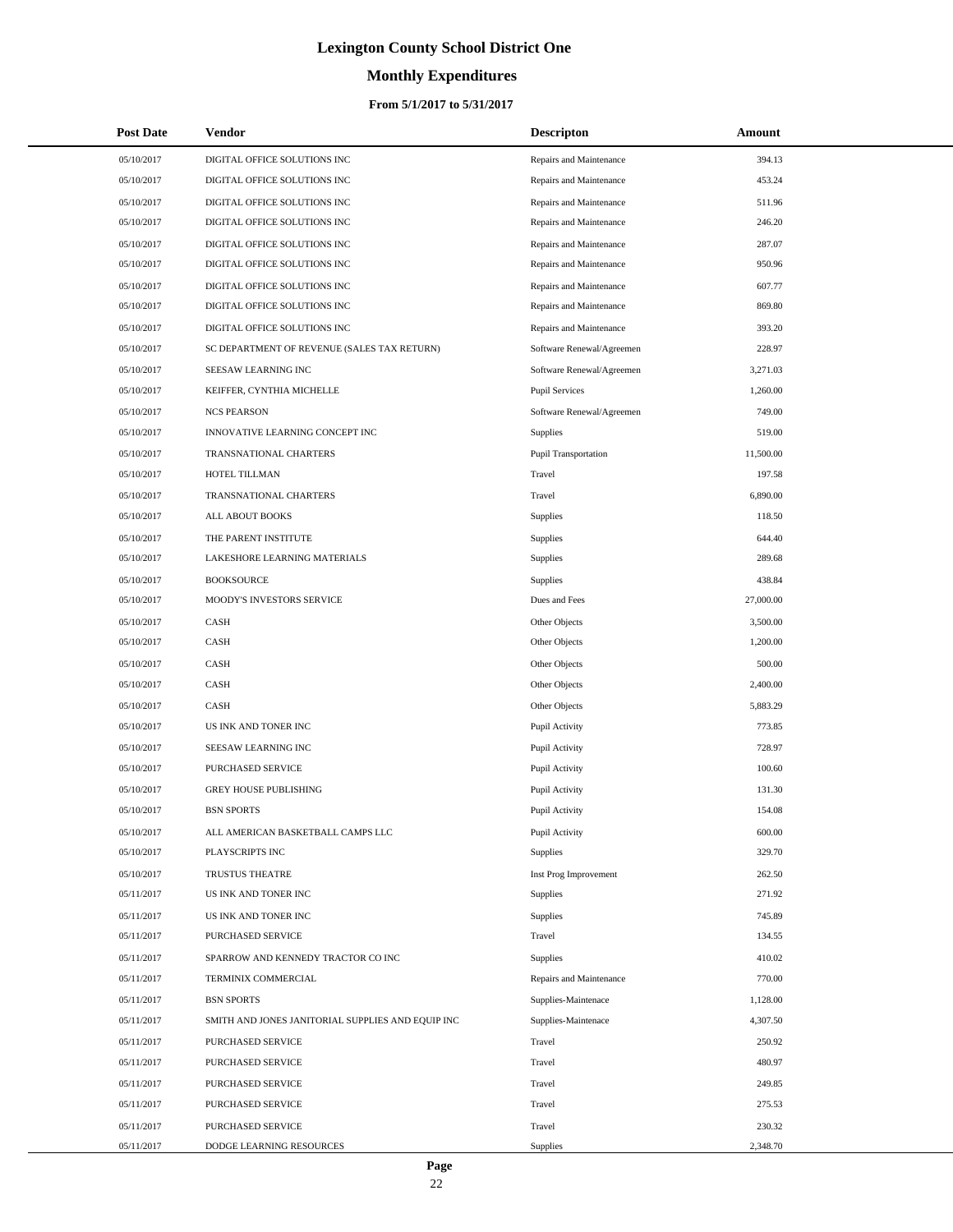# **Monthly Expenditures**

### **From 5/1/2017 to 5/31/2017**

| <b>Post Date</b> | <b>Vendor</b>                                     | <b>Descripton</b>         | Amount    |
|------------------|---------------------------------------------------|---------------------------|-----------|
| 05/10/2017       | DIGITAL OFFICE SOLUTIONS INC                      | Repairs and Maintenance   | 394.13    |
| 05/10/2017       | DIGITAL OFFICE SOLUTIONS INC                      | Repairs and Maintenance   | 453.24    |
| 05/10/2017       | DIGITAL OFFICE SOLUTIONS INC                      | Repairs and Maintenance   | 511.96    |
| 05/10/2017       | DIGITAL OFFICE SOLUTIONS INC                      | Repairs and Maintenance   | 246.20    |
| 05/10/2017       | DIGITAL OFFICE SOLUTIONS INC                      | Repairs and Maintenance   | 287.07    |
| 05/10/2017       | DIGITAL OFFICE SOLUTIONS INC                      | Repairs and Maintenance   | 950.96    |
| 05/10/2017       | DIGITAL OFFICE SOLUTIONS INC                      | Repairs and Maintenance   | 607.77    |
| 05/10/2017       | DIGITAL OFFICE SOLUTIONS INC                      | Repairs and Maintenance   | 869.80    |
| 05/10/2017       | DIGITAL OFFICE SOLUTIONS INC                      | Repairs and Maintenance   | 393.20    |
| 05/10/2017       | SC DEPARTMENT OF REVENUE (SALES TAX RETURN)       | Software Renewal/Agreemen | 228.97    |
| 05/10/2017       | SEESAW LEARNING INC                               | Software Renewal/Agreemen | 3,271.03  |
| 05/10/2017       | KEIFFER, CYNTHIA MICHELLE                         | <b>Pupil Services</b>     | 1,260.00  |
| 05/10/2017       | <b>NCS PEARSON</b>                                | Software Renewal/Agreemen | 749.00    |
| 05/10/2017       | INNOVATIVE LEARNING CONCEPT INC                   | <b>Supplies</b>           | 519.00    |
| 05/10/2017       | TRANSNATIONAL CHARTERS                            | Pupil Transportation      | 11,500.00 |
| 05/10/2017       | HOTEL TILLMAN                                     | Travel                    | 197.58    |
| 05/10/2017       | TRANSNATIONAL CHARTERS                            | Travel                    | 6,890.00  |
| 05/10/2017       | ALL ABOUT BOOKS                                   | <b>Supplies</b>           | 118.50    |
| 05/10/2017       | THE PARENT INSTITUTE                              | <b>Supplies</b>           | 644.40    |
| 05/10/2017       | LAKESHORE LEARNING MATERIALS                      | <b>Supplies</b>           | 289.68    |
| 05/10/2017       | <b>BOOKSOURCE</b>                                 | Supplies                  | 438.84    |
| 05/10/2017       | MOODY'S INVESTORS SERVICE                         | Dues and Fees             | 27,000.00 |
| 05/10/2017       | CASH                                              | Other Objects             | 3,500.00  |
| 05/10/2017       | CASH                                              | Other Objects             | 1,200.00  |
| 05/10/2017       | CASH                                              | Other Objects             | 500.00    |
| 05/10/2017       | CASH                                              | Other Objects             | 2,400.00  |
| 05/10/2017       | CASH                                              | Other Objects             | 5,883.29  |
| 05/10/2017       | US INK AND TONER INC                              | Pupil Activity            | 773.85    |
| 05/10/2017       | SEESAW LEARNING INC                               | Pupil Activity            | 728.97    |
| 05/10/2017       | PURCHASED SERVICE                                 | Pupil Activity            | 100.60    |
| 05/10/2017       | <b>GREY HOUSE PUBLISHING</b>                      | Pupil Activity            | 131.30    |
| 05/10/2017       | <b>BSN SPORTS</b>                                 | Pupil Activity            | 154.08    |
| 05/10/2017       | ALL AMERICAN BASKETBALL CAMPS LLC                 | Pupil Activity            | 600.00    |
| 05/10/2017       | PLAYSCRIPTS INC                                   | Supplies                  | 329.70    |
| 05/10/2017       | TRUSTUS THEATRE                                   | Inst Prog Improvement     | 262.50    |
| 05/11/2017       | US INK AND TONER INC                              | <b>Supplies</b>           | 271.92    |
| 05/11/2017       | US INK AND TONER INC                              | Supplies                  | 745.89    |
| 05/11/2017       | PURCHASED SERVICE                                 | Travel                    | 134.55    |
| 05/11/2017       | SPARROW AND KENNEDY TRACTOR CO INC                | Supplies                  | 410.02    |
| 05/11/2017       | TERMINIX COMMERCIAL                               | Repairs and Maintenance   | 770.00    |
| 05/11/2017       | <b>BSN SPORTS</b>                                 | Supplies-Maintenace       | 1,128.00  |
| 05/11/2017       | SMITH AND JONES JANITORIAL SUPPLIES AND EQUIP INC | Supplies-Maintenace       | 4,307.50  |
| 05/11/2017       | PURCHASED SERVICE                                 | Travel                    | 250.92    |
| 05/11/2017       | PURCHASED SERVICE                                 | Travel                    | 480.97    |
| 05/11/2017       | PURCHASED SERVICE                                 | Travel                    | 249.85    |
| 05/11/2017       | PURCHASED SERVICE                                 | Travel                    | 275.53    |
| 05/11/2017       | PURCHASED SERVICE                                 | Travel                    | 230.32    |
| 05/11/2017       | DODGE LEARNING RESOURCES                          | Supplies                  | 2,348.70  |

÷.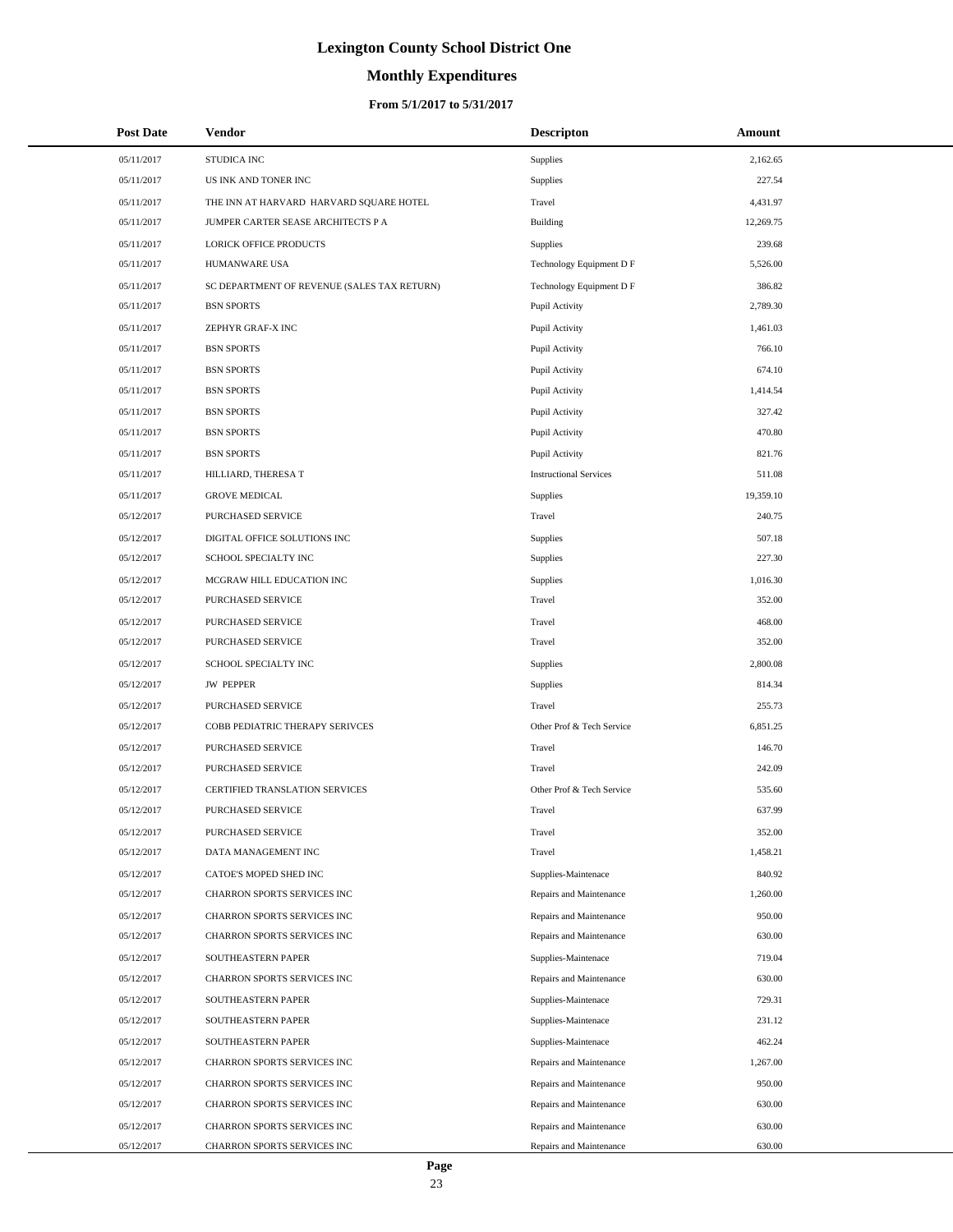# **Monthly Expenditures**

### **From 5/1/2017 to 5/31/2017**

| <b>Post Date</b> | <b>Vendor</b>                               | <b>Descripton</b>             | Amount    |
|------------------|---------------------------------------------|-------------------------------|-----------|
| 05/11/2017       | STUDICA INC                                 | <b>Supplies</b>               | 2,162.65  |
| 05/11/2017       | US INK AND TONER INC                        | <b>Supplies</b>               | 227.54    |
| 05/11/2017       | THE INN AT HARVARD HARVARD SQUARE HOTEL     | Travel                        | 4,431.97  |
| 05/11/2017       | JUMPER CARTER SEASE ARCHITECTS P A          | <b>Building</b>               | 12,269.75 |
| 05/11/2017       | <b>LORICK OFFICE PRODUCTS</b>               | <b>Supplies</b>               | 239.68    |
| 05/11/2017       | HUMANWARE USA                               | Technology Equipment D F      | 5,526.00  |
| 05/11/2017       | SC DEPARTMENT OF REVENUE (SALES TAX RETURN) | Technology Equipment D F      | 386.82    |
| 05/11/2017       | <b>BSN SPORTS</b>                           | Pupil Activity                | 2,789.30  |
| 05/11/2017       | ZEPHYR GRAF-X INC                           | Pupil Activity                | 1,461.03  |
| 05/11/2017       | <b>BSN SPORTS</b>                           | Pupil Activity                | 766.10    |
| 05/11/2017       | <b>BSN SPORTS</b>                           | Pupil Activity                | 674.10    |
| 05/11/2017       | <b>BSN SPORTS</b>                           | Pupil Activity                | 1,414.54  |
| 05/11/2017       | <b>BSN SPORTS</b>                           | Pupil Activity                | 327.42    |
| 05/11/2017       | <b>BSN SPORTS</b>                           | Pupil Activity                | 470.80    |
| 05/11/2017       | <b>BSN SPORTS</b>                           | Pupil Activity                | 821.76    |
| 05/11/2017       | HILLIARD, THERESA T                         | <b>Instructional Services</b> | 511.08    |
| 05/11/2017       | <b>GROVE MEDICAL</b>                        | <b>Supplies</b>               | 19,359.10 |
| 05/12/2017       | <b>PURCHASED SERVICE</b>                    | Travel                        | 240.75    |
| 05/12/2017       | DIGITAL OFFICE SOLUTIONS INC                | <b>Supplies</b>               | 507.18    |
| 05/12/2017       | SCHOOL SPECIALTY INC                        | <b>Supplies</b>               | 227.30    |
| 05/12/2017       | MCGRAW HILL EDUCATION INC                   | Supplies                      | 1,016.30  |
| 05/12/2017       | PURCHASED SERVICE                           | Travel                        | 352.00    |
| 05/12/2017       | PURCHASED SERVICE                           | Travel                        | 468.00    |
| 05/12/2017       | PURCHASED SERVICE                           | Travel                        | 352.00    |
| 05/12/2017       | SCHOOL SPECIALTY INC                        | <b>Supplies</b>               | 2,800.08  |
| 05/12/2017       | <b>JW PEPPER</b>                            | <b>Supplies</b>               | 814.34    |
| 05/12/2017       | PURCHASED SERVICE                           | Travel                        | 255.73    |
| 05/12/2017       | COBB PEDIATRIC THERAPY SERIVCES             | Other Prof & Tech Service     | 6,851.25  |
| 05/12/2017       | PURCHASED SERVICE                           | Travel                        | 146.70    |
| 05/12/2017       | PURCHASED SERVICE                           | Travel                        | 242.09    |
| 05/12/2017       | CERTIFIED TRANSLATION SERVICES              | Other Prof & Tech Service     | 535.60    |
| 05/12/2017       | PURCHASED SERVICE                           | Travel                        | 637.99    |
| 05/12/2017       | PURCHASED SERVICE                           | Travel                        | 352.00    |
| 05/12/2017       | DATA MANAGEMENT INC                         | Travel                        | 1,458.21  |
| 05/12/2017       | CATOE'S MOPED SHED INC                      | Supplies-Maintenace           | 840.92    |
| 05/12/2017       | CHARRON SPORTS SERVICES INC                 | Repairs and Maintenance       | 1,260.00  |
| 05/12/2017       | CHARRON SPORTS SERVICES INC                 | Repairs and Maintenance       | 950.00    |
| 05/12/2017       | CHARRON SPORTS SERVICES INC                 | Repairs and Maintenance       | 630.00    |
| 05/12/2017       | SOUTHEASTERN PAPER                          | Supplies-Maintenace           | 719.04    |
| 05/12/2017       | CHARRON SPORTS SERVICES INC                 | Repairs and Maintenance       | 630.00    |
| 05/12/2017       | SOUTHEASTERN PAPER                          | Supplies-Maintenace           | 729.31    |
| 05/12/2017       | SOUTHEASTERN PAPER                          | Supplies-Maintenace           | 231.12    |
| 05/12/2017       | SOUTHEASTERN PAPER                          | Supplies-Maintenace           | 462.24    |
| 05/12/2017       | CHARRON SPORTS SERVICES INC                 | Repairs and Maintenance       | 1,267.00  |
| 05/12/2017       | CHARRON SPORTS SERVICES INC                 | Repairs and Maintenance       | 950.00    |
| 05/12/2017       | CHARRON SPORTS SERVICES INC                 | Repairs and Maintenance       | 630.00    |
| 05/12/2017       | CHARRON SPORTS SERVICES INC                 | Repairs and Maintenance       | 630.00    |
| 05/12/2017       | CHARRON SPORTS SERVICES INC                 | Repairs and Maintenance       | 630.00    |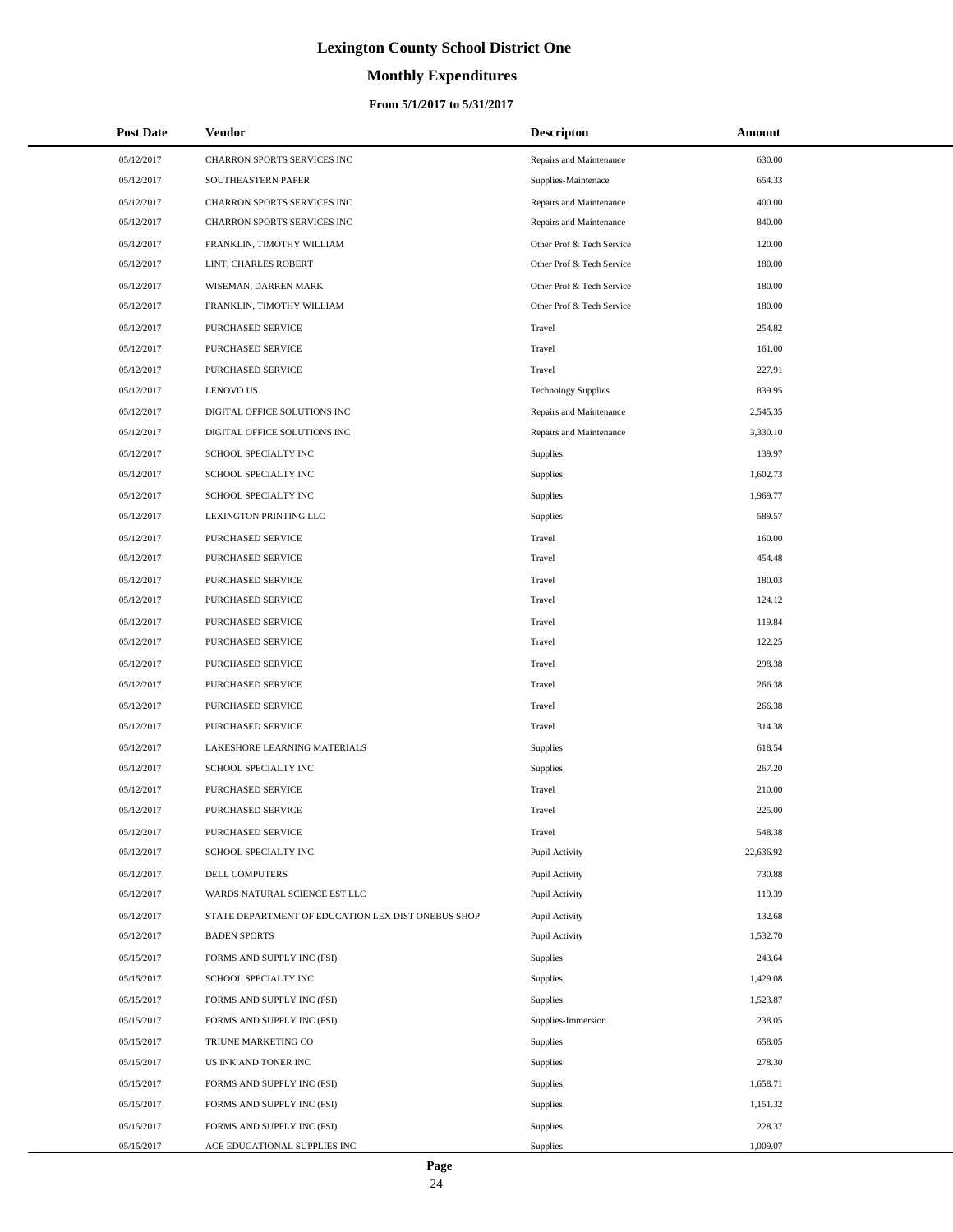# **Monthly Expenditures**

| <b>Post Date</b> | Vendor                                             | <b>Descripton</b>          | Amount    |
|------------------|----------------------------------------------------|----------------------------|-----------|
| 05/12/2017       | CHARRON SPORTS SERVICES INC                        | Repairs and Maintenance    | 630.00    |
| 05/12/2017       | SOUTHEASTERN PAPER                                 | Supplies-Maintenace        | 654.33    |
| 05/12/2017       | CHARRON SPORTS SERVICES INC                        | Repairs and Maintenance    | 400.00    |
| 05/12/2017       | CHARRON SPORTS SERVICES INC                        | Repairs and Maintenance    | 840.00    |
| 05/12/2017       | FRANKLIN, TIMOTHY WILLIAM                          | Other Prof & Tech Service  | 120.00    |
| 05/12/2017       | LINT, CHARLES ROBERT                               | Other Prof & Tech Service  | 180.00    |
| 05/12/2017       | WISEMAN, DARREN MARK                               | Other Prof & Tech Service  | 180.00    |
| 05/12/2017       | FRANKLIN, TIMOTHY WILLIAM                          | Other Prof & Tech Service  | 180.00    |
| 05/12/2017       | PURCHASED SERVICE                                  | Travel                     | 254.82    |
| 05/12/2017       | PURCHASED SERVICE                                  | Travel                     | 161.00    |
| 05/12/2017       | PURCHASED SERVICE                                  | Travel                     | 227.91    |
| 05/12/2017       | <b>LENOVO US</b>                                   | <b>Technology Supplies</b> | 839.95    |
| 05/12/2017       | DIGITAL OFFICE SOLUTIONS INC                       | Repairs and Maintenance    | 2,545.35  |
| 05/12/2017       | DIGITAL OFFICE SOLUTIONS INC                       | Repairs and Maintenance    | 3,330.10  |
| 05/12/2017       | SCHOOL SPECIALTY INC                               | Supplies                   | 139.97    |
| 05/12/2017       | SCHOOL SPECIALTY INC                               | Supplies                   | 1,602.73  |
| 05/12/2017       | SCHOOL SPECIALTY INC                               | Supplies                   | 1,969.77  |
| 05/12/2017       | LEXINGTON PRINTING LLC                             | Supplies                   | 589.57    |
| 05/12/2017       | PURCHASED SERVICE                                  | Travel                     | 160.00    |
| 05/12/2017       | PURCHASED SERVICE                                  | Travel                     | 454.48    |
| 05/12/2017       | PURCHASED SERVICE                                  | Travel                     | 180.03    |
| 05/12/2017       | PURCHASED SERVICE                                  | Travel                     | 124.12    |
| 05/12/2017       | PURCHASED SERVICE                                  | Travel                     | 119.84    |
| 05/12/2017       | PURCHASED SERVICE                                  | Travel                     | 122.25    |
| 05/12/2017       | PURCHASED SERVICE                                  | Travel                     | 298.38    |
| 05/12/2017       | PURCHASED SERVICE                                  | Travel                     | 266.38    |
| 05/12/2017       | PURCHASED SERVICE                                  | Travel                     | 266.38    |
| 05/12/2017       | <b>PURCHASED SERVICE</b>                           | Travel                     | 314.38    |
| 05/12/2017       | LAKESHORE LEARNING MATERIALS                       | Supplies                   | 618.54    |
| 05/12/2017       | SCHOOL SPECIALTY INC                               | Supplies                   | 267.20    |
| 05/12/2017       | PURCHASED SERVICE                                  | Travel                     | 210.00    |
| 05/12/2017       | PURCHASED SERVICE                                  | Travel                     | 225.00    |
| 05/12/2017       | PURCHASED SERVICE                                  | Travel                     | 548.38    |
| 05/12/2017       | SCHOOL SPECIALTY INC                               | Pupil Activity             | 22,636.92 |
| 05/12/2017       | DELL COMPUTERS                                     | Pupil Activity             | 730.88    |
| 05/12/2017       | WARDS NATURAL SCIENCE EST LLC                      | Pupil Activity             | 119.39    |
| 05/12/2017       | STATE DEPARTMENT OF EDUCATION LEX DIST ONEBUS SHOP | Pupil Activity             | 132.68    |
| 05/12/2017       | <b>BADEN SPORTS</b>                                | Pupil Activity             | 1,532.70  |
| 05/15/2017       | FORMS AND SUPPLY INC (FSI)                         | Supplies                   | 243.64    |
| 05/15/2017       | SCHOOL SPECIALTY INC                               | Supplies                   | 1,429.08  |
| 05/15/2017       | FORMS AND SUPPLY INC (FSI)                         | <b>Supplies</b>            | 1,523.87  |
| 05/15/2017       | FORMS AND SUPPLY INC (FSI)                         | Supplies-Immersion         | 238.05    |
| 05/15/2017       | TRIUNE MARKETING CO                                | <b>Supplies</b>            | 658.05    |
| 05/15/2017       | US INK AND TONER INC                               | <b>Supplies</b>            | 278.30    |
| 05/15/2017       | FORMS AND SUPPLY INC (FSI)                         | <b>Supplies</b>            | 1,658.71  |
| 05/15/2017       | FORMS AND SUPPLY INC (FSI)                         | <b>Supplies</b>            | 1,151.32  |
| 05/15/2017       | FORMS AND SUPPLY INC (FSI)                         | <b>Supplies</b>            | 228.37    |
| 05/15/2017       | ACE EDUCATIONAL SUPPLIES INC                       | Supplies                   | 1,009.07  |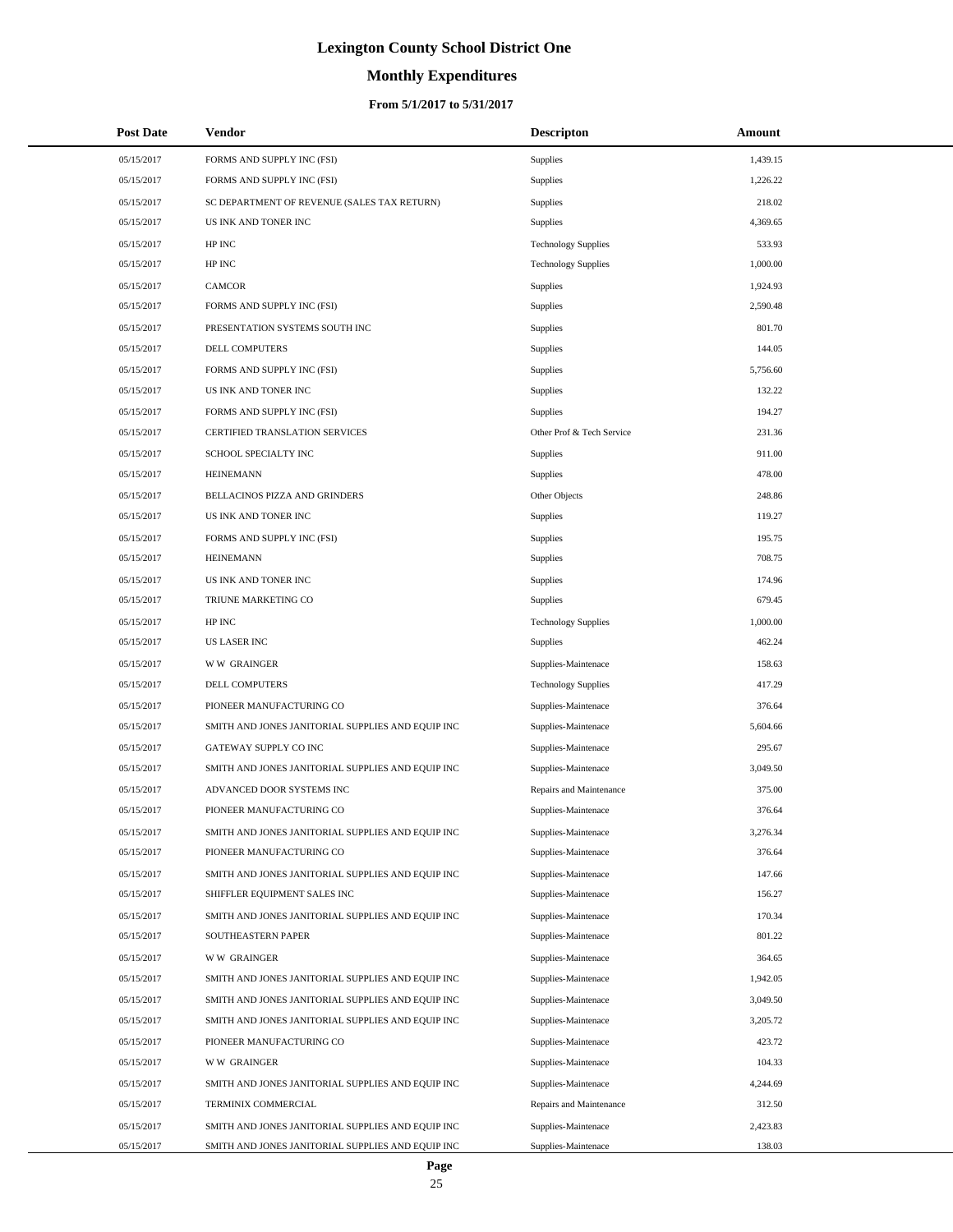# **Monthly Expenditures**

| <b>Post Date</b> | Vendor                                            | <b>Descripton</b>          | Amount   |
|------------------|---------------------------------------------------|----------------------------|----------|
| 05/15/2017       | FORMS AND SUPPLY INC (FSI)                        | <b>Supplies</b>            | 1,439.15 |
| 05/15/2017       | FORMS AND SUPPLY INC (FSI)                        | <b>Supplies</b>            | 1,226.22 |
| 05/15/2017       | SC DEPARTMENT OF REVENUE (SALES TAX RETURN)       | <b>Supplies</b>            | 218.02   |
| 05/15/2017       | US INK AND TONER INC                              | <b>Supplies</b>            | 4,369.65 |
| 05/15/2017       | HP INC                                            | <b>Technology Supplies</b> | 533.93   |
| 05/15/2017       | HP INC                                            | <b>Technology Supplies</b> | 1,000.00 |
| 05/15/2017       | <b>CAMCOR</b>                                     | Supplies                   | 1,924.93 |
| 05/15/2017       | FORMS AND SUPPLY INC (FSI)                        | <b>Supplies</b>            | 2,590.48 |
| 05/15/2017       | PRESENTATION SYSTEMS SOUTH INC                    | <b>Supplies</b>            | 801.70   |
| 05/15/2017       | DELL COMPUTERS                                    | <b>Supplies</b>            | 144.05   |
| 05/15/2017       | FORMS AND SUPPLY INC (FSI)                        | <b>Supplies</b>            | 5,756.60 |
| 05/15/2017       | US INK AND TONER INC                              | <b>Supplies</b>            | 132.22   |
| 05/15/2017       | FORMS AND SUPPLY INC (FSI)                        | Supplies                   | 194.27   |
| 05/15/2017       | CERTIFIED TRANSLATION SERVICES                    | Other Prof & Tech Service  | 231.36   |
| 05/15/2017       | SCHOOL SPECIALTY INC                              | Supplies                   | 911.00   |
| 05/15/2017       | <b>HEINEMANN</b>                                  | <b>Supplies</b>            | 478.00   |
| 05/15/2017       | BELLACINOS PIZZA AND GRINDERS                     | Other Objects              | 248.86   |
| 05/15/2017       | US INK AND TONER INC                              | <b>Supplies</b>            | 119.27   |
| 05/15/2017       | FORMS AND SUPPLY INC (FSI)                        | <b>Supplies</b>            | 195.75   |
| 05/15/2017       | <b>HEINEMANN</b>                                  | <b>Supplies</b>            | 708.75   |
| 05/15/2017       | US INK AND TONER INC                              | <b>Supplies</b>            | 174.96   |
| 05/15/2017       | TRIUNE MARKETING CO                               | Supplies                   | 679.45   |
| 05/15/2017       | HP INC                                            | <b>Technology Supplies</b> | 1,000.00 |
| 05/15/2017       | <b>US LASER INC</b>                               | Supplies                   | 462.24   |
| 05/15/2017       | <b>WW GRAINGER</b>                                | Supplies-Maintenace        | 158.63   |
| 05/15/2017       | DELL COMPUTERS                                    | <b>Technology Supplies</b> | 417.29   |
| 05/15/2017       | PIONEER MANUFACTURING CO                          | Supplies-Maintenace        | 376.64   |
| 05/15/2017       | SMITH AND JONES JANITORIAL SUPPLIES AND EQUIP INC | Supplies-Maintenace        | 5,604.66 |
| 05/15/2017       | GATEWAY SUPPLY CO INC                             | Supplies-Maintenace        | 295.67   |
| 05/15/2017       | SMITH AND JONES JANITORIAL SUPPLIES AND EQUIP INC | Supplies-Maintenace        | 3,049.50 |
| 05/15/2017       | ADVANCED DOOR SYSTEMS INC                         | Repairs and Maintenance    | 375.00   |
| 05/15/2017       | PIONEER MANUFACTURING CO                          | Supplies-Maintenace        | 376.64   |
| 05/15/2017       | SMITH AND JONES JANITORIAL SUPPLIES AND EQUIP INC | Supplies-Maintenace        | 3,276.34 |
| 05/15/2017       | PIONEER MANUFACTURING CO                          | Supplies-Maintenace        | 376.64   |
| 05/15/2017       | SMITH AND JONES JANITORIAL SUPPLIES AND EQUIP INC | Supplies-Maintenace        | 147.66   |
| 05/15/2017       | SHIFFLER EQUIPMENT SALES INC                      | Supplies-Maintenace        | 156.27   |
| 05/15/2017       | SMITH AND JONES JANITORIAL SUPPLIES AND EQUIP INC | Supplies-Maintenace        | 170.34   |
| 05/15/2017       | SOUTHEASTERN PAPER                                | Supplies-Maintenace        | 801.22   |
| 05/15/2017       | <b>WW GRAINGER</b>                                | Supplies-Maintenace        | 364.65   |
| 05/15/2017       | SMITH AND JONES JANITORIAL SUPPLIES AND EQUIP INC | Supplies-Maintenace        | 1,942.05 |
| 05/15/2017       | SMITH AND JONES JANITORIAL SUPPLIES AND EQUIP INC | Supplies-Maintenace        | 3,049.50 |
| 05/15/2017       | SMITH AND JONES JANITORIAL SUPPLIES AND EQUIP INC | Supplies-Maintenace        | 3,205.72 |
| 05/15/2017       | PIONEER MANUFACTURING CO                          | Supplies-Maintenace        | 423.72   |
| 05/15/2017       | <b>WW GRAINGER</b>                                | Supplies-Maintenace        | 104.33   |
| 05/15/2017       | SMITH AND JONES JANITORIAL SUPPLIES AND EQUIP INC | Supplies-Maintenace        | 4,244.69 |
| 05/15/2017       | TERMINIX COMMERCIAL                               | Repairs and Maintenance    | 312.50   |
| 05/15/2017       | SMITH AND JONES JANITORIAL SUPPLIES AND EQUIP INC | Supplies-Maintenace        | 2,423.83 |
| 05/15/2017       | SMITH AND JONES JANITORIAL SUPPLIES AND EQUIP INC | Supplies-Maintenace        | 138.03   |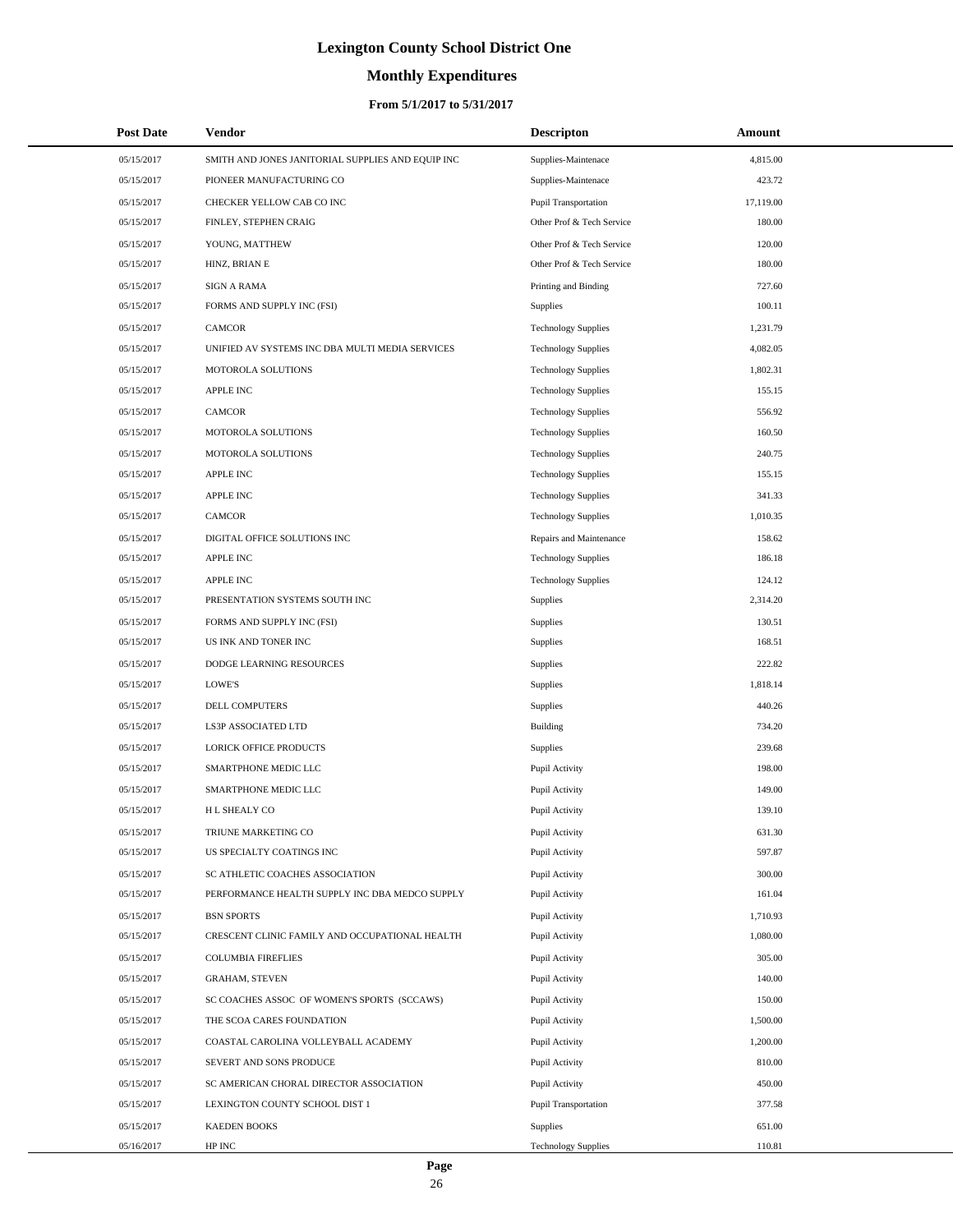# **Monthly Expenditures**

### **From 5/1/2017 to 5/31/2017**

| <b>Post Date</b> | Vendor                                            | <b>Descripton</b>          | Amount    |  |
|------------------|---------------------------------------------------|----------------------------|-----------|--|
| 05/15/2017       | SMITH AND JONES JANITORIAL SUPPLIES AND EQUIP INC | Supplies-Maintenace        | 4,815.00  |  |
| 05/15/2017       | PIONEER MANUFACTURING CO                          | Supplies-Maintenace        | 423.72    |  |
| 05/15/2017       | CHECKER YELLOW CAB CO INC                         | Pupil Transportation       | 17,119.00 |  |
| 05/15/2017       | FINLEY, STEPHEN CRAIG                             | Other Prof & Tech Service  | 180.00    |  |
| 05/15/2017       | YOUNG, MATTHEW                                    | Other Prof & Tech Service  | 120.00    |  |
| 05/15/2017       | HINZ, BRIAN E                                     | Other Prof & Tech Service  | 180.00    |  |
| 05/15/2017       | <b>SIGN A RAMA</b>                                | Printing and Binding       | 727.60    |  |
| 05/15/2017       | FORMS AND SUPPLY INC (FSI)                        | Supplies                   | 100.11    |  |
| 05/15/2017       | <b>CAMCOR</b>                                     | <b>Technology Supplies</b> | 1,231.79  |  |
| 05/15/2017       | UNIFIED AV SYSTEMS INC DBA MULTI MEDIA SERVICES   | <b>Technology Supplies</b> | 4,082.05  |  |
| 05/15/2017       | MOTOROLA SOLUTIONS                                | <b>Technology Supplies</b> | 1,802.31  |  |
| 05/15/2017       | <b>APPLE INC</b>                                  | <b>Technology Supplies</b> | 155.15    |  |
| 05/15/2017       | <b>CAMCOR</b>                                     | <b>Technology Supplies</b> | 556.92    |  |
| 05/15/2017       | MOTOROLA SOLUTIONS                                | <b>Technology Supplies</b> | 160.50    |  |
| 05/15/2017       | MOTOROLA SOLUTIONS                                | <b>Technology Supplies</b> | 240.75    |  |
| 05/15/2017       | <b>APPLE INC</b>                                  | <b>Technology Supplies</b> | 155.15    |  |
| 05/15/2017       | <b>APPLE INC</b>                                  | <b>Technology Supplies</b> | 341.33    |  |
| 05/15/2017       | <b>CAMCOR</b>                                     | <b>Technology Supplies</b> | 1,010.35  |  |
| 05/15/2017       | DIGITAL OFFICE SOLUTIONS INC                      | Repairs and Maintenance    | 158.62    |  |
| 05/15/2017       | <b>APPLE INC</b>                                  | <b>Technology Supplies</b> | 186.18    |  |
| 05/15/2017       | <b>APPLE INC</b>                                  | <b>Technology Supplies</b> | 124.12    |  |
| 05/15/2017       | PRESENTATION SYSTEMS SOUTH INC                    | <b>Supplies</b>            | 2,314.20  |  |
| 05/15/2017       | FORMS AND SUPPLY INC (FSI)                        | Supplies                   | 130.51    |  |
| 05/15/2017       | US INK AND TONER INC                              | Supplies                   | 168.51    |  |
| 05/15/2017       | DODGE LEARNING RESOURCES                          | Supplies                   | 222.82    |  |
| 05/15/2017       | LOWE'S                                            | Supplies                   | 1,818.14  |  |
| 05/15/2017       | DELL COMPUTERS                                    | Supplies                   | 440.26    |  |
| 05/15/2017       | LS3P ASSOCIATED LTD                               | Building                   | 734.20    |  |
| 05/15/2017       | <b>LORICK OFFICE PRODUCTS</b>                     | Supplies                   | 239.68    |  |
| 05/15/2017       | SMARTPHONE MEDIC LLC                              | Pupil Activity             | 198.00    |  |
| 05/15/2017       | SMARTPHONE MEDIC LLC                              | Pupil Activity             | 149.00    |  |
| 05/15/2017       | H L SHEALY CO                                     | Pupil Activity             | 139.10    |  |
| 05/15/2017       | TRIUNE MARKETING CO                               | Pupil Activity             | 631.30    |  |
| 05/15/2017       | US SPECIALTY COATINGS INC                         | Pupil Activity             | 597.87    |  |
| 05/15/2017       | SC ATHLETIC COACHES ASSOCIATION                   | Pupil Activity             | 300.00    |  |
| 05/15/2017       | PERFORMANCE HEALTH SUPPLY INC DBA MEDCO SUPPLY    | Pupil Activity             | 161.04    |  |
| 05/15/2017       | <b>BSN SPORTS</b>                                 | Pupil Activity             | 1,710.93  |  |
| 05/15/2017       | CRESCENT CLINIC FAMILY AND OCCUPATIONAL HEALTH    | Pupil Activity             | 1,080.00  |  |
| 05/15/2017       | <b>COLUMBIA FIREFLIES</b>                         | Pupil Activity             | 305.00    |  |
| 05/15/2017       | <b>GRAHAM, STEVEN</b>                             | Pupil Activity             | 140.00    |  |
| 05/15/2017       | SC COACHES ASSOC OF WOMEN'S SPORTS (SCCAWS)       | Pupil Activity             | 150.00    |  |
| 05/15/2017       | THE SCOA CARES FOUNDATION                         | Pupil Activity             | 1,500.00  |  |
| 05/15/2017       | COASTAL CAROLINA VOLLEYBALL ACADEMY               | Pupil Activity             | 1,200.00  |  |
| 05/15/2017       | SEVERT AND SONS PRODUCE                           | Pupil Activity             | 810.00    |  |
| 05/15/2017       | SC AMERICAN CHORAL DIRECTOR ASSOCIATION           | Pupil Activity             | 450.00    |  |
| 05/15/2017       | LEXINGTON COUNTY SCHOOL DIST 1                    | Pupil Transportation       | 377.58    |  |
| 05/15/2017       | <b>KAEDEN BOOKS</b>                               | Supplies                   | 651.00    |  |
| 05/16/2017       | HP INC                                            | <b>Technology Supplies</b> | 110.81    |  |

 $\overline{a}$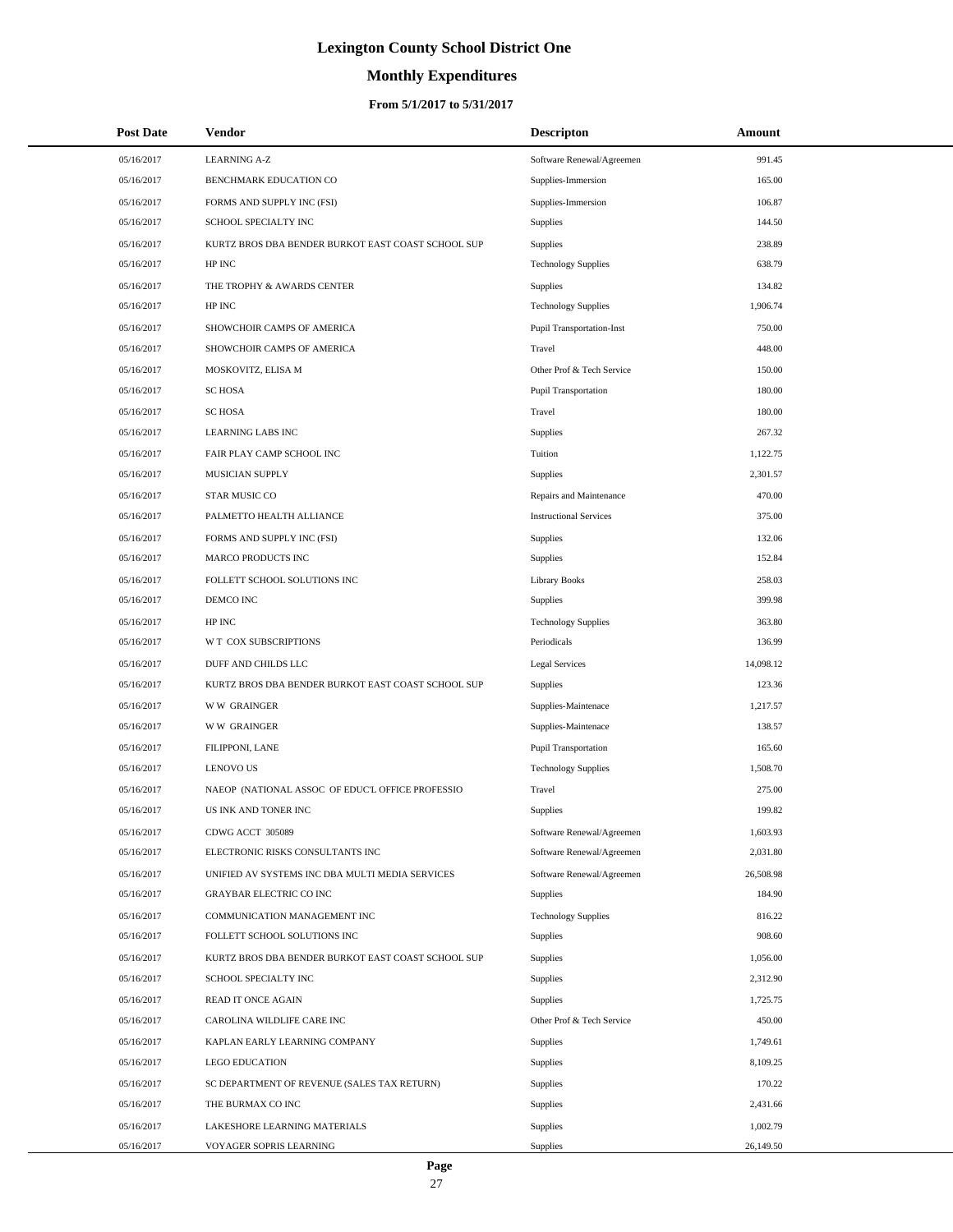# **Monthly Expenditures**

### **From 5/1/2017 to 5/31/2017**

| <b>Post Date</b> | <b>Vendor</b>                                      | <b>Descripton</b>                | Amount    |  |
|------------------|----------------------------------------------------|----------------------------------|-----------|--|
| 05/16/2017       | <b>LEARNING A-Z</b>                                | Software Renewal/Agreemen        | 991.45    |  |
| 05/16/2017       | BENCHMARK EDUCATION CO                             | Supplies-Immersion               | 165.00    |  |
| 05/16/2017       | FORMS AND SUPPLY INC (FSI)                         | Supplies-Immersion               | 106.87    |  |
| 05/16/2017       | SCHOOL SPECIALTY INC                               | Supplies                         | 144.50    |  |
| 05/16/2017       | KURTZ BROS DBA BENDER BURKOT EAST COAST SCHOOL SUP | Supplies                         | 238.89    |  |
| 05/16/2017       | HP INC                                             | <b>Technology Supplies</b>       | 638.79    |  |
| 05/16/2017       | THE TROPHY & AWARDS CENTER                         | <b>Supplies</b>                  | 134.82    |  |
| 05/16/2017       | HP INC                                             | <b>Technology Supplies</b>       | 1,906.74  |  |
| 05/16/2017       | SHOWCHOIR CAMPS OF AMERICA                         | <b>Pupil Transportation-Inst</b> | 750.00    |  |
| 05/16/2017       | SHOWCHOIR CAMPS OF AMERICA                         | Travel                           | 448.00    |  |
| 05/16/2017       | MOSKOVITZ, ELISA M                                 | Other Prof & Tech Service        | 150.00    |  |
| 05/16/2017       | <b>SC HOSA</b>                                     | <b>Pupil Transportation</b>      | 180.00    |  |
| 05/16/2017       | <b>SC HOSA</b>                                     | Travel                           | 180.00    |  |
| 05/16/2017       | <b>LEARNING LABS INC</b>                           | Supplies                         | 267.32    |  |
| 05/16/2017       | FAIR PLAY CAMP SCHOOL INC                          | Tuition                          | 1,122.75  |  |
| 05/16/2017       | MUSICIAN SUPPLY                                    | Supplies                         | 2,301.57  |  |
| 05/16/2017       | STAR MUSIC CO                                      | Repairs and Maintenance          | 470.00    |  |
| 05/16/2017       | PALMETTO HEALTH ALLIANCE                           | <b>Instructional Services</b>    | 375.00    |  |
| 05/16/2017       | FORMS AND SUPPLY INC (FSI)                         | Supplies                         | 132.06    |  |
| 05/16/2017       | MARCO PRODUCTS INC                                 | Supplies                         | 152.84    |  |
| 05/16/2017       | FOLLETT SCHOOL SOLUTIONS INC                       | <b>Library Books</b>             | 258.03    |  |
| 05/16/2017       | DEMCO INC                                          | Supplies                         | 399.98    |  |
| 05/16/2017       | HP INC                                             | <b>Technology Supplies</b>       | 363.80    |  |
| 05/16/2017       | W T COX SUBSCRIPTIONS                              | Periodicals                      | 136.99    |  |
| 05/16/2017       | DUFF AND CHILDS LLC                                | <b>Legal Services</b>            | 14,098.12 |  |
| 05/16/2017       | KURTZ BROS DBA BENDER BURKOT EAST COAST SCHOOL SUP | Supplies                         | 123.36    |  |
| 05/16/2017       | <b>WW GRAINGER</b>                                 | Supplies-Maintenace              | 1,217.57  |  |
| 05/16/2017       | <b>WW GRAINGER</b>                                 | Supplies-Maintenace              | 138.57    |  |
| 05/16/2017       | FILIPPONI, LANE                                    | <b>Pupil Transportation</b>      | 165.60    |  |
| 05/16/2017       | <b>LENOVO US</b>                                   | <b>Technology Supplies</b>       | 1,508.70  |  |
| 05/16/2017       | NAEOP (NATIONAL ASSOC OF EDUC'L OFFICE PROFESSIO   | Travel                           | 275.00    |  |
| 05/16/2017       | US INK AND TONER INC                               | Supplies                         | 199.82    |  |
| 05/16/2017       | CDWG ACCT 305089                                   | Software Renewal/Agreemen        | 1,603.93  |  |
| 05/16/2017       | ELECTRONIC RISKS CONSULTANTS INC                   | Software Renewal/Agreemen        | 2,031.80  |  |
| 05/16/2017       | UNIFIED AV SYSTEMS INC DBA MULTI MEDIA SERVICES    | Software Renewal/Agreemen        | 26,508.98 |  |
| 05/16/2017       | GRAYBAR ELECTRIC CO INC                            | Supplies                         | 184.90    |  |
| 05/16/2017       | COMMUNICATION MANAGEMENT INC                       | <b>Technology Supplies</b>       | 816.22    |  |
| 05/16/2017       | FOLLETT SCHOOL SOLUTIONS INC                       | Supplies                         | 908.60    |  |
| 05/16/2017       | KURTZ BROS DBA BENDER BURKOT EAST COAST SCHOOL SUP | Supplies                         | 1,056.00  |  |
| 05/16/2017       | SCHOOL SPECIALTY INC                               | Supplies                         | 2,312.90  |  |
| 05/16/2017       | <b>READ IT ONCE AGAIN</b>                          | Supplies                         | 1,725.75  |  |
| 05/16/2017       | CAROLINA WILDLIFE CARE INC                         | Other Prof & Tech Service        | 450.00    |  |
| 05/16/2017       | KAPLAN EARLY LEARNING COMPANY                      | Supplies                         | 1,749.61  |  |
| 05/16/2017       | <b>LEGO EDUCATION</b>                              | Supplies                         | 8,109.25  |  |
| 05/16/2017       | SC DEPARTMENT OF REVENUE (SALES TAX RETURN)        | Supplies                         | 170.22    |  |
| 05/16/2017       | THE BURMAX CO INC                                  | Supplies                         | 2,431.66  |  |
| 05/16/2017       | LAKESHORE LEARNING MATERIALS                       | <b>Supplies</b>                  | 1,002.79  |  |
| 05/16/2017       | VOYAGER SOPRIS LEARNING                            | Supplies                         | 26,149.50 |  |

 $\overline{a}$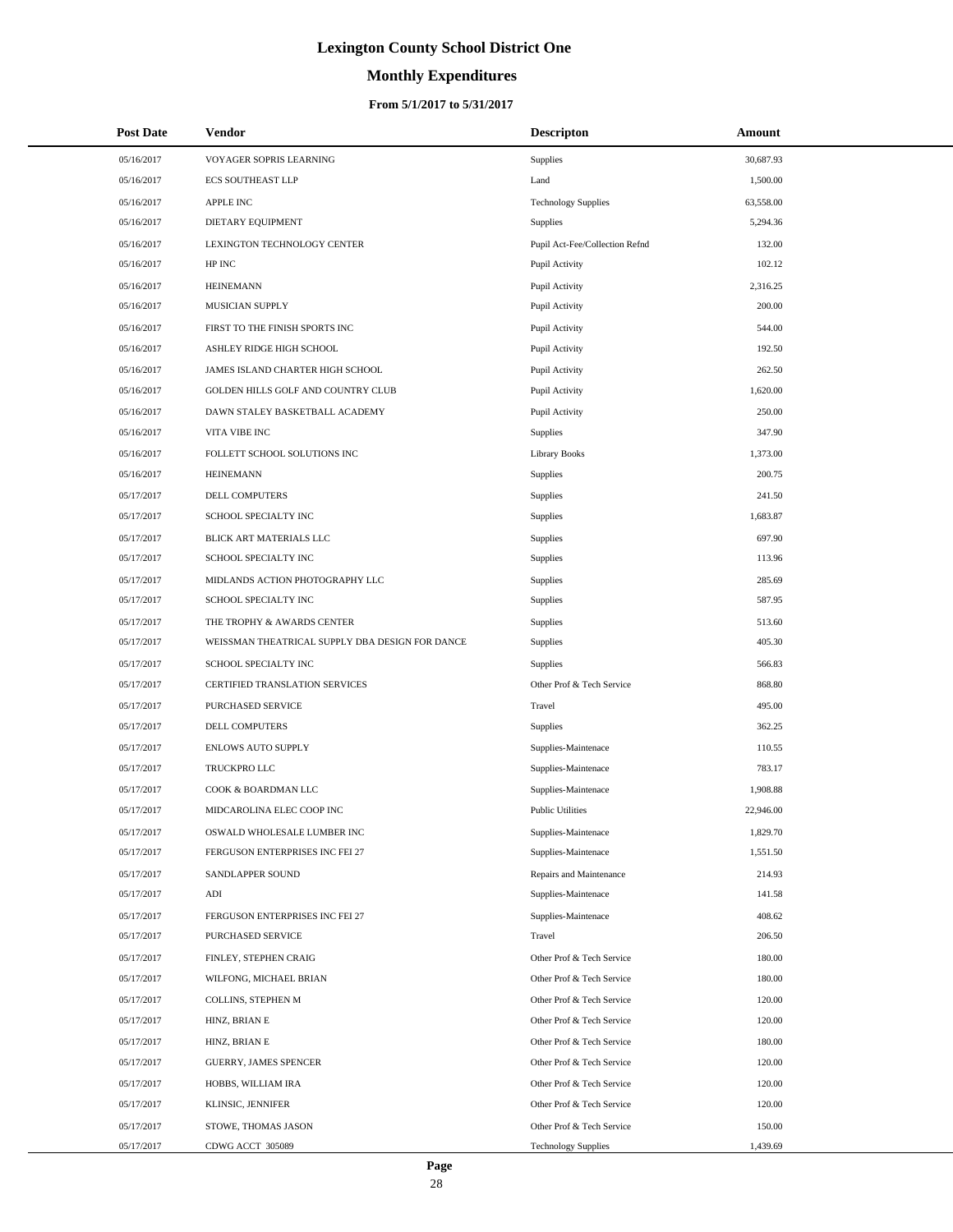# **Monthly Expenditures**

| <b>Post Date</b> | <b>Vendor</b>                                   | <b>Descripton</b>              | Amount    |
|------------------|-------------------------------------------------|--------------------------------|-----------|
| 05/16/2017       | VOYAGER SOPRIS LEARNING                         | Supplies                       | 30,687.93 |
| 05/16/2017       | <b>ECS SOUTHEAST LLP</b>                        | Land                           | 1,500.00  |
| 05/16/2017       | APPLE INC                                       | <b>Technology Supplies</b>     | 63,558.00 |
| 05/16/2017       | DIETARY EQUIPMENT                               | Supplies                       | 5,294.36  |
| 05/16/2017       | LEXINGTON TECHNOLOGY CENTER                     | Pupil Act-Fee/Collection Refnd | 132.00    |
| 05/16/2017       | HP INC                                          | Pupil Activity                 | 102.12    |
| 05/16/2017       | <b>HEINEMANN</b>                                | Pupil Activity                 | 2,316.25  |
| 05/16/2017       | MUSICIAN SUPPLY                                 | Pupil Activity                 | 200.00    |
| 05/16/2017       | FIRST TO THE FINISH SPORTS INC                  | Pupil Activity                 | 544.00    |
| 05/16/2017       | ASHLEY RIDGE HIGH SCHOOL                        | Pupil Activity                 | 192.50    |
| 05/16/2017       | JAMES ISLAND CHARTER HIGH SCHOOL                | Pupil Activity                 | 262.50    |
| 05/16/2017       | GOLDEN HILLS GOLF AND COUNTRY CLUB              | Pupil Activity                 | 1,620.00  |
| 05/16/2017       | DAWN STALEY BASKETBALL ACADEMY                  | Pupil Activity                 | 250.00    |
| 05/16/2017       | VITA VIBE INC                                   | Supplies                       | 347.90    |
| 05/16/2017       | FOLLETT SCHOOL SOLUTIONS INC                    | <b>Library Books</b>           | 1,373.00  |
| 05/16/2017       | <b>HEINEMANN</b>                                | Supplies                       | 200.75    |
| 05/17/2017       | DELL COMPUTERS                                  | Supplies                       | 241.50    |
| 05/17/2017       | SCHOOL SPECIALTY INC                            | Supplies                       | 1,683.87  |
| 05/17/2017       | BLICK ART MATERIALS LLC                         | Supplies                       | 697.90    |
| 05/17/2017       | SCHOOL SPECIALTY INC                            | Supplies                       | 113.96    |
| 05/17/2017       | MIDLANDS ACTION PHOTOGRAPHY LLC                 | Supplies                       | 285.69    |
| 05/17/2017       | SCHOOL SPECIALTY INC                            | Supplies                       | 587.95    |
| 05/17/2017       | THE TROPHY & AWARDS CENTER                      | Supplies                       | 513.60    |
| 05/17/2017       | WEISSMAN THEATRICAL SUPPLY DBA DESIGN FOR DANCE | Supplies                       | 405.30    |
| 05/17/2017       | SCHOOL SPECIALTY INC                            | <b>Supplies</b>                | 566.83    |
| 05/17/2017       | CERTIFIED TRANSLATION SERVICES                  | Other Prof & Tech Service      | 868.80    |
| 05/17/2017       | PURCHASED SERVICE                               | Travel                         | 495.00    |
| 05/17/2017       | <b>DELL COMPUTERS</b>                           | Supplies                       | 362.25    |
| 05/17/2017       | <b>ENLOWS AUTO SUPPLY</b>                       | Supplies-Maintenace            | 110.55    |
| 05/17/2017       | TRUCKPRO LLC                                    | Supplies-Maintenace            | 783.17    |
| 05/17/2017       | COOK & BOARDMAN LLC                             | Supplies-Maintenace            | 1,908.88  |
| 05/17/2017       | MIDCAROLINA ELEC COOP INC                       | <b>Public Utilities</b>        | 22,946.00 |
| 05/17/2017       | OSWALD WHOLESALE LUMBER INC                     | Supplies-Maintenace            | 1,829.70  |
| 05/17/2017       | FERGUSON ENTERPRISES INC FEI 27                 | Supplies-Maintenace            | 1,551.50  |
| 05/17/2017       | SANDLAPPER SOUND                                | Repairs and Maintenance        | 214.93    |
| 05/17/2017       | ADI                                             | Supplies-Maintenace            | 141.58    |
| 05/17/2017       | FERGUSON ENTERPRISES INC FEI 27                 | Supplies-Maintenace            | 408.62    |
| 05/17/2017       | PURCHASED SERVICE                               | Travel                         | 206.50    |
| 05/17/2017       | FINLEY, STEPHEN CRAIG                           | Other Prof & Tech Service      | 180.00    |
| 05/17/2017       | WILFONG, MICHAEL BRIAN                          | Other Prof & Tech Service      | 180.00    |
| 05/17/2017       | COLLINS, STEPHEN M                              | Other Prof & Tech Service      | 120.00    |
| 05/17/2017       | HINZ, BRIAN E                                   | Other Prof & Tech Service      | 120.00    |
| 05/17/2017       | HINZ, BRIAN E                                   | Other Prof & Tech Service      | 180.00    |
| 05/17/2017       | GUERRY, JAMES SPENCER                           | Other Prof & Tech Service      | 120.00    |
| 05/17/2017       | HOBBS, WILLIAM IRA                              | Other Prof & Tech Service      | 120.00    |
| 05/17/2017       | KLINSIC, JENNIFER                               | Other Prof & Tech Service      | 120.00    |
| 05/17/2017       | STOWE, THOMAS JASON                             | Other Prof & Tech Service      | 150.00    |
| 05/17/2017       | CDWG ACCT 305089                                | <b>Technology Supplies</b>     | 1,439.69  |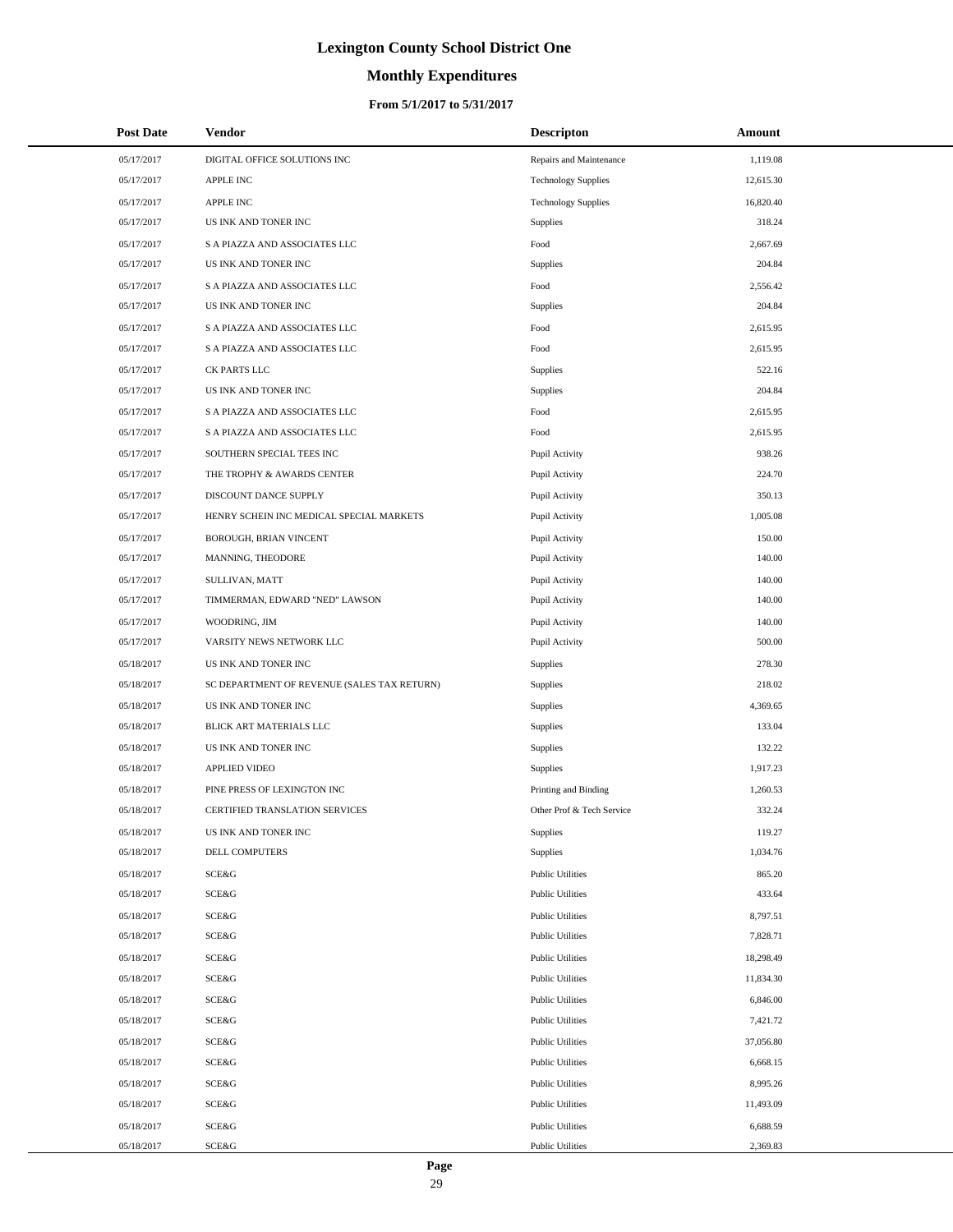# **Monthly Expenditures**

| <b>Post Date</b> | <b>Vendor</b>                               | <b>Descripton</b>          | Amount    |
|------------------|---------------------------------------------|----------------------------|-----------|
| 05/17/2017       | DIGITAL OFFICE SOLUTIONS INC                | Repairs and Maintenance    | 1,119.08  |
| 05/17/2017       | APPLE INC                                   | <b>Technology Supplies</b> | 12,615.30 |
| 05/17/2017       | APPLE INC                                   | <b>Technology Supplies</b> | 16,820.40 |
| 05/17/2017       | US INK AND TONER INC                        | Supplies                   | 318.24    |
| 05/17/2017       | S A PIAZZA AND ASSOCIATES LLC               | Food                       | 2,667.69  |
| 05/17/2017       | US INK AND TONER INC                        | Supplies                   | 204.84    |
| 05/17/2017       | S A PIAZZA AND ASSOCIATES LLC               | Food                       | 2,556.42  |
| 05/17/2017       | US INK AND TONER INC                        | Supplies                   | 204.84    |
| 05/17/2017       | S A PIAZZA AND ASSOCIATES LLC               | Food                       | 2,615.95  |
| 05/17/2017       | S A PIAZZA AND ASSOCIATES LLC               | Food                       | 2,615.95  |
| 05/17/2017       | CK PARTS LLC                                | Supplies                   | 522.16    |
| 05/17/2017       | US INK AND TONER INC                        | Supplies                   | 204.84    |
| 05/17/2017       | S A PIAZZA AND ASSOCIATES LLC               | Food                       | 2,615.95  |
| 05/17/2017       | S A PIAZZA AND ASSOCIATES LLC               | Food                       | 2,615.95  |
| 05/17/2017       | SOUTHERN SPECIAL TEES INC                   | Pupil Activity             | 938.26    |
| 05/17/2017       | THE TROPHY & AWARDS CENTER                  | Pupil Activity             | 224.70    |
| 05/17/2017       | DISCOUNT DANCE SUPPLY                       | Pupil Activity             | 350.13    |
| 05/17/2017       | HENRY SCHEIN INC MEDICAL SPECIAL MARKETS    | Pupil Activity             | 1,005.08  |
| 05/17/2017       | BOROUGH, BRIAN VINCENT                      | Pupil Activity             | 150.00    |
| 05/17/2017       | MANNING, THEODORE                           | Pupil Activity             | 140.00    |
| 05/17/2017       | SULLIVAN, MATT                              | Pupil Activity             | 140.00    |
| 05/17/2017       | TIMMERMAN, EDWARD "NED" LAWSON              | Pupil Activity             | 140.00    |
| 05/17/2017       | WOODRING, JIM                               | Pupil Activity             | 140.00    |
| 05/17/2017       | VARSITY NEWS NETWORK LLC                    | Pupil Activity             | 500.00    |
| 05/18/2017       | US INK AND TONER INC                        | Supplies                   | 278.30    |
| 05/18/2017       | SC DEPARTMENT OF REVENUE (SALES TAX RETURN) | <b>Supplies</b>            | 218.02    |
| 05/18/2017       | US INK AND TONER INC                        | Supplies                   | 4,369.65  |
| 05/18/2017       | BLICK ART MATERIALS LLC                     | Supplies                   | 133.04    |
| 05/18/2017       | US INK AND TONER INC                        | Supplies                   | 132.22    |
| 05/18/2017       | APPLIED VIDEO                               | Supplies                   | 1,917.23  |
| 05/18/2017       | PINE PRESS OF LEXINGTON INC                 | Printing and Binding       | 1,260.53  |
| 05/18/2017       | CERTIFIED TRANSLATION SERVICES              | Other Prof & Tech Service  | 332.24    |
| 05/18/2017       | US INK AND TONER INC                        | Supplies                   | 119.27    |
| 05/18/2017       | DELL COMPUTERS                              | Supplies                   | 1,034.76  |
| 05/18/2017       | SCE&G                                       | <b>Public Utilities</b>    | 865.20    |
| 05/18/2017       | SCE&G                                       | <b>Public Utilities</b>    | 433.64    |
| 05/18/2017       | SCE&G                                       | <b>Public Utilities</b>    | 8,797.51  |
| 05/18/2017       | SCE&G                                       | <b>Public Utilities</b>    | 7,828.71  |
| 05/18/2017       | SCE&G                                       | <b>Public Utilities</b>    | 18,298.49 |
| 05/18/2017       | SCE&G                                       | <b>Public Utilities</b>    | 11,834.30 |
| 05/18/2017       | SCE&G                                       | <b>Public Utilities</b>    | 6,846.00  |
| 05/18/2017       | SCE&G                                       | <b>Public Utilities</b>    | 7,421.72  |
| 05/18/2017       | SCE&G                                       | <b>Public Utilities</b>    | 37,056.80 |
| 05/18/2017       | SCE&G                                       | <b>Public Utilities</b>    | 6,668.15  |
| 05/18/2017       | SCE&G                                       | <b>Public Utilities</b>    | 8,995.26  |
| 05/18/2017       | SCE&G                                       | <b>Public Utilities</b>    | 11,493.09 |
| 05/18/2017       | SCE&G                                       | <b>Public Utilities</b>    | 6,688.59  |
| 05/18/2017       | SCE&G                                       | <b>Public Utilities</b>    | 2,369.83  |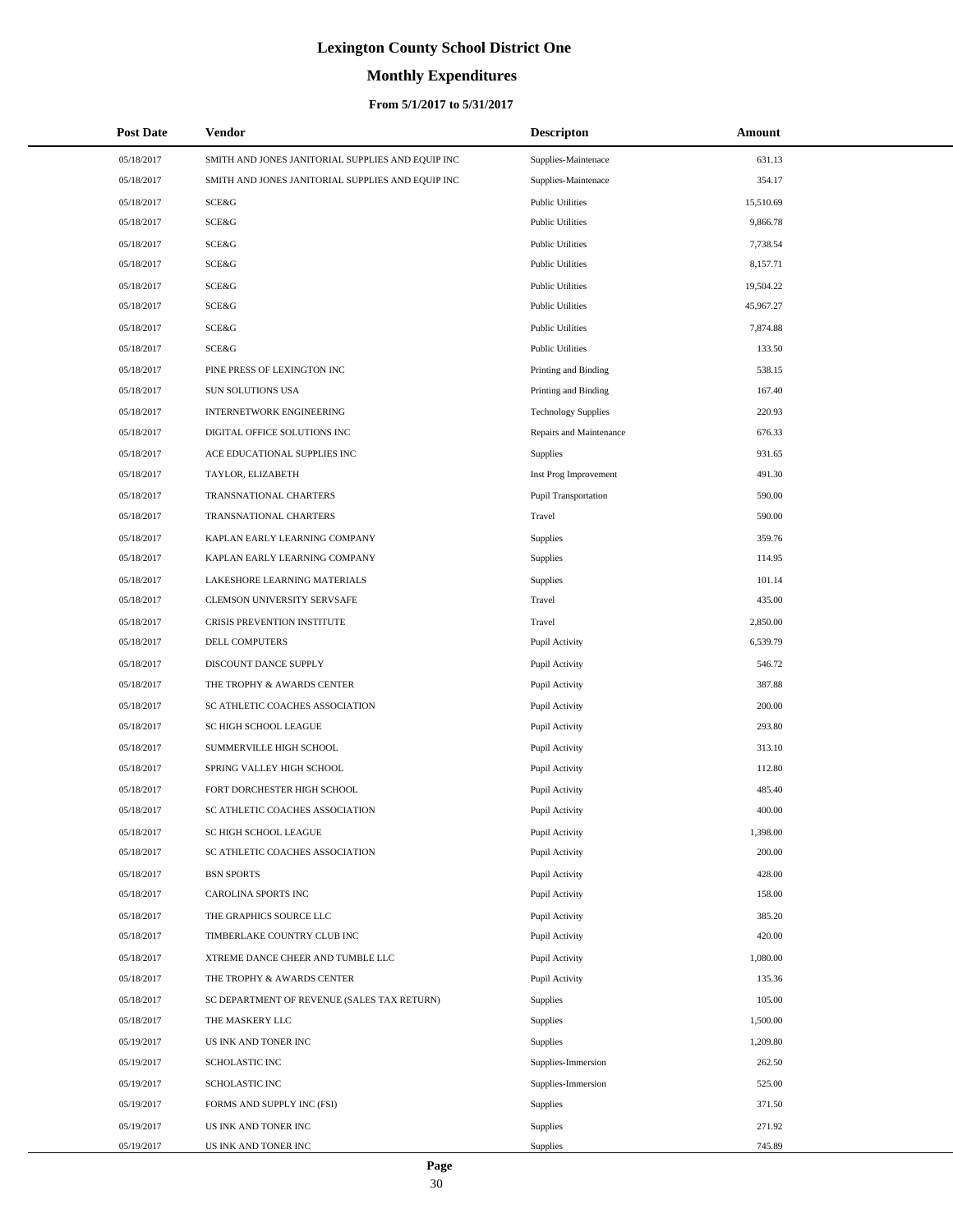# **Monthly Expenditures**

### **From 5/1/2017 to 5/31/2017**

| <b>Post Date</b> | Vendor                                            | <b>Descripton</b>          | Amount    |
|------------------|---------------------------------------------------|----------------------------|-----------|
| 05/18/2017       | SMITH AND JONES JANITORIAL SUPPLIES AND EQUIP INC | Supplies-Maintenace        | 631.13    |
| 05/18/2017       | SMITH AND JONES JANITORIAL SUPPLIES AND EQUIP INC | Supplies-Maintenace        | 354.17    |
| 05/18/2017       | SCE&G                                             | <b>Public Utilities</b>    | 15,510.69 |
| 05/18/2017       | <b>SCE&amp;G</b>                                  | <b>Public Utilities</b>    | 9,866.78  |
| 05/18/2017       | <b>SCE&amp;G</b>                                  | <b>Public Utilities</b>    | 7,738.54  |
| 05/18/2017       | SCE&G                                             | <b>Public Utilities</b>    | 8,157.71  |
| 05/18/2017       | <b>SCE&amp;G</b>                                  | <b>Public Utilities</b>    | 19,504.22 |
| 05/18/2017       | <b>SCE&amp;G</b>                                  | <b>Public Utilities</b>    | 45,967.27 |
| 05/18/2017       | SCE&G                                             | <b>Public Utilities</b>    | 7,874.88  |
| 05/18/2017       | SCE&G                                             | <b>Public Utilities</b>    | 133.50    |
| 05/18/2017       | PINE PRESS OF LEXINGTON INC                       | Printing and Binding       | 538.15    |
| 05/18/2017       | SUN SOLUTIONS USA                                 | Printing and Binding       | 167.40    |
| 05/18/2017       | INTERNETWORK ENGINEERING                          | <b>Technology Supplies</b> | 220.93    |
| 05/18/2017       | DIGITAL OFFICE SOLUTIONS INC                      | Repairs and Maintenance    | 676.33    |
| 05/18/2017       | ACE EDUCATIONAL SUPPLIES INC                      | Supplies                   | 931.65    |
| 05/18/2017       | TAYLOR, ELIZABETH                                 | Inst Prog Improvement      | 491.30    |
| 05/18/2017       | TRANSNATIONAL CHARTERS                            | Pupil Transportation       | 590.00    |
| 05/18/2017       | TRANSNATIONAL CHARTERS                            | Travel                     | 590.00    |
| 05/18/2017       | KAPLAN EARLY LEARNING COMPANY                     | Supplies                   | 359.76    |
| 05/18/2017       | KAPLAN EARLY LEARNING COMPANY                     | Supplies                   | 114.95    |
| 05/18/2017       | LAKESHORE LEARNING MATERIALS                      | Supplies                   | 101.14    |
| 05/18/2017       | CLEMSON UNIVERSITY SERVSAFE                       | Travel                     | 435.00    |
| 05/18/2017       | CRISIS PREVENTION INSTITUTE                       | Travel                     | 2,850.00  |
| 05/18/2017       | DELL COMPUTERS                                    | Pupil Activity             | 6,539.79  |
| 05/18/2017       | DISCOUNT DANCE SUPPLY                             | Pupil Activity             | 546.72    |
| 05/18/2017       | THE TROPHY & AWARDS CENTER                        | Pupil Activity             | 387.88    |
| 05/18/2017       | SC ATHLETIC COACHES ASSOCIATION                   | Pupil Activity             | 200.00    |
| 05/18/2017       | SC HIGH SCHOOL LEAGUE                             | Pupil Activity             | 293.80    |
| 05/18/2017       | SUMMERVILLE HIGH SCHOOL                           | Pupil Activity             | 313.10    |
| 05/18/2017       | SPRING VALLEY HIGH SCHOOL                         | Pupil Activity             | 112.80    |
| 05/18/2017       | FORT DORCHESTER HIGH SCHOOL                       | Pupil Activity             | 485.40    |
| 05/18/2017       | SC ATHLETIC COACHES ASSOCIATION                   | Pupil Activity             | 400.00    |
| 05/18/2017       | SC HIGH SCHOOL LEAGUE                             | Pupil Activity             | 1,398.00  |
| 05/18/2017       | SC ATHLETIC COACHES ASSOCIATION                   | Pupil Activity             | 200.00    |
| 05/18/2017       | <b>BSN SPORTS</b>                                 | Pupil Activity             | 428.00    |
| 05/18/2017       | CAROLINA SPORTS INC                               | Pupil Activity             | 158.00    |
| 05/18/2017       | THE GRAPHICS SOURCE LLC                           | Pupil Activity             | 385.20    |
| 05/18/2017       | TIMBERLAKE COUNTRY CLUB INC                       | Pupil Activity             | 420.00    |
| 05/18/2017       | XTREME DANCE CHEER AND TUMBLE LLC                 | Pupil Activity             | 1,080.00  |
| 05/18/2017       | THE TROPHY & AWARDS CENTER                        | Pupil Activity             | 135.36    |
| 05/18/2017       | SC DEPARTMENT OF REVENUE (SALES TAX RETURN)       | Supplies                   | 105.00    |
| 05/18/2017       | THE MASKERY LLC                                   | Supplies                   | 1,500.00  |
| 05/19/2017       | US INK AND TONER INC                              | Supplies                   | 1,209.80  |
| 05/19/2017       | SCHOLASTIC INC                                    | Supplies-Immersion         | 262.50    |
| 05/19/2017       | <b>SCHOLASTIC INC</b>                             | Supplies-Immersion         | 525.00    |
| 05/19/2017       | FORMS AND SUPPLY INC (FSI)                        | Supplies                   | 371.50    |
| 05/19/2017       | US INK AND TONER INC                              | Supplies                   | 271.92    |
| 05/19/2017       | US INK AND TONER INC                              | Supplies                   | 745.89    |

÷.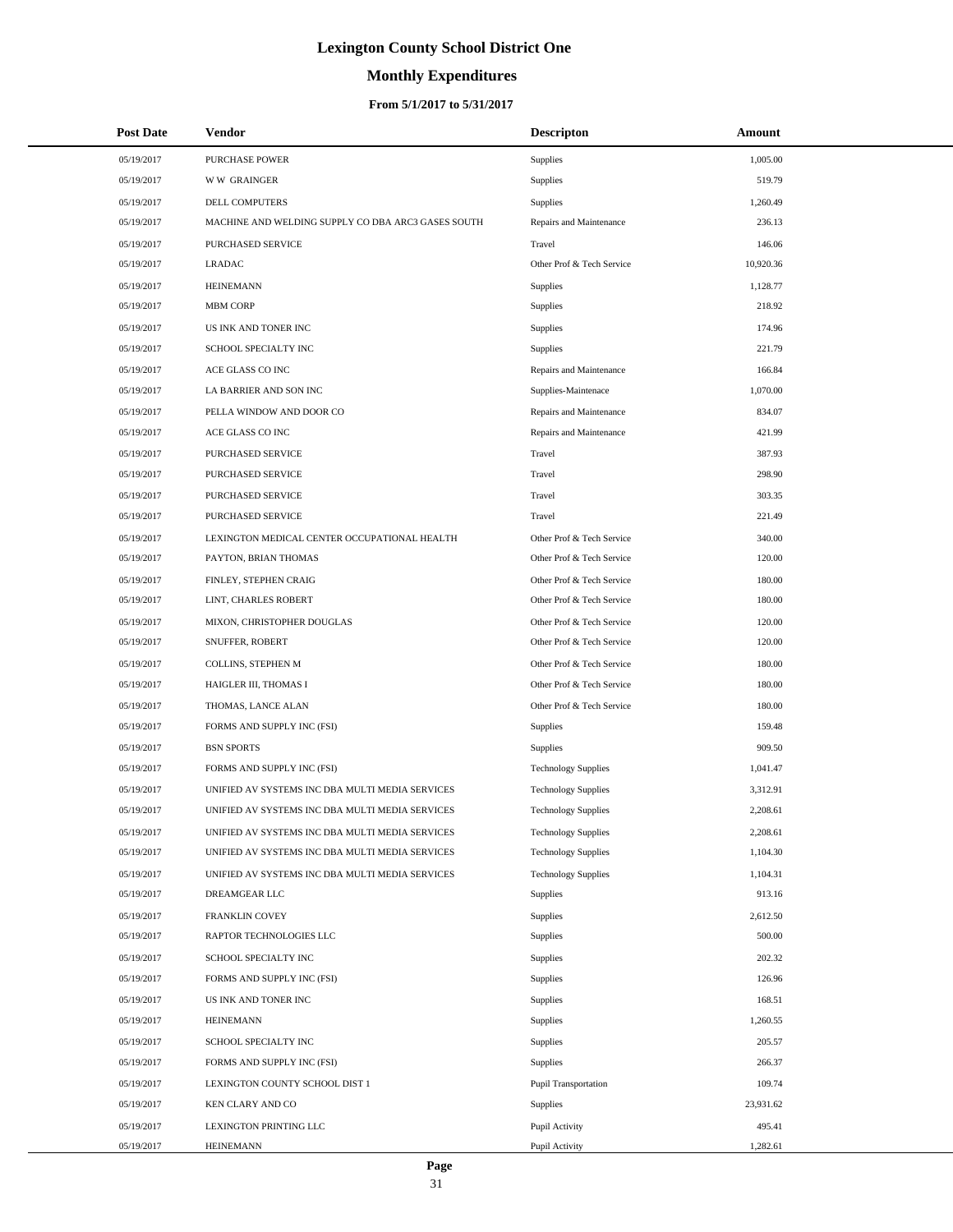# **Monthly Expenditures**

| <b>Post Date</b> | <b>Vendor</b>                                      | <b>Descripton</b>          | Amount    |
|------------------|----------------------------------------------------|----------------------------|-----------|
| 05/19/2017       | <b>PURCHASE POWER</b>                              | <b>Supplies</b>            | 1,005.00  |
| 05/19/2017       | <b>WW GRAINGER</b>                                 | Supplies                   | 519.79    |
| 05/19/2017       | DELL COMPUTERS                                     | Supplies                   | 1,260.49  |
| 05/19/2017       | MACHINE AND WELDING SUPPLY CO DBA ARC3 GASES SOUTH | Repairs and Maintenance    | 236.13    |
| 05/19/2017       | PURCHASED SERVICE                                  | Travel                     | 146.06    |
| 05/19/2017       | <b>LRADAC</b>                                      | Other Prof & Tech Service  | 10,920.36 |
| 05/19/2017       | <b>HEINEMANN</b>                                   | Supplies                   | 1,128.77  |
| 05/19/2017       | <b>MBM CORP</b>                                    | <b>Supplies</b>            | 218.92    |
| 05/19/2017       | US INK AND TONER INC                               | Supplies                   | 174.96    |
| 05/19/2017       | SCHOOL SPECIALTY INC                               | Supplies                   | 221.79    |
| 05/19/2017       | ACE GLASS CO INC                                   | Repairs and Maintenance    | 166.84    |
| 05/19/2017       | LA BARRIER AND SON INC                             | Supplies-Maintenace        | 1,070.00  |
| 05/19/2017       | PELLA WINDOW AND DOOR CO                           | Repairs and Maintenance    | 834.07    |
| 05/19/2017       | ACE GLASS CO INC                                   | Repairs and Maintenance    | 421.99    |
| 05/19/2017       | PURCHASED SERVICE                                  | Travel                     | 387.93    |
| 05/19/2017       | PURCHASED SERVICE                                  | Travel                     | 298.90    |
| 05/19/2017       | PURCHASED SERVICE                                  | Travel                     | 303.35    |
| 05/19/2017       | PURCHASED SERVICE                                  | Travel                     | 221.49    |
| 05/19/2017       | LEXINGTON MEDICAL CENTER OCCUPATIONAL HEALTH       | Other Prof & Tech Service  | 340.00    |
| 05/19/2017       | PAYTON, BRIAN THOMAS                               | Other Prof & Tech Service  | 120.00    |
| 05/19/2017       | FINLEY, STEPHEN CRAIG                              | Other Prof & Tech Service  | 180.00    |
| 05/19/2017       | LINT, CHARLES ROBERT                               | Other Prof & Tech Service  | 180.00    |
| 05/19/2017       | MIXON, CHRISTOPHER DOUGLAS                         | Other Prof & Tech Service  | 120.00    |
| 05/19/2017       | SNUFFER, ROBERT                                    | Other Prof & Tech Service  | 120.00    |
| 05/19/2017       | COLLINS, STEPHEN M                                 | Other Prof & Tech Service  | 180.00    |
| 05/19/2017       | HAIGLER III, THOMAS I                              | Other Prof & Tech Service  | 180.00    |
| 05/19/2017       | THOMAS, LANCE ALAN                                 | Other Prof & Tech Service  | 180.00    |
| 05/19/2017       | FORMS AND SUPPLY INC (FSI)                         | Supplies                   | 159.48    |
| 05/19/2017       | <b>BSN SPORTS</b>                                  | <b>Supplies</b>            | 909.50    |
| 05/19/2017       | FORMS AND SUPPLY INC (FSI)                         | <b>Technology Supplies</b> | 1,041.47  |
| 05/19/2017       | UNIFIED AV SYSTEMS INC DBA MULTI MEDIA SERVICES    | <b>Technology Supplies</b> | 3,312.91  |
| 05/19/2017       | UNIFIED AV SYSTEMS INC DBA MULTI MEDIA SERVICES    | <b>Technology Supplies</b> | 2,208.61  |
| 05/19/2017       | UNIFIED AV SYSTEMS INC DBA MULTI MEDIA SERVICES    | <b>Technology Supplies</b> | 2,208.61  |
| 05/19/2017       | UNIFIED AV SYSTEMS INC DBA MULTI MEDIA SERVICES    | <b>Technology Supplies</b> | 1,104.30  |
| 05/19/2017       | UNIFIED AV SYSTEMS INC DBA MULTI MEDIA SERVICES    | <b>Technology Supplies</b> | 1,104.31  |
| 05/19/2017       | DREAMGEAR LLC                                      | <b>Supplies</b>            | 913.16    |
| 05/19/2017       | FRANKLIN COVEY                                     | Supplies                   | 2,612.50  |
| 05/19/2017       | RAPTOR TECHNOLOGIES LLC                            | Supplies                   | 500.00    |
| 05/19/2017       | SCHOOL SPECIALTY INC                               | Supplies                   | 202.32    |
| 05/19/2017       | FORMS AND SUPPLY INC (FSI)                         | Supplies                   | 126.96    |
| 05/19/2017       | US INK AND TONER INC                               | Supplies                   | 168.51    |
| 05/19/2017       | <b>HEINEMANN</b>                                   | Supplies                   | 1,260.55  |
| 05/19/2017       | SCHOOL SPECIALTY INC                               | Supplies                   | 205.57    |
| 05/19/2017       | FORMS AND SUPPLY INC (FSI)                         | Supplies                   | 266.37    |
| 05/19/2017       | LEXINGTON COUNTY SCHOOL DIST 1                     | Pupil Transportation       | 109.74    |
| 05/19/2017       | KEN CLARY AND CO                                   | Supplies                   | 23,931.62 |
| 05/19/2017       | LEXINGTON PRINTING LLC                             | Pupil Activity             | 495.41    |
| 05/19/2017       | <b>HEINEMANN</b>                                   | Pupil Activity             | 1,282.61  |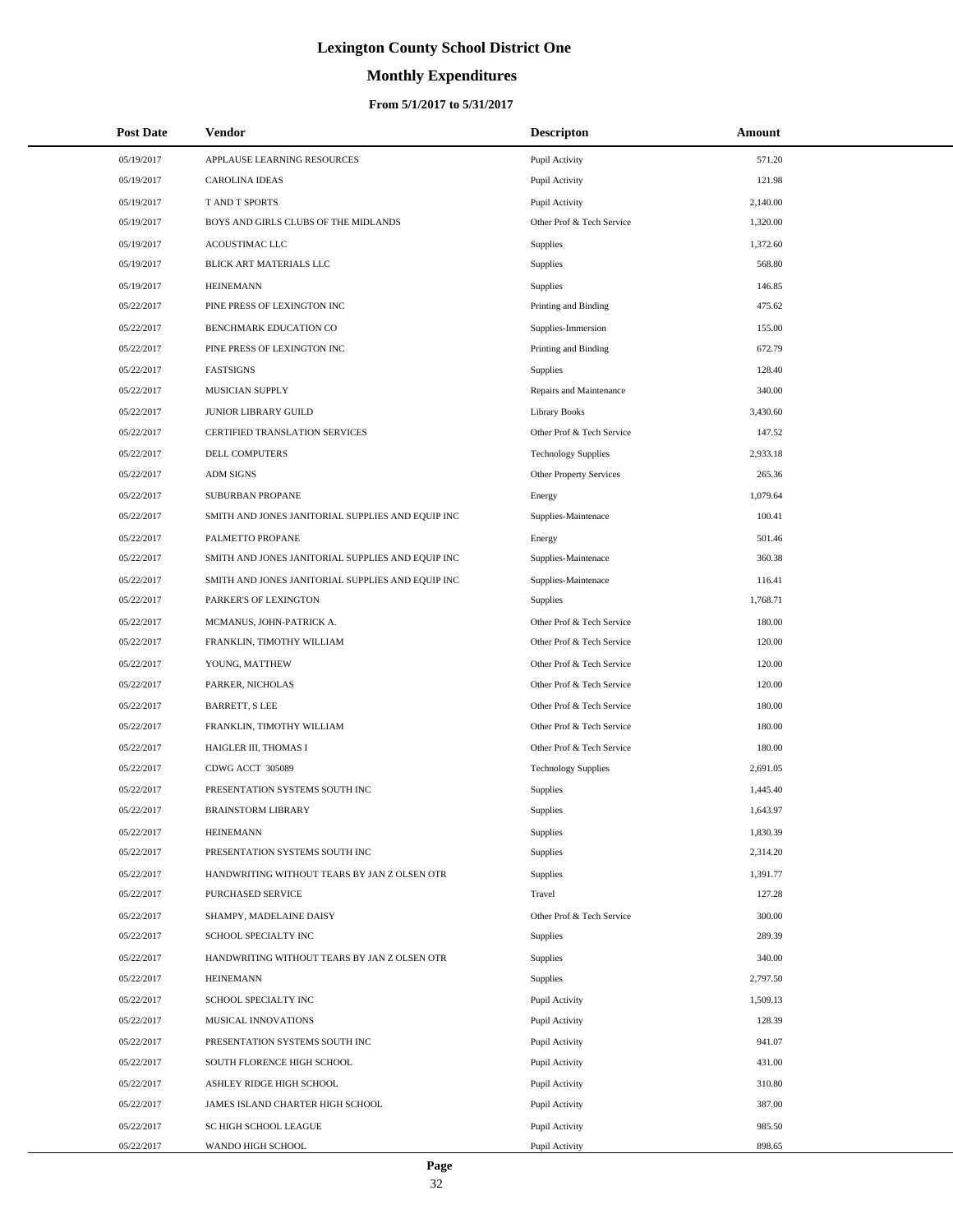# **Monthly Expenditures**

### **From 5/1/2017 to 5/31/2017**

| <b>Post Date</b> | Vendor                                            | <b>Descripton</b>          | Amount   |
|------------------|---------------------------------------------------|----------------------------|----------|
| 05/19/2017       | APPLAUSE LEARNING RESOURCES                       | Pupil Activity             | 571.20   |
| 05/19/2017       | <b>CAROLINA IDEAS</b>                             | Pupil Activity             | 121.98   |
| 05/19/2017       | <b>T AND T SPORTS</b>                             | Pupil Activity             | 2,140.00 |
| 05/19/2017       | BOYS AND GIRLS CLUBS OF THE MIDLANDS              | Other Prof & Tech Service  | 1,320.00 |
| 05/19/2017       | ACOUSTIMAC LLC                                    | Supplies                   | 1,372.60 |
| 05/19/2017       | BLICK ART MATERIALS LLC                           | Supplies                   | 568.80   |
| 05/19/2017       | <b>HEINEMANN</b>                                  | Supplies                   | 146.85   |
| 05/22/2017       | PINE PRESS OF LEXINGTON INC                       | Printing and Binding       | 475.62   |
| 05/22/2017       | BENCHMARK EDUCATION CO                            | Supplies-Immersion         | 155.00   |
| 05/22/2017       | PINE PRESS OF LEXINGTON INC                       | Printing and Binding       | 672.79   |
| 05/22/2017       | <b>FASTSIGNS</b>                                  | Supplies                   | 128.40   |
| 05/22/2017       | MUSICIAN SUPPLY                                   | Repairs and Maintenance    | 340.00   |
| 05/22/2017       | JUNIOR LIBRARY GUILD                              | <b>Library Books</b>       | 3,430.60 |
| 05/22/2017       | CERTIFIED TRANSLATION SERVICES                    | Other Prof & Tech Service  | 147.52   |
| 05/22/2017       | <b>DELL COMPUTERS</b>                             | <b>Technology Supplies</b> | 2,933.18 |
| 05/22/2017       | <b>ADM SIGNS</b>                                  | Other Property Services    | 265.36   |
| 05/22/2017       | <b>SUBURBAN PROPANE</b>                           | Energy                     | 1,079.64 |
| 05/22/2017       | SMITH AND JONES JANITORIAL SUPPLIES AND EQUIP INC | Supplies-Maintenace        | 100.41   |
| 05/22/2017       | PALMETTO PROPANE                                  | Energy                     | 501.46   |
| 05/22/2017       | SMITH AND JONES JANITORIAL SUPPLIES AND EQUIP INC | Supplies-Maintenace        | 360.38   |
| 05/22/2017       | SMITH AND JONES JANITORIAL SUPPLIES AND EQUIP INC | Supplies-Maintenace        | 116.41   |
| 05/22/2017       | PARKER'S OF LEXINGTON                             | Supplies                   | 1,768.71 |
| 05/22/2017       | MCMANUS, JOHN-PATRICK A.                          | Other Prof & Tech Service  | 180.00   |
| 05/22/2017       | FRANKLIN, TIMOTHY WILLIAM                         | Other Prof & Tech Service  | 120.00   |
| 05/22/2017       | YOUNG, MATTHEW                                    | Other Prof & Tech Service  | 120.00   |
| 05/22/2017       | PARKER, NICHOLAS                                  | Other Prof & Tech Service  | 120.00   |
| 05/22/2017       | <b>BARRETT, S LEE</b>                             | Other Prof & Tech Service  | 180.00   |
| 05/22/2017       | FRANKLIN, TIMOTHY WILLIAM                         | Other Prof & Tech Service  | 180.00   |
| 05/22/2017       | HAIGLER III, THOMAS I                             | Other Prof & Tech Service  | 180.00   |
| 05/22/2017       | CDWG ACCT 305089                                  | <b>Technology Supplies</b> | 2,691.05 |
| 05/22/2017       | PRESENTATION SYSTEMS SOUTH INC                    | Supplies                   | 1,445.40 |
| 05/22/2017       | <b>BRAINSTORM LIBRARY</b>                         | Supplies                   | 1,643.97 |
| 05/22/2017       | <b>HEINEMANN</b>                                  | Supplies                   | 1,830.39 |
| 05/22/2017       | PRESENTATION SYSTEMS SOUTH INC                    | Supplies                   | 2,314.20 |
| 05/22/2017       | HANDWRITING WITHOUT TEARS BY JAN Z OLSEN OTR      | Supplies                   | 1,391.77 |
| 05/22/2017       | <b>PURCHASED SERVICE</b>                          | Travel                     | 127.28   |
| 05/22/2017       | SHAMPY, MADELAINE DAISY                           | Other Prof & Tech Service  | 300.00   |
| 05/22/2017       | SCHOOL SPECIALTY INC                              | Supplies                   | 289.39   |
| 05/22/2017       | HANDWRITING WITHOUT TEARS BY JAN Z OLSEN OTR      | Supplies                   | 340.00   |
| 05/22/2017       | <b>HEINEMANN</b>                                  | <b>Supplies</b>            | 2,797.50 |
| 05/22/2017       | SCHOOL SPECIALTY INC                              | Pupil Activity             | 1,509.13 |
| 05/22/2017       | MUSICAL INNOVATIONS                               | Pupil Activity             | 128.39   |
| 05/22/2017       | PRESENTATION SYSTEMS SOUTH INC                    | Pupil Activity             | 941.07   |
| 05/22/2017       | SOUTH FLORENCE HIGH SCHOOL                        | Pupil Activity             | 431.00   |
| 05/22/2017       | ASHLEY RIDGE HIGH SCHOOL                          | Pupil Activity             | 310.80   |
| 05/22/2017       | JAMES ISLAND CHARTER HIGH SCHOOL                  | Pupil Activity             | 387.00   |
| 05/22/2017       | SC HIGH SCHOOL LEAGUE                             | Pupil Activity             | 985.50   |
| 05/22/2017       | WANDO HIGH SCHOOL                                 | Pupil Activity             | 898.65   |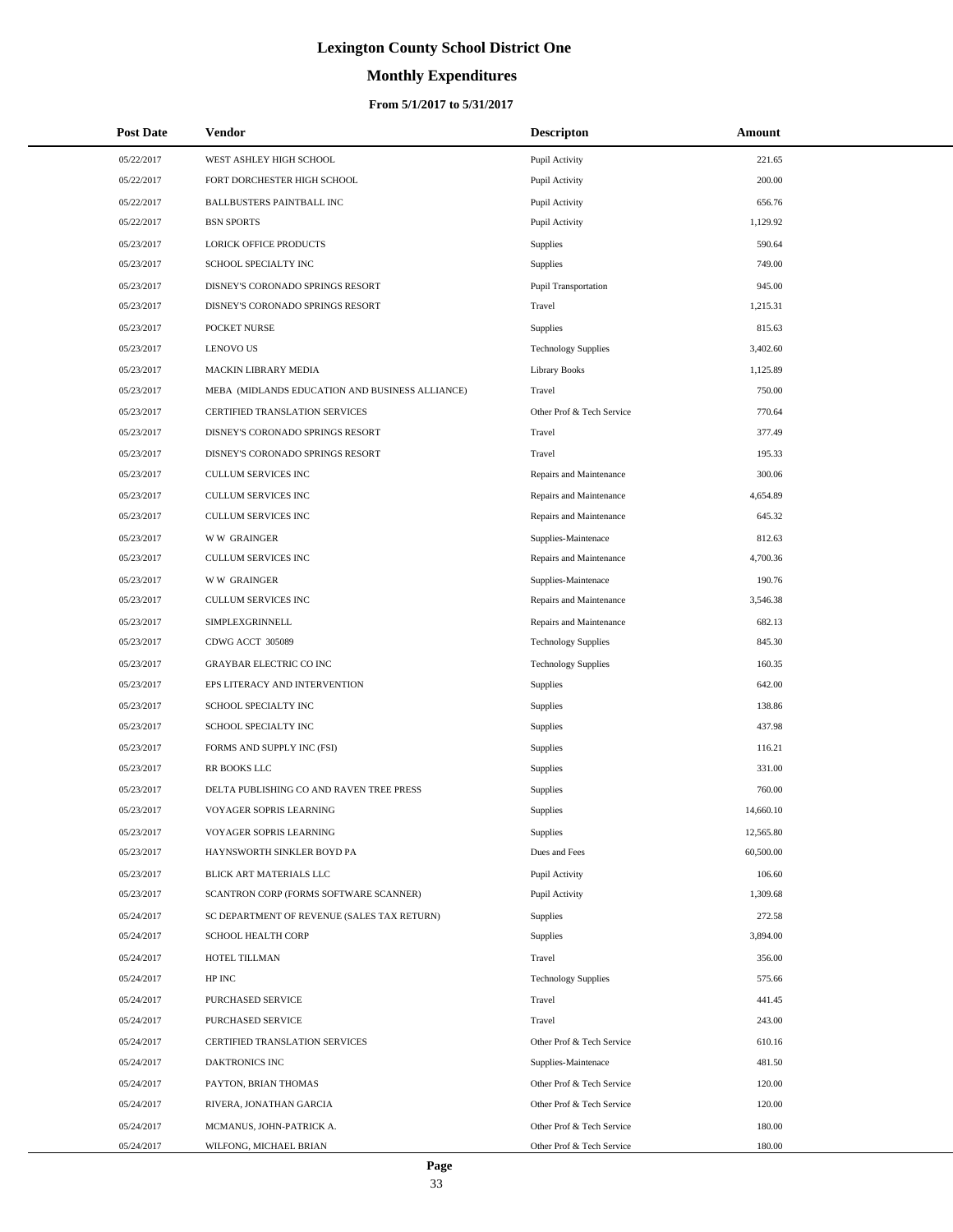# **Monthly Expenditures**

### **From 5/1/2017 to 5/31/2017**

| <b>Post Date</b> | <b>Vendor</b>                                   | <b>Descripton</b>          | Amount    |
|------------------|-------------------------------------------------|----------------------------|-----------|
| 05/22/2017       | WEST ASHLEY HIGH SCHOOL                         | Pupil Activity             | 221.65    |
| 05/22/2017       | FORT DORCHESTER HIGH SCHOOL                     | Pupil Activity             | 200.00    |
| 05/22/2017       | <b>BALLBUSTERS PAINTBALL INC</b>                | Pupil Activity             | 656.76    |
| 05/22/2017       | <b>BSN SPORTS</b>                               | Pupil Activity             | 1,129.92  |
| 05/23/2017       | LORICK OFFICE PRODUCTS                          | <b>Supplies</b>            | 590.64    |
| 05/23/2017       | SCHOOL SPECIALTY INC                            | Supplies                   | 749.00    |
| 05/23/2017       | DISNEY'S CORONADO SPRINGS RESORT                | Pupil Transportation       | 945.00    |
| 05/23/2017       | DISNEY'S CORONADO SPRINGS RESORT                | Travel                     | 1,215.31  |
| 05/23/2017       | POCKET NURSE                                    | Supplies                   | 815.63    |
| 05/23/2017       | <b>LENOVO US</b>                                | <b>Technology Supplies</b> | 3,402.60  |
| 05/23/2017       | MACKIN LIBRARY MEDIA                            | <b>Library Books</b>       | 1,125.89  |
| 05/23/2017       | MEBA (MIDLANDS EDUCATION AND BUSINESS ALLIANCE) | Travel                     | 750.00    |
| 05/23/2017       | CERTIFIED TRANSLATION SERVICES                  | Other Prof & Tech Service  | 770.64    |
| 05/23/2017       | DISNEY'S CORONADO SPRINGS RESORT                | Travel                     | 377.49    |
| 05/23/2017       | DISNEY'S CORONADO SPRINGS RESORT                | Travel                     | 195.33    |
| 05/23/2017       | CULLUM SERVICES INC                             | Repairs and Maintenance    | 300.06    |
| 05/23/2017       | <b>CULLUM SERVICES INC</b>                      | Repairs and Maintenance    | 4,654.89  |
| 05/23/2017       | CULLUM SERVICES INC                             | Repairs and Maintenance    | 645.32    |
| 05/23/2017       | <b>WW GRAINGER</b>                              | Supplies-Maintenace        | 812.63    |
| 05/23/2017       | <b>CULLUM SERVICES INC</b>                      | Repairs and Maintenance    | 4,700.36  |
| 05/23/2017       | <b>WW GRAINGER</b>                              | Supplies-Maintenace        | 190.76    |
| 05/23/2017       | <b>CULLUM SERVICES INC</b>                      | Repairs and Maintenance    | 3,546.38  |
| 05/23/2017       | SIMPLEXGRINNELL                                 | Repairs and Maintenance    | 682.13    |
| 05/23/2017       | CDWG ACCT 305089                                | <b>Technology Supplies</b> | 845.30    |
| 05/23/2017       | <b>GRAYBAR ELECTRIC CO INC</b>                  | <b>Technology Supplies</b> | 160.35    |
| 05/23/2017       | EPS LITERACY AND INTERVENTION                   | Supplies                   | 642.00    |
| 05/23/2017       | SCHOOL SPECIALTY INC                            | Supplies                   | 138.86    |
| 05/23/2017       | SCHOOL SPECIALTY INC                            | Supplies                   | 437.98    |
| 05/23/2017       | FORMS AND SUPPLY INC (FSI)                      | Supplies                   | 116.21    |
| 05/23/2017       | RR BOOKS LLC                                    | Supplies                   | 331.00    |
| 05/23/2017       | DELTA PUBLISHING CO AND RAVEN TREE PRESS        | Supplies                   | 760.00    |
| 05/23/2017       | VOYAGER SOPRIS LEARNING                         | Supplies                   | 14,660.10 |
| 05/23/2017       | VOYAGER SOPRIS LEARNING                         | <b>Supplies</b>            | 12,565.80 |
| 05/23/2017       | HAYNSWORTH SINKLER BOYD PA                      | Dues and Fees              | 60,500.00 |
| 05/23/2017       | BLICK ART MATERIALS LLC                         | Pupil Activity             | 106.60    |
| 05/23/2017       | SCANTRON CORP (FORMS SOFTWARE SCANNER)          | Pupil Activity             | 1,309.68  |
| 05/24/2017       | SC DEPARTMENT OF REVENUE (SALES TAX RETURN)     | <b>Supplies</b>            | 272.58    |
| 05/24/2017       | SCHOOL HEALTH CORP                              | <b>Supplies</b>            | 3,894.00  |
| 05/24/2017       | HOTEL TILLMAN                                   | Travel                     | 356.00    |
| 05/24/2017       | HP INC                                          | <b>Technology Supplies</b> | 575.66    |
| 05/24/2017       | PURCHASED SERVICE                               | Travel                     | 441.45    |
| 05/24/2017       | PURCHASED SERVICE                               | Travel                     | 243.00    |
| 05/24/2017       | CERTIFIED TRANSLATION SERVICES                  | Other Prof & Tech Service  | 610.16    |
| 05/24/2017       | DAKTRONICS INC                                  | Supplies-Maintenace        | 481.50    |
| 05/24/2017       | PAYTON, BRIAN THOMAS                            | Other Prof & Tech Service  | 120.00    |
| 05/24/2017       | RIVERA, JONATHAN GARCIA                         | Other Prof & Tech Service  | 120.00    |
| 05/24/2017       | MCMANUS, JOHN-PATRICK A.                        | Other Prof & Tech Service  | 180.00    |
| 05/24/2017       | WILFONG, MICHAEL BRIAN                          | Other Prof & Tech Service  | 180.00    |

 $\overline{a}$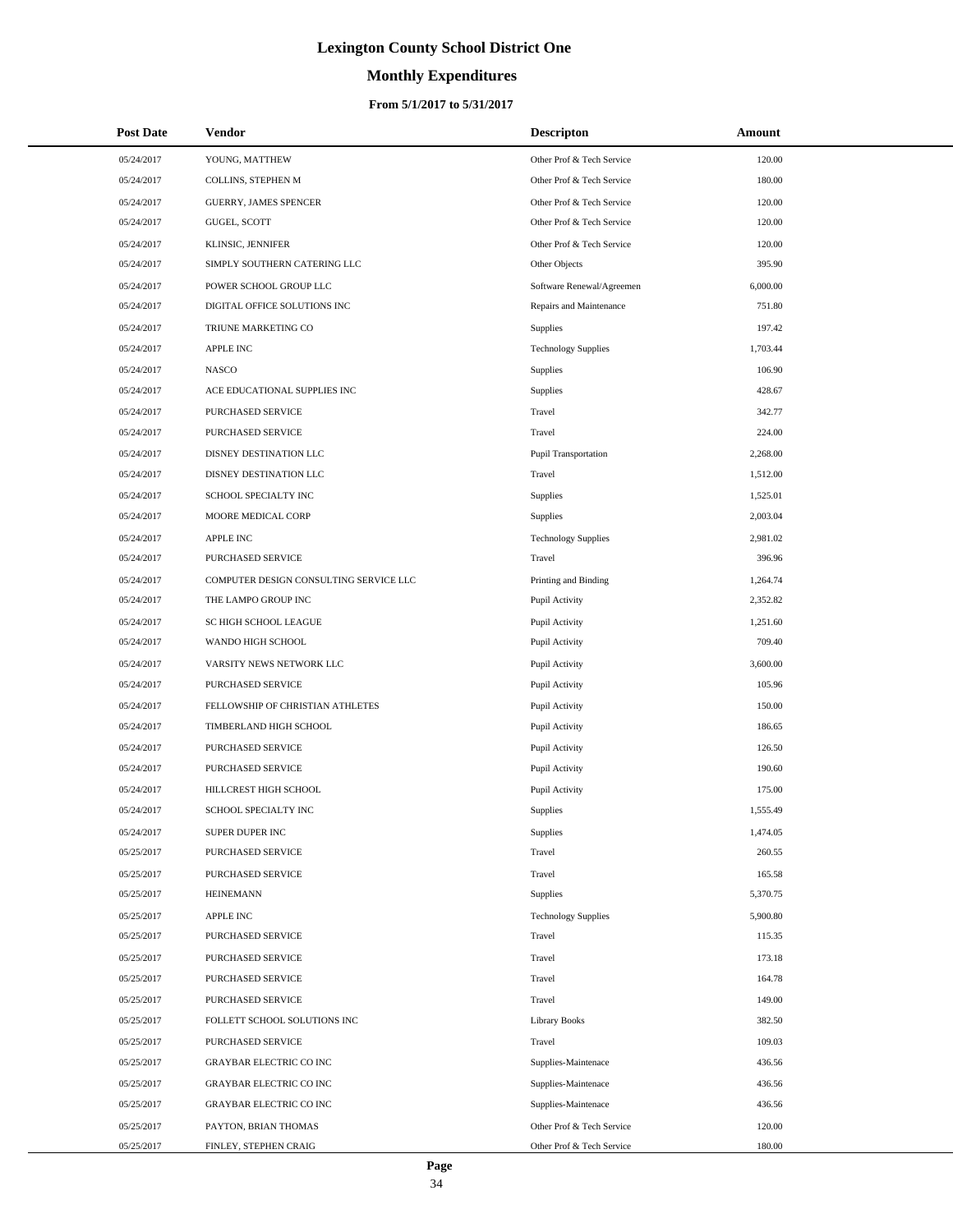# **Monthly Expenditures**

### **From 5/1/2017 to 5/31/2017**

| <b>Post Date</b> | <b>Vendor</b>                          | <b>Descripton</b>          | Amount   |
|------------------|----------------------------------------|----------------------------|----------|
| 05/24/2017       | YOUNG, MATTHEW                         | Other Prof & Tech Service  | 120.00   |
| 05/24/2017       | COLLINS, STEPHEN M                     | Other Prof & Tech Service  | 180.00   |
| 05/24/2017       | <b>GUERRY, JAMES SPENCER</b>           | Other Prof & Tech Service  | 120.00   |
| 05/24/2017       | GUGEL, SCOTT                           | Other Prof & Tech Service  | 120.00   |
| 05/24/2017       | KLINSIC, JENNIFER                      | Other Prof & Tech Service  | 120.00   |
| 05/24/2017       | SIMPLY SOUTHERN CATERING LLC           | Other Objects              | 395.90   |
| 05/24/2017       | POWER SCHOOL GROUP LLC                 | Software Renewal/Agreemen  | 6,000.00 |
| 05/24/2017       | DIGITAL OFFICE SOLUTIONS INC           | Repairs and Maintenance    | 751.80   |
| 05/24/2017       | TRIUNE MARKETING CO                    | Supplies                   | 197.42   |
| 05/24/2017       | <b>APPLE INC</b>                       | <b>Technology Supplies</b> | 1,703.44 |
| 05/24/2017       | <b>NASCO</b>                           | Supplies                   | 106.90   |
| 05/24/2017       | ACE EDUCATIONAL SUPPLIES INC           | Supplies                   | 428.67   |
| 05/24/2017       | PURCHASED SERVICE                      | Travel                     | 342.77   |
| 05/24/2017       | PURCHASED SERVICE                      | Travel                     | 224.00   |
| 05/24/2017       | DISNEY DESTINATION LLC                 | Pupil Transportation       | 2,268.00 |
| 05/24/2017       | DISNEY DESTINATION LLC                 | Travel                     | 1,512.00 |
| 05/24/2017       | SCHOOL SPECIALTY INC                   | Supplies                   | 1,525.01 |
| 05/24/2017       | MOORE MEDICAL CORP                     | Supplies                   | 2,003.04 |
| 05/24/2017       | <b>APPLE INC</b>                       | <b>Technology Supplies</b> | 2,981.02 |
| 05/24/2017       | PURCHASED SERVICE                      | Travel                     | 396.96   |
| 05/24/2017       | COMPUTER DESIGN CONSULTING SERVICE LLC | Printing and Binding       | 1,264.74 |
| 05/24/2017       | THE LAMPO GROUP INC                    | Pupil Activity             | 2,352.82 |
| 05/24/2017       | SC HIGH SCHOOL LEAGUE                  | Pupil Activity             | 1,251.60 |
| 05/24/2017       | WANDO HIGH SCHOOL                      | Pupil Activity             | 709.40   |
| 05/24/2017       | VARSITY NEWS NETWORK LLC               | Pupil Activity             | 3,600.00 |
| 05/24/2017       | PURCHASED SERVICE                      | Pupil Activity             | 105.96   |
| 05/24/2017       | FELLOWSHIP OF CHRISTIAN ATHLETES       | Pupil Activity             | 150.00   |
| 05/24/2017       | TIMBERLAND HIGH SCHOOL                 | Pupil Activity             | 186.65   |
| 05/24/2017       | PURCHASED SERVICE                      | Pupil Activity             | 126.50   |
| 05/24/2017       | <b>PURCHASED SERVICE</b>               | Pupil Activity             | 190.60   |
| 05/24/2017       | HILLCREST HIGH SCHOOL                  | Pupil Activity             | 175.00   |
| 05/24/2017       | SCHOOL SPECIALTY INC                   | <b>Supplies</b>            | 1,555.49 |
| 05/24/2017       | SUPER DUPER INC                        | Supplies                   | 1,474.05 |
| 05/25/2017       | PURCHASED SERVICE                      | Travel                     | 260.55   |
| 05/25/2017       | PURCHASED SERVICE                      | Travel                     | 165.58   |
| 05/25/2017       | <b>HEINEMANN</b>                       | Supplies                   | 5,370.75 |
| 05/25/2017       | <b>APPLE INC</b>                       | <b>Technology Supplies</b> | 5,900.80 |
| 05/25/2017       | PURCHASED SERVICE                      | Travel                     | 115.35   |
| 05/25/2017       | PURCHASED SERVICE                      | Travel                     | 173.18   |
| 05/25/2017       | PURCHASED SERVICE                      | Travel                     | 164.78   |
| 05/25/2017       | PURCHASED SERVICE                      | Travel                     | 149.00   |
| 05/25/2017       | FOLLETT SCHOOL SOLUTIONS INC           | Library Books              | 382.50   |
| 05/25/2017       | PURCHASED SERVICE                      | Travel                     | 109.03   |
| 05/25/2017       | GRAYBAR ELECTRIC CO INC                | Supplies-Maintenace        | 436.56   |
| 05/25/2017       | <b>GRAYBAR ELECTRIC CO INC</b>         | Supplies-Maintenace        | 436.56   |
| 05/25/2017       | GRAYBAR ELECTRIC CO INC                | Supplies-Maintenace        | 436.56   |
| 05/25/2017       | PAYTON, BRIAN THOMAS                   | Other Prof & Tech Service  | 120.00   |
| 05/25/2017       | FINLEY, STEPHEN CRAIG                  | Other Prof & Tech Service  | 180.00   |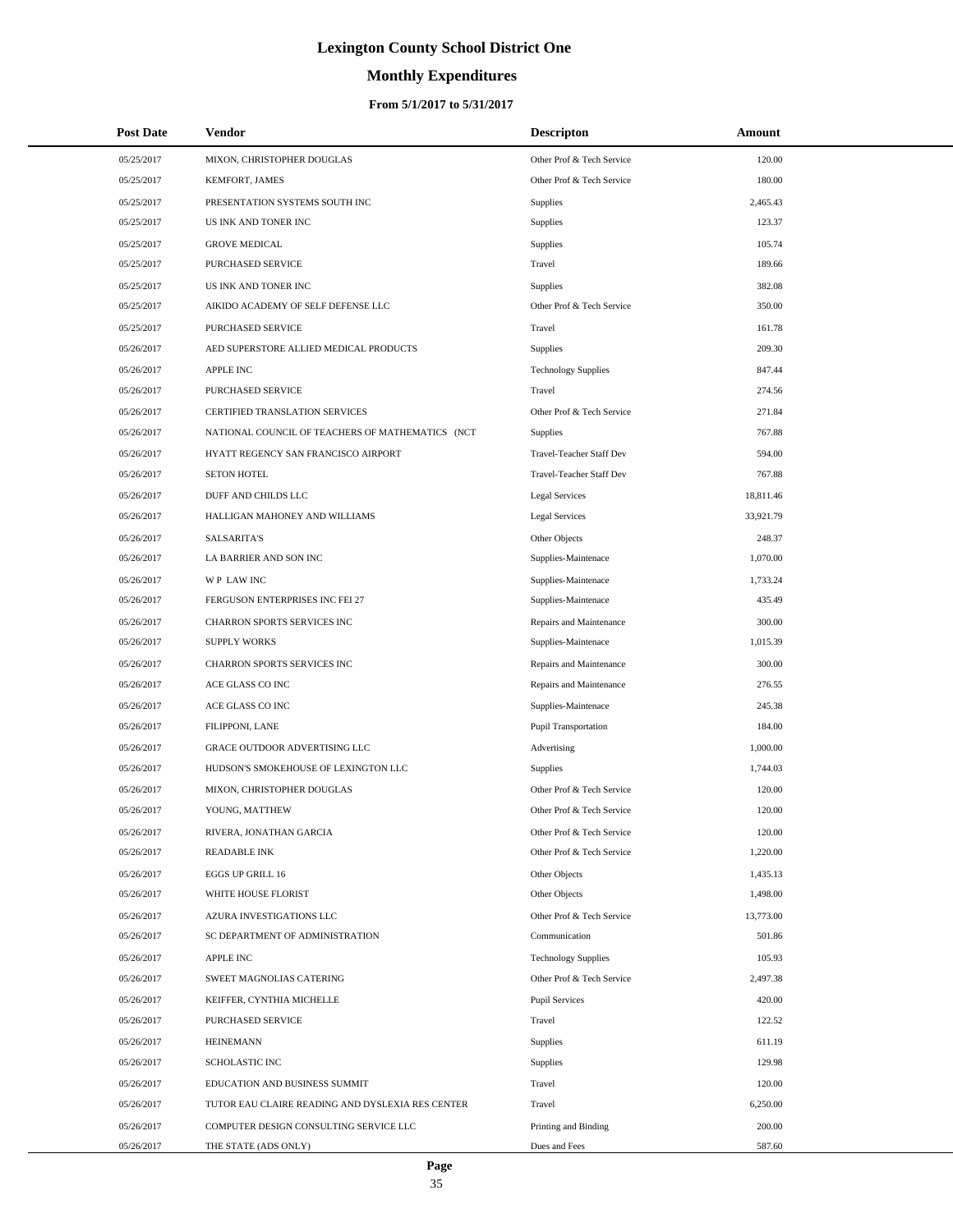# **Monthly Expenditures**

| <b>Post Date</b> | <b>Vendor</b>                                    | <b>Descripton</b>               | Amount    |  |
|------------------|--------------------------------------------------|---------------------------------|-----------|--|
| 05/25/2017       | MIXON, CHRISTOPHER DOUGLAS                       | Other Prof & Tech Service       | 120.00    |  |
| 05/25/2017       | KEMFORT, JAMES                                   | Other Prof & Tech Service       | 180.00    |  |
| 05/25/2017       | PRESENTATION SYSTEMS SOUTH INC                   | <b>Supplies</b>                 | 2,465.43  |  |
| 05/25/2017       | US INK AND TONER INC                             | Supplies                        | 123.37    |  |
| 05/25/2017       | <b>GROVE MEDICAL</b>                             | <b>Supplies</b>                 | 105.74    |  |
| 05/25/2017       | PURCHASED SERVICE                                | Travel                          | 189.66    |  |
| 05/25/2017       | US INK AND TONER INC                             | <b>Supplies</b>                 | 382.08    |  |
| 05/25/2017       | AIKIDO ACADEMY OF SELF DEFENSE LLC               | Other Prof & Tech Service       | 350.00    |  |
| 05/25/2017       | PURCHASED SERVICE                                | Travel                          | 161.78    |  |
| 05/26/2017       | AED SUPERSTORE ALLIED MEDICAL PRODUCTS           | <b>Supplies</b>                 | 209.30    |  |
| 05/26/2017       | <b>APPLE INC</b>                                 | <b>Technology Supplies</b>      | 847.44    |  |
| 05/26/2017       | PURCHASED SERVICE                                | Travel                          | 274.56    |  |
| 05/26/2017       | CERTIFIED TRANSLATION SERVICES                   | Other Prof & Tech Service       | 271.84    |  |
| 05/26/2017       | NATIONAL COUNCIL OF TEACHERS OF MATHEMATICS (NCT | <b>Supplies</b>                 | 767.88    |  |
| 05/26/2017       | HYATT REGENCY SAN FRANCISCO AIRPORT              | Travel-Teacher Staff Dev        | 594.00    |  |
| 05/26/2017       | <b>SETON HOTEL</b>                               | <b>Travel-Teacher Staff Dev</b> | 767.88    |  |
| 05/26/2017       | DUFF AND CHILDS LLC                              | <b>Legal Services</b>           | 18,811.46 |  |
| 05/26/2017       | HALLIGAN MAHONEY AND WILLIAMS                    | <b>Legal Services</b>           | 33,921.79 |  |
| 05/26/2017       | <b>SALSARITA'S</b>                               | Other Objects                   | 248.37    |  |
| 05/26/2017       | LA BARRIER AND SON INC                           | Supplies-Maintenace             | 1,070.00  |  |
| 05/26/2017       | WP LAW INC                                       | Supplies-Maintenace             | 1,733.24  |  |
| 05/26/2017       | FERGUSON ENTERPRISES INC FEI 27                  | Supplies-Maintenace             | 435.49    |  |
| 05/26/2017       | CHARRON SPORTS SERVICES INC                      | Repairs and Maintenance         | 300.00    |  |
| 05/26/2017       | <b>SUPPLY WORKS</b>                              | Supplies-Maintenace             | 1,015.39  |  |
| 05/26/2017       | CHARRON SPORTS SERVICES INC                      | Repairs and Maintenance         | 300.00    |  |
| 05/26/2017       | ACE GLASS CO INC                                 | Repairs and Maintenance         | 276.55    |  |
| 05/26/2017       | ACE GLASS CO INC                                 | Supplies-Maintenace             | 245.38    |  |
| 05/26/2017       | FILIPPONI, LANE                                  | <b>Pupil Transportation</b>     | 184.00    |  |
| 05/26/2017       | GRACE OUTDOOR ADVERTISING LLC                    | Advertising                     | 1,000.00  |  |
| 05/26/2017       | HUDSON'S SMOKEHOUSE OF LEXINGTON LLC             | <b>Supplies</b>                 | 1,744.03  |  |
| 05/26/2017       | MIXON, CHRISTOPHER DOUGLAS                       | Other Prof & Tech Service       | 120.00    |  |
| 05/26/2017       | YOUNG, MATTHEW                                   | Other Prof & Tech Service       | 120.00    |  |
| 05/26/2017       | RIVERA, JONATHAN GARCIA                          | Other Prof & Tech Service       | 120.00    |  |
| 05/26/2017       | <b>READABLE INK</b>                              | Other Prof & Tech Service       | 1,220.00  |  |
| 05/26/2017       | <b>EGGS UP GRILL 16</b>                          | Other Objects                   | 1,435.13  |  |
| 05/26/2017       | WHITE HOUSE FLORIST                              | Other Objects                   | 1,498.00  |  |
| 05/26/2017       | AZURA INVESTIGATIONS LLC                         | Other Prof & Tech Service       | 13,773.00 |  |
| 05/26/2017       | SC DEPARTMENT OF ADMINISTRATION                  | Communication                   | 501.86    |  |
| 05/26/2017       | <b>APPLE INC</b>                                 | <b>Technology Supplies</b>      | 105.93    |  |
| 05/26/2017       | SWEET MAGNOLIAS CATERING                         | Other Prof & Tech Service       | 2,497.38  |  |
| 05/26/2017       | KEIFFER, CYNTHIA MICHELLE                        | <b>Pupil Services</b>           | 420.00    |  |
| 05/26/2017       | PURCHASED SERVICE                                | Travel                          | 122.52    |  |
| 05/26/2017       | <b>HEINEMANN</b>                                 | <b>Supplies</b>                 | 611.19    |  |
| 05/26/2017       | <b>SCHOLASTIC INC</b>                            | Supplies                        | 129.98    |  |
| 05/26/2017       | EDUCATION AND BUSINESS SUMMIT                    | Travel                          | 120.00    |  |
| 05/26/2017       | TUTOR EAU CLAIRE READING AND DYSLEXIA RES CENTER | Travel                          | 6,250.00  |  |
| 05/26/2017       | COMPUTER DESIGN CONSULTING SERVICE LLC           | Printing and Binding            | 200.00    |  |
| 05/26/2017       | THE STATE (ADS ONLY)                             | Dues and Fees                   | 587.60    |  |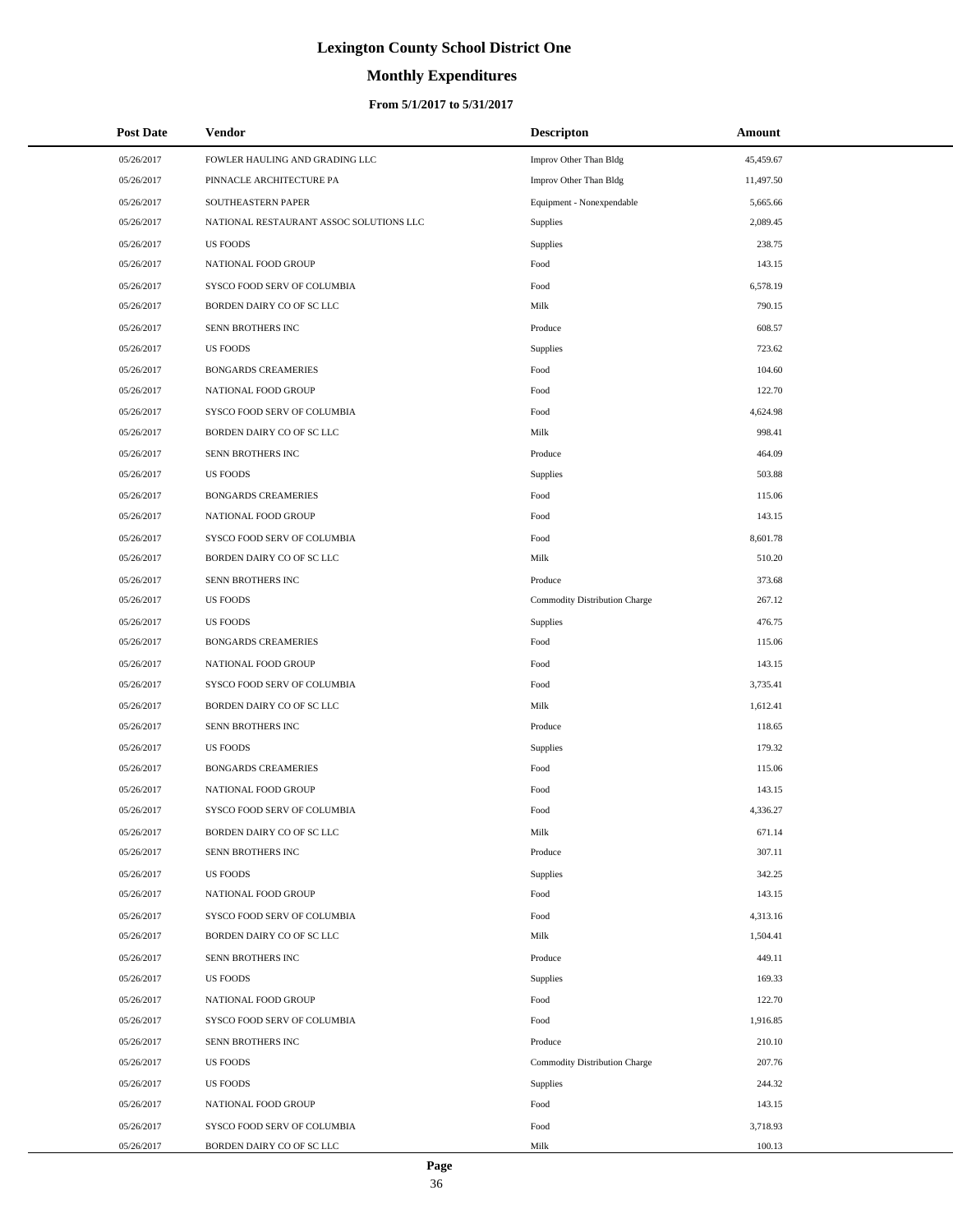# **Monthly Expenditures**

### **From 5/1/2017 to 5/31/2017**

| <b>Post Date</b> | Vendor                                  | <b>Descripton</b>             | Amount    |
|------------------|-----------------------------------------|-------------------------------|-----------|
| 05/26/2017       | FOWLER HAULING AND GRADING LLC          | Improv Other Than Bldg        | 45,459.67 |
| 05/26/2017       | PINNACLE ARCHITECTURE PA                | Improv Other Than Bldg        | 11,497.50 |
| 05/26/2017       | SOUTHEASTERN PAPER                      | Equipment - Nonexpendable     | 5,665.66  |
| 05/26/2017       | NATIONAL RESTAURANT ASSOC SOLUTIONS LLC | Supplies                      | 2.089.45  |
| 05/26/2017       | <b>US FOODS</b>                         | Supplies                      | 238.75    |
| 05/26/2017       | NATIONAL FOOD GROUP                     | Food                          | 143.15    |
| 05/26/2017       | SYSCO FOOD SERV OF COLUMBIA             | Food                          | 6,578.19  |
| 05/26/2017       | BORDEN DAIRY CO OF SC LLC               | Milk                          | 790.15    |
| 05/26/2017       | SENN BROTHERS INC                       | Produce                       | 608.57    |
| 05/26/2017       | <b>US FOODS</b>                         | Supplies                      | 723.62    |
| 05/26/2017       | <b>BONGARDS CREAMERIES</b>              | Food                          | 104.60    |
| 05/26/2017       | NATIONAL FOOD GROUP                     | Food                          | 122.70    |
| 05/26/2017       | SYSCO FOOD SERV OF COLUMBIA             | Food                          | 4,624.98  |
| 05/26/2017       | BORDEN DAIRY CO OF SC LLC               | Milk                          | 998.41    |
| 05/26/2017       | SENN BROTHERS INC                       | Produce                       | 464.09    |
| 05/26/2017       | <b>US FOODS</b>                         | Supplies                      | 503.88    |
| 05/26/2017       | <b>BONGARDS CREAMERIES</b>              | Food                          | 115.06    |
| 05/26/2017       | NATIONAL FOOD GROUP                     | Food                          | 143.15    |
| 05/26/2017       | SYSCO FOOD SERV OF COLUMBIA             | Food                          | 8,601.78  |
| 05/26/2017       | BORDEN DAIRY CO OF SC LLC               | Milk                          | 510.20    |
| 05/26/2017       | SENN BROTHERS INC                       | Produce                       | 373.68    |
| 05/26/2017       | <b>US FOODS</b>                         | Commodity Distribution Charge | 267.12    |
| 05/26/2017       | <b>US FOODS</b>                         | Supplies                      | 476.75    |
| 05/26/2017       | <b>BONGARDS CREAMERIES</b>              | Food                          | 115.06    |
| 05/26/2017       | NATIONAL FOOD GROUP                     | Food                          | 143.15    |
| 05/26/2017       | SYSCO FOOD SERV OF COLUMBIA             | Food                          | 3,735.41  |
| 05/26/2017       | BORDEN DAIRY CO OF SC LLC               | Milk                          | 1,612.41  |
| 05/26/2017       | SENN BROTHERS INC                       | Produce                       | 118.65    |
| 05/26/2017       | <b>US FOODS</b>                         | Supplies                      | 179.32    |
| 05/26/2017       | <b>BONGARDS CREAMERIES</b>              | Food                          | 115.06    |
| 05/26/2017       | NATIONAL FOOD GROUP                     | Food                          | 143.15    |
| 05/26/2017       | SYSCO FOOD SERV OF COLUMBIA             | Food                          | 4,336.27  |
| 05/26/2017       | BORDEN DAIRY CO OF SC LLC               | Milk                          | 671.14    |
| 05/26/2017       | SENN BROTHERS INC                       | Produce                       | 307.11    |
| 05/26/2017       | <b>US FOODS</b>                         | Supplies                      | 342.25    |
| 05/26/2017       | NATIONAL FOOD GROUP                     | Food                          | 143.15    |
| 05/26/2017       | SYSCO FOOD SERV OF COLUMBIA             | Food                          | 4,313.16  |
| 05/26/2017       | BORDEN DAIRY CO OF SC LLC               | Milk                          | 1,504.41  |
| 05/26/2017       | SENN BROTHERS INC                       | Produce                       | 449.11    |
| 05/26/2017       | <b>US FOODS</b>                         | Supplies                      | 169.33    |
| 05/26/2017       | NATIONAL FOOD GROUP                     | Food                          | 122.70    |
| 05/26/2017       | SYSCO FOOD SERV OF COLUMBIA             | Food                          | 1,916.85  |
| 05/26/2017       | SENN BROTHERS INC                       | Produce                       | 210.10    |
| 05/26/2017       | <b>US FOODS</b>                         | Commodity Distribution Charge | 207.76    |
| 05/26/2017       | <b>US FOODS</b>                         | Supplies                      | 244.32    |
| 05/26/2017       | NATIONAL FOOD GROUP                     | Food                          | 143.15    |
| 05/26/2017       | SYSCO FOOD SERV OF COLUMBIA             | Food                          | 3,718.93  |
| 05/26/2017       | BORDEN DAIRY CO OF SC LLC               | Milk                          | 100.13    |

L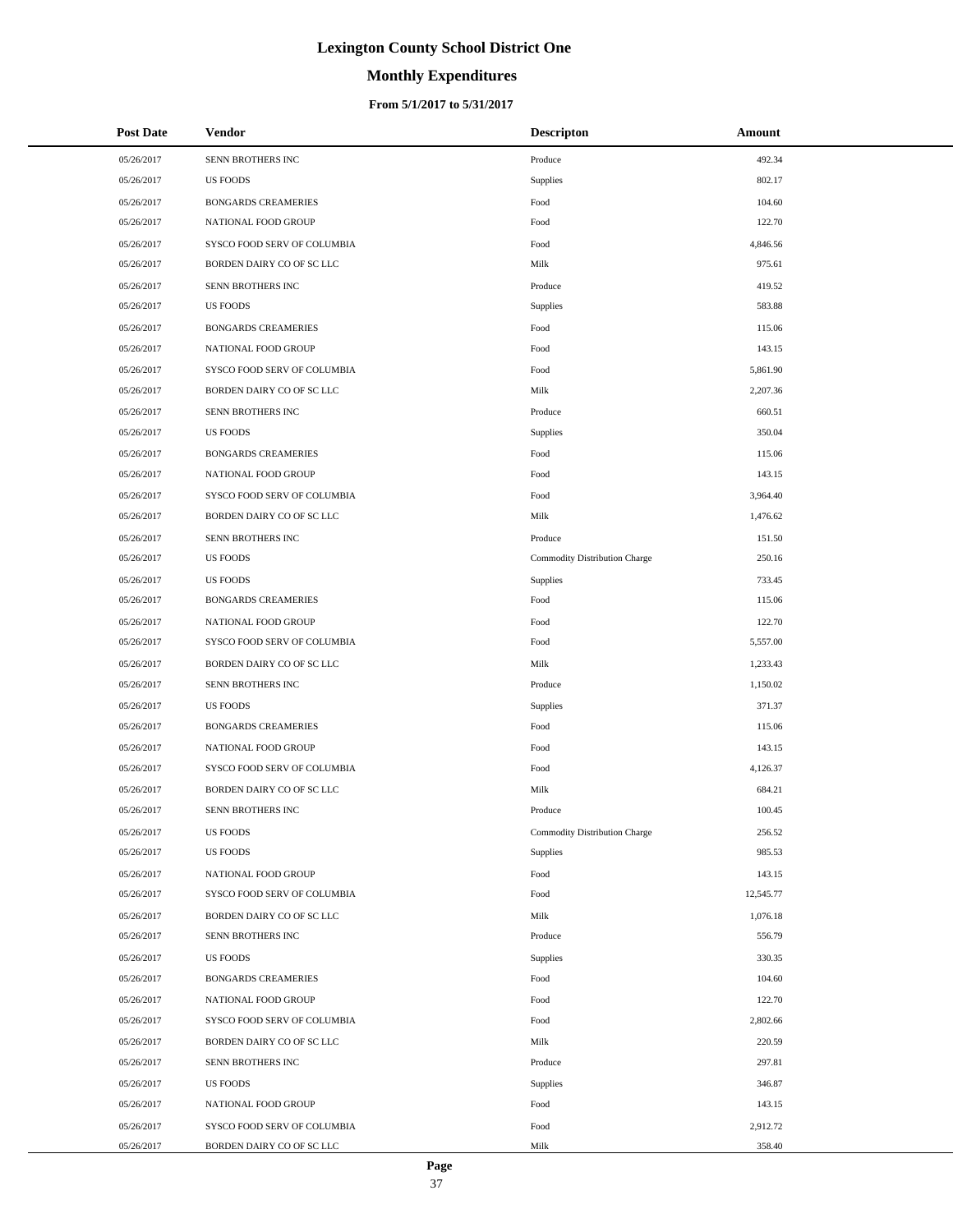# **Monthly Expenditures**

| <b>Post Date</b> | <b>Vendor</b>               | <b>Descripton</b>             | Amount    |
|------------------|-----------------------------|-------------------------------|-----------|
| 05/26/2017       | SENN BROTHERS INC           | Produce                       | 492.34    |
| 05/26/2017       | <b>US FOODS</b>             | Supplies                      | 802.17    |
| 05/26/2017       | <b>BONGARDS CREAMERIES</b>  | Food                          | 104.60    |
| 05/26/2017       | NATIONAL FOOD GROUP         | Food                          | 122.70    |
| 05/26/2017       | SYSCO FOOD SERV OF COLUMBIA | Food                          | 4,846.56  |
| 05/26/2017       | BORDEN DAIRY CO OF SC LLC   | Milk                          | 975.61    |
| 05/26/2017       | SENN BROTHERS INC           | Produce                       | 419.52    |
| 05/26/2017       | <b>US FOODS</b>             | Supplies                      | 583.88    |
| 05/26/2017       | <b>BONGARDS CREAMERIES</b>  | Food                          | 115.06    |
| 05/26/2017       | NATIONAL FOOD GROUP         | Food                          | 143.15    |
| 05/26/2017       | SYSCO FOOD SERV OF COLUMBIA | Food                          | 5,861.90  |
| 05/26/2017       | BORDEN DAIRY CO OF SC LLC   | Milk                          | 2,207.36  |
| 05/26/2017       | SENN BROTHERS INC           | Produce                       | 660.51    |
| 05/26/2017       | <b>US FOODS</b>             | Supplies                      | 350.04    |
| 05/26/2017       | <b>BONGARDS CREAMERIES</b>  | Food                          | 115.06    |
| 05/26/2017       | NATIONAL FOOD GROUP         | Food                          | 143.15    |
| 05/26/2017       | SYSCO FOOD SERV OF COLUMBIA | Food                          | 3,964.40  |
| 05/26/2017       | BORDEN DAIRY CO OF SC LLC   | Milk                          | 1,476.62  |
| 05/26/2017       | SENN BROTHERS INC           | Produce                       | 151.50    |
| 05/26/2017       | <b>US FOODS</b>             | Commodity Distribution Charge | 250.16    |
| 05/26/2017       | <b>US FOODS</b>             | Supplies                      | 733.45    |
| 05/26/2017       | <b>BONGARDS CREAMERIES</b>  | Food                          | 115.06    |
| 05/26/2017       | NATIONAL FOOD GROUP         | Food                          | 122.70    |
| 05/26/2017       | SYSCO FOOD SERV OF COLUMBIA | Food                          | 5,557.00  |
| 05/26/2017       | BORDEN DAIRY CO OF SC LLC   | Milk                          | 1,233.43  |
| 05/26/2017       | SENN BROTHERS INC           | Produce                       | 1,150.02  |
| 05/26/2017       | <b>US FOODS</b>             | Supplies                      | 371.37    |
| 05/26/2017       | <b>BONGARDS CREAMERIES</b>  | Food                          | 115.06    |
| 05/26/2017       | NATIONAL FOOD GROUP         | Food                          | 143.15    |
| 05/26/2017       | SYSCO FOOD SERV OF COLUMBIA | Food                          | 4,126.37  |
| 05/26/2017       | BORDEN DAIRY CO OF SC LLC   | Milk                          | 684.21    |
| 05/26/2017       | SENN BROTHERS INC           | Produce                       | 100.45    |
| 05/26/2017       | <b>US FOODS</b>             | Commodity Distribution Charge | 256.52    |
| 05/26/2017       | <b>US FOODS</b>             | Supplies                      | 985.53    |
| 05/26/2017       | NATIONAL FOOD GROUP         | Food                          | 143.15    |
| 05/26/2017       | SYSCO FOOD SERV OF COLUMBIA | Food                          | 12,545.77 |
| 05/26/2017       | BORDEN DAIRY CO OF SC LLC   | Milk                          | 1,076.18  |
| 05/26/2017       | SENN BROTHERS INC           | Produce                       | 556.79    |
| 05/26/2017       | <b>US FOODS</b>             | Supplies                      | 330.35    |
| 05/26/2017       | <b>BONGARDS CREAMERIES</b>  | Food                          | 104.60    |
| 05/26/2017       | NATIONAL FOOD GROUP         | Food                          | 122.70    |
| 05/26/2017       | SYSCO FOOD SERV OF COLUMBIA | Food                          | 2,802.66  |
| 05/26/2017       | BORDEN DAIRY CO OF SC LLC   | Milk                          | 220.59    |
| 05/26/2017       | SENN BROTHERS INC           | Produce                       | 297.81    |
| 05/26/2017       | <b>US FOODS</b>             | Supplies                      | 346.87    |
| 05/26/2017       | NATIONAL FOOD GROUP         | Food                          | 143.15    |
| 05/26/2017       | SYSCO FOOD SERV OF COLUMBIA | Food                          | 2,912.72  |
| 05/26/2017       | BORDEN DAIRY CO OF SC LLC   | Milk                          | 358.40    |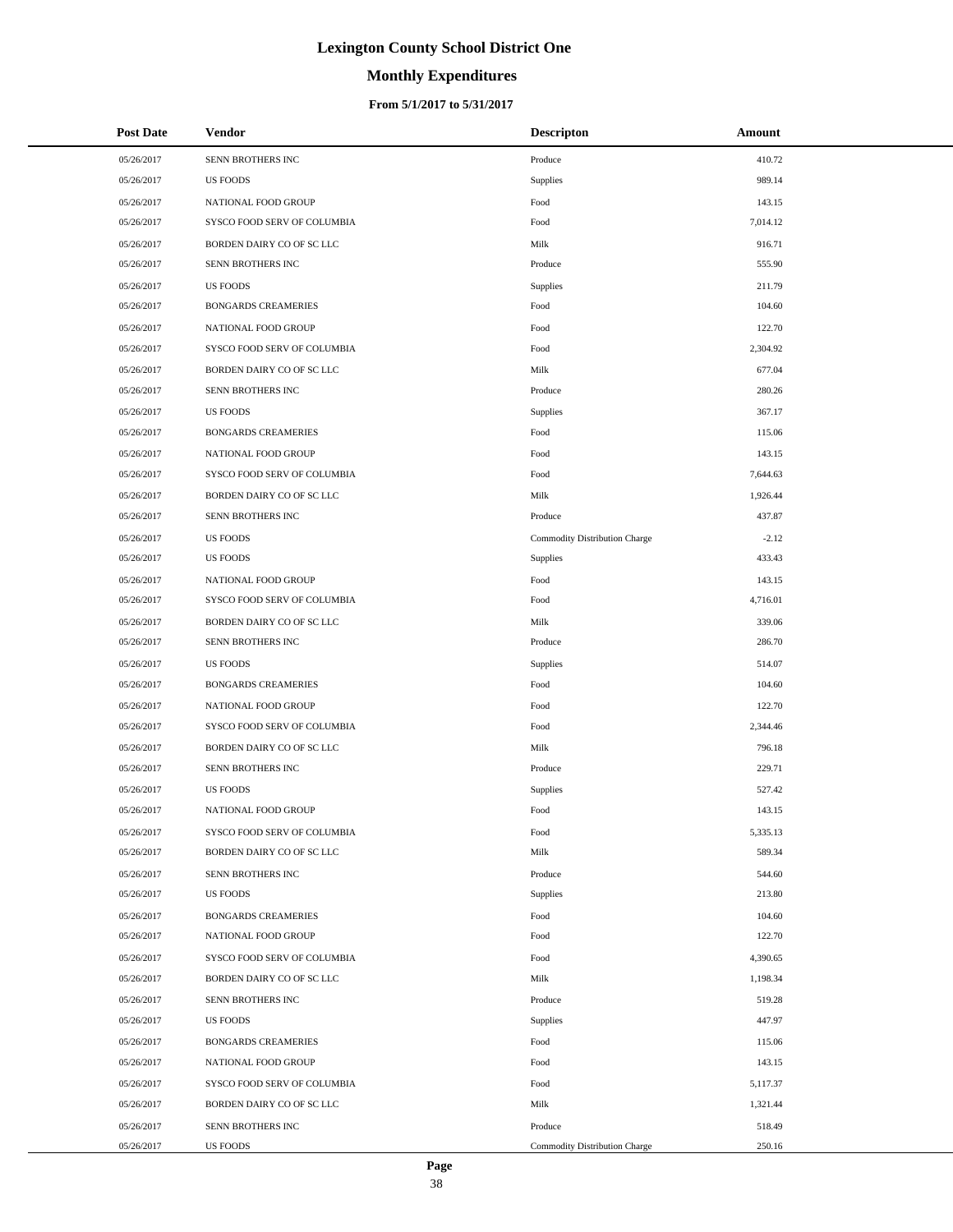# **Monthly Expenditures**

| <b>Post Date</b> | Vendor                      | <b>Descripton</b>             | Amount   |
|------------------|-----------------------------|-------------------------------|----------|
| 05/26/2017       | SENN BROTHERS INC           | Produce                       | 410.72   |
| 05/26/2017       | <b>US FOODS</b>             | Supplies                      | 989.14   |
| 05/26/2017       | NATIONAL FOOD GROUP         | Food                          | 143.15   |
| 05/26/2017       | SYSCO FOOD SERV OF COLUMBIA | Food                          | 7,014.12 |
| 05/26/2017       | BORDEN DAIRY CO OF SC LLC   | Milk                          | 916.71   |
| 05/26/2017       | SENN BROTHERS INC           | Produce                       | 555.90   |
| 05/26/2017       | <b>US FOODS</b>             | Supplies                      | 211.79   |
| 05/26/2017       | <b>BONGARDS CREAMERIES</b>  | Food                          | 104.60   |
| 05/26/2017       | NATIONAL FOOD GROUP         | Food                          | 122.70   |
| 05/26/2017       | SYSCO FOOD SERV OF COLUMBIA | Food                          | 2,304.92 |
| 05/26/2017       | BORDEN DAIRY CO OF SC LLC   | Milk                          | 677.04   |
| 05/26/2017       | SENN BROTHERS INC           | Produce                       | 280.26   |
| 05/26/2017       | <b>US FOODS</b>             | Supplies                      | 367.17   |
| 05/26/2017       | <b>BONGARDS CREAMERIES</b>  | Food                          | 115.06   |
| 05/26/2017       | NATIONAL FOOD GROUP         | Food                          | 143.15   |
| 05/26/2017       | SYSCO FOOD SERV OF COLUMBIA | Food                          | 7,644.63 |
| 05/26/2017       | BORDEN DAIRY CO OF SC LLC   | Milk                          | 1,926.44 |
| 05/26/2017       | SENN BROTHERS INC           | Produce                       | 437.87   |
| 05/26/2017       | <b>US FOODS</b>             | Commodity Distribution Charge | $-2.12$  |
| 05/26/2017       | <b>US FOODS</b>             | Supplies                      | 433.43   |
| 05/26/2017       | NATIONAL FOOD GROUP         | Food                          | 143.15   |
| 05/26/2017       | SYSCO FOOD SERV OF COLUMBIA | Food                          | 4,716.01 |
| 05/26/2017       | BORDEN DAIRY CO OF SC LLC   | Milk                          | 339.06   |
| 05/26/2017       | SENN BROTHERS INC           | Produce                       | 286.70   |
| 05/26/2017       | <b>US FOODS</b>             | Supplies                      | 514.07   |
| 05/26/2017       | <b>BONGARDS CREAMERIES</b>  | Food                          | 104.60   |
| 05/26/2017       | NATIONAL FOOD GROUP         | Food                          | 122.70   |
| 05/26/2017       | SYSCO FOOD SERV OF COLUMBIA | Food                          | 2,344.46 |
| 05/26/2017       | BORDEN DAIRY CO OF SC LLC   | Milk                          | 796.18   |
| 05/26/2017       | SENN BROTHERS INC           | Produce                       | 229.71   |
| 05/26/2017       | <b>US FOODS</b>             | Supplies                      | 527.42   |
| 05/26/2017       | NATIONAL FOOD GROUP         | Food                          | 143.15   |
| 05/26/2017       | SYSCO FOOD SERV OF COLUMBIA | Food                          | 5,335.13 |
| 05/26/2017       | BORDEN DAIRY CO OF SC LLC   | Milk                          | 589.34   |
| 05/26/2017       | SENN BROTHERS INC           | Produce                       | 544.60   |
| 05/26/2017       | <b>US FOODS</b>             | Supplies                      | 213.80   |
| 05/26/2017       | <b>BONGARDS CREAMERIES</b>  | Food                          | 104.60   |
| 05/26/2017       | NATIONAL FOOD GROUP         | Food                          | 122.70   |
| 05/26/2017       | SYSCO FOOD SERV OF COLUMBIA | Food                          | 4,390.65 |
| 05/26/2017       | BORDEN DAIRY CO OF SC LLC   | Milk                          | 1,198.34 |
| 05/26/2017       | SENN BROTHERS INC           | Produce                       | 519.28   |
| 05/26/2017       | <b>US FOODS</b>             | Supplies                      | 447.97   |
| 05/26/2017       | <b>BONGARDS CREAMERIES</b>  | Food                          | 115.06   |
| 05/26/2017       | NATIONAL FOOD GROUP         | Food                          | 143.15   |
| 05/26/2017       | SYSCO FOOD SERV OF COLUMBIA | Food                          | 5,117.37 |
| 05/26/2017       | BORDEN DAIRY CO OF SC LLC   | Milk                          | 1,321.44 |
| 05/26/2017       | SENN BROTHERS INC           | Produce                       | 518.49   |
| 05/26/2017       | <b>US FOODS</b>             | Commodity Distribution Charge | 250.16   |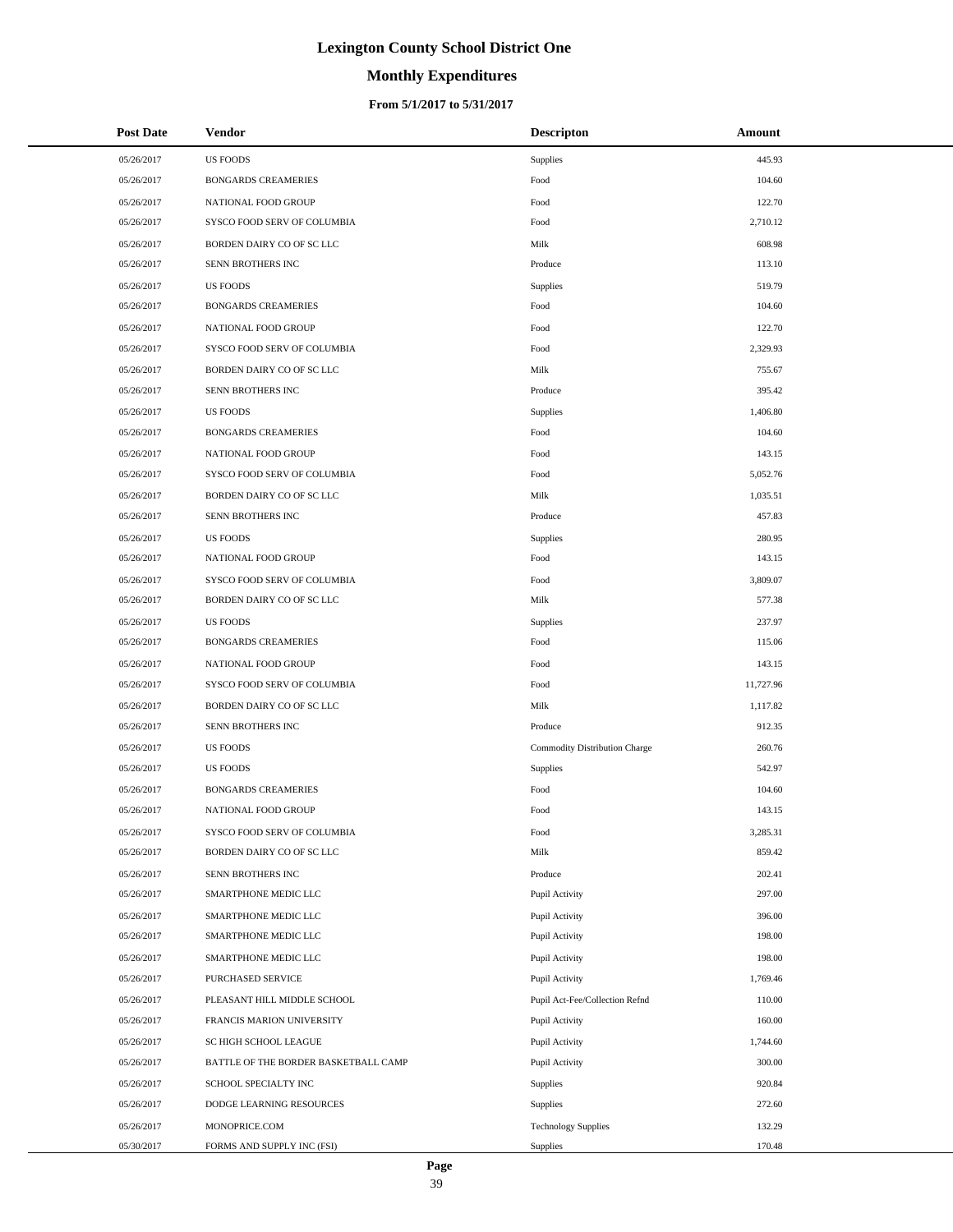# **Monthly Expenditures**

### **From 5/1/2017 to 5/31/2017**

| <b>Post Date</b> | Vendor                               | <b>Descripton</b>              | Amount    |
|------------------|--------------------------------------|--------------------------------|-----------|
| 05/26/2017       | <b>US FOODS</b>                      | Supplies                       | 445.93    |
| 05/26/2017       | <b>BONGARDS CREAMERIES</b>           | Food                           | 104.60    |
| 05/26/2017       | NATIONAL FOOD GROUP                  | Food                           | 122.70    |
| 05/26/2017       | SYSCO FOOD SERV OF COLUMBIA          | Food                           | 2,710.12  |
| 05/26/2017       | BORDEN DAIRY CO OF SC LLC            | Milk                           | 608.98    |
| 05/26/2017       | SENN BROTHERS INC                    | Produce                        | 113.10    |
| 05/26/2017       | <b>US FOODS</b>                      | Supplies                       | 519.79    |
| 05/26/2017       | <b>BONGARDS CREAMERIES</b>           | Food                           | 104.60    |
| 05/26/2017       | NATIONAL FOOD GROUP                  | Food                           | 122.70    |
| 05/26/2017       | SYSCO FOOD SERV OF COLUMBIA          | Food                           | 2,329.93  |
| 05/26/2017       | BORDEN DAIRY CO OF SC LLC            | Milk                           | 755.67    |
| 05/26/2017       | SENN BROTHERS INC                    | Produce                        | 395.42    |
| 05/26/2017       | <b>US FOODS</b>                      | Supplies                       | 1,406.80  |
| 05/26/2017       | <b>BONGARDS CREAMERIES</b>           | Food                           | 104.60    |
| 05/26/2017       | NATIONAL FOOD GROUP                  | Food                           | 143.15    |
| 05/26/2017       | SYSCO FOOD SERV OF COLUMBIA          | Food                           | 5,052.76  |
| 05/26/2017       | BORDEN DAIRY CO OF SC LLC            | Milk                           | 1,035.51  |
| 05/26/2017       | SENN BROTHERS INC                    | Produce                        | 457.83    |
| 05/26/2017       | <b>US FOODS</b>                      | Supplies                       | 280.95    |
| 05/26/2017       | NATIONAL FOOD GROUP                  | Food                           | 143.15    |
| 05/26/2017       | SYSCO FOOD SERV OF COLUMBIA          | Food                           | 3,809.07  |
| 05/26/2017       | BORDEN DAIRY CO OF SC LLC            | Milk                           | 577.38    |
| 05/26/2017       | <b>US FOODS</b>                      | Supplies                       | 237.97    |
| 05/26/2017       | <b>BONGARDS CREAMERIES</b>           | Food                           | 115.06    |
| 05/26/2017       | NATIONAL FOOD GROUP                  | Food                           | 143.15    |
| 05/26/2017       | SYSCO FOOD SERV OF COLUMBIA          | Food                           | 11,727.96 |
| 05/26/2017       | BORDEN DAIRY CO OF SC LLC            | Milk                           | 1,117.82  |
| 05/26/2017       | SENN BROTHERS INC                    | Produce                        | 912.35    |
| 05/26/2017       | <b>US FOODS</b>                      | Commodity Distribution Charge  | 260.76    |
| 05/26/2017       | <b>US FOODS</b>                      | Supplies                       | 542.97    |
| 05/26/2017       | <b>BONGARDS CREAMERIES</b>           | Food                           | 104.60    |
| 05/26/2017       | NATIONAL FOOD GROUP                  | Food                           | 143.15    |
| 05/26/2017       | SYSCO FOOD SERV OF COLUMBIA          | Food                           | 3,285.31  |
| 05/26/2017       | BORDEN DAIRY CO OF SC LLC            | Milk                           | 859.42    |
| 05/26/2017       | SENN BROTHERS INC                    | Produce                        | 202.41    |
| 05/26/2017       | SMARTPHONE MEDIC LLC                 | Pupil Activity                 | 297.00    |
| 05/26/2017       | SMARTPHONE MEDIC LLC                 | Pupil Activity                 | 396.00    |
| 05/26/2017       | SMARTPHONE MEDIC LLC                 | Pupil Activity                 | 198.00    |
| 05/26/2017       | SMARTPHONE MEDIC LLC                 | Pupil Activity                 | 198.00    |
| 05/26/2017       | PURCHASED SERVICE                    | Pupil Activity                 | 1,769.46  |
| 05/26/2017       | PLEASANT HILL MIDDLE SCHOOL          | Pupil Act-Fee/Collection Refnd | 110.00    |
| 05/26/2017       | FRANCIS MARION UNIVERSITY            | Pupil Activity                 | 160.00    |
| 05/26/2017       | SC HIGH SCHOOL LEAGUE                | Pupil Activity                 | 1,744.60  |
| 05/26/2017       | BATTLE OF THE BORDER BASKETBALL CAMP | Pupil Activity                 | 300.00    |
| 05/26/2017       | SCHOOL SPECIALTY INC                 | Supplies                       | 920.84    |
| 05/26/2017       | DODGE LEARNING RESOURCES             | Supplies                       | 272.60    |
| 05/26/2017       | MONOPRICE.COM                        | <b>Technology Supplies</b>     | 132.29    |
| 05/30/2017       | FORMS AND SUPPLY INC (FSI)           | Supplies                       | 170.48    |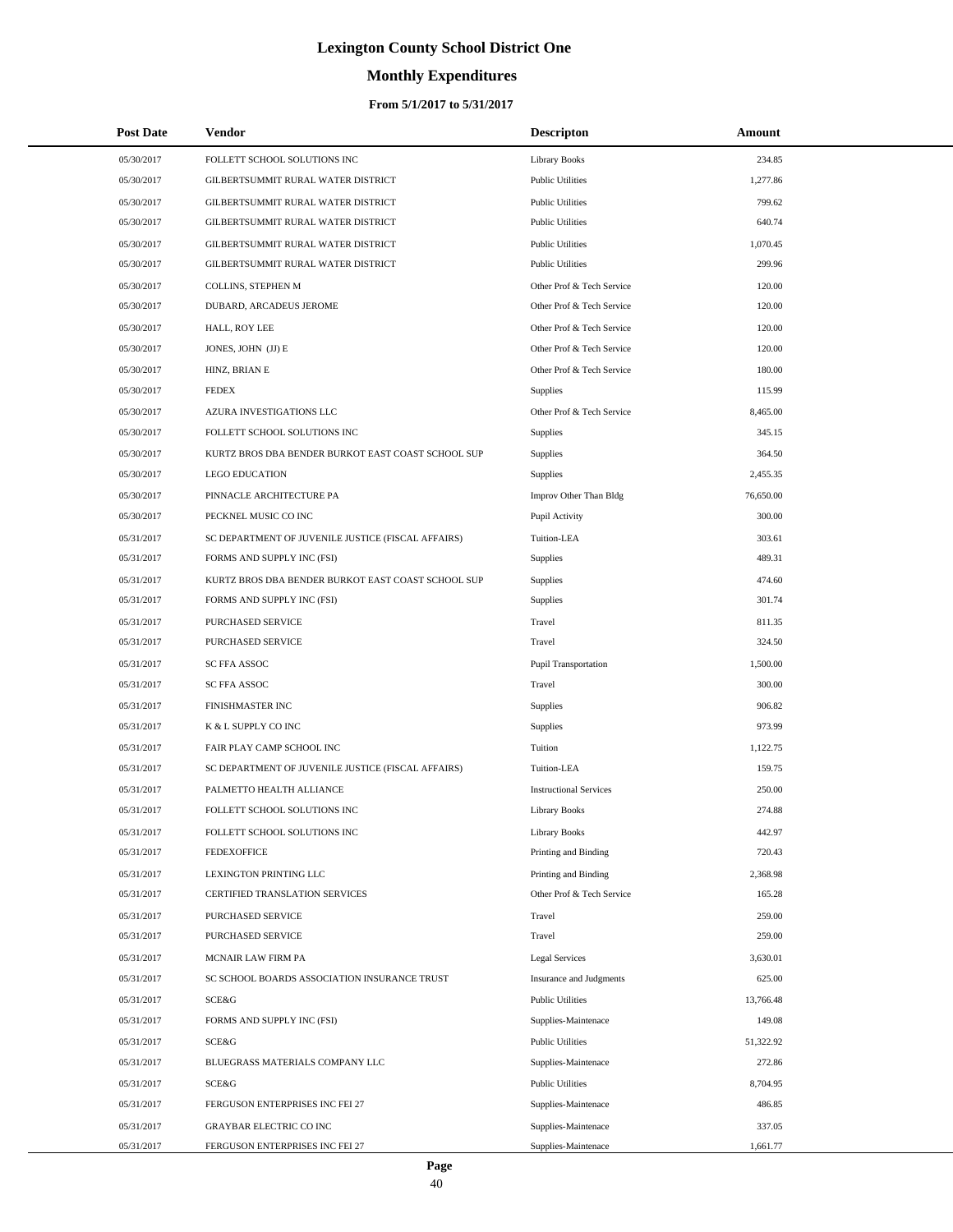# **Monthly Expenditures**

### **From 5/1/2017 to 5/31/2017**

| <b>Post Date</b> | Vendor                                             | <b>Descripton</b>             | Amount    |  |
|------------------|----------------------------------------------------|-------------------------------|-----------|--|
| 05/30/2017       | FOLLETT SCHOOL SOLUTIONS INC                       | <b>Library Books</b>          | 234.85    |  |
| 05/30/2017       | GILBERTSUMMIT RURAL WATER DISTRICT                 | <b>Public Utilities</b>       | 1,277.86  |  |
| 05/30/2017       | GILBERTSUMMIT RURAL WATER DISTRICT                 | <b>Public Utilities</b>       | 799.62    |  |
| 05/30/2017       | GILBERTSUMMIT RURAL WATER DISTRICT                 | <b>Public Utilities</b>       | 640.74    |  |
| 05/30/2017       | GILBERTSUMMIT RURAL WATER DISTRICT                 | <b>Public Utilities</b>       | 1,070.45  |  |
| 05/30/2017       | GILBERTSUMMIT RURAL WATER DISTRICT                 | <b>Public Utilities</b>       | 299.96    |  |
| 05/30/2017       | COLLINS, STEPHEN M                                 | Other Prof & Tech Service     | 120.00    |  |
| 05/30/2017       | DUBARD, ARCADEUS JEROME                            | Other Prof & Tech Service     | 120.00    |  |
| 05/30/2017       | HALL, ROY LEE                                      | Other Prof & Tech Service     | 120.00    |  |
| 05/30/2017       | JONES, JOHN (JJ) E                                 | Other Prof & Tech Service     | 120.00    |  |
| 05/30/2017       | HINZ, BRIAN E                                      | Other Prof & Tech Service     | 180.00    |  |
| 05/30/2017       | <b>FEDEX</b>                                       | Supplies                      | 115.99    |  |
| 05/30/2017       | AZURA INVESTIGATIONS LLC                           | Other Prof & Tech Service     | 8,465.00  |  |
| 05/30/2017       | FOLLETT SCHOOL SOLUTIONS INC                       | Supplies                      | 345.15    |  |
| 05/30/2017       | KURTZ BROS DBA BENDER BURKOT EAST COAST SCHOOL SUP | Supplies                      | 364.50    |  |
| 05/30/2017       | <b>LEGO EDUCATION</b>                              | Supplies                      | 2,455.35  |  |
| 05/30/2017       | PINNACLE ARCHITECTURE PA                           | Improv Other Than Bldg        | 76,650.00 |  |
| 05/30/2017       | PECKNEL MUSIC CO INC                               | Pupil Activity                | 300.00    |  |
| 05/31/2017       | SC DEPARTMENT OF JUVENILE JUSTICE (FISCAL AFFAIRS) | Tuition-LEA                   | 303.61    |  |
| 05/31/2017       | FORMS AND SUPPLY INC (FSI)                         | Supplies                      | 489.31    |  |
| 05/31/2017       | KURTZ BROS DBA BENDER BURKOT EAST COAST SCHOOL SUP | Supplies                      | 474.60    |  |
| 05/31/2017       | FORMS AND SUPPLY INC (FSI)                         | Supplies                      | 301.74    |  |
| 05/31/2017       | PURCHASED SERVICE                                  | Travel                        | 811.35    |  |
| 05/31/2017       | PURCHASED SERVICE                                  | Travel                        | 324.50    |  |
| 05/31/2017       | SC FFA ASSOC                                       | Pupil Transportation          | 1,500.00  |  |
| 05/31/2017       | SC FFA ASSOC                                       | Travel                        | 300.00    |  |
| 05/31/2017       | FINISHMASTER INC                                   | Supplies                      | 906.82    |  |
| 05/31/2017       | K & L SUPPLY CO INC                                | Supplies                      | 973.99    |  |
| 05/31/2017       | FAIR PLAY CAMP SCHOOL INC                          | Tuition                       | 1,122.75  |  |
| 05/31/2017       | SC DEPARTMENT OF JUVENILE JUSTICE (FISCAL AFFAIRS) | Tuition-LEA                   | 159.75    |  |
| 05/31/2017       | PALMETTO HEALTH ALLIANCE                           | <b>Instructional Services</b> | 250.00    |  |
| 05/31/2017       | FOLLETT SCHOOL SOLUTIONS INC                       | <b>Library Books</b>          | 274.88    |  |
| 05/31/2017       | FOLLETT SCHOOL SOLUTIONS INC                       | <b>Library Books</b>          | 442.97    |  |
| 05/31/2017       | <b>FEDEXOFFICE</b>                                 | Printing and Binding          | 720.43    |  |
| 05/31/2017       | <b>LEXINGTON PRINTING LLC</b>                      | Printing and Binding          | 2,368.98  |  |
| 05/31/2017       | CERTIFIED TRANSLATION SERVICES                     | Other Prof & Tech Service     | 165.28    |  |
| 05/31/2017       | PURCHASED SERVICE                                  | Travel                        | 259.00    |  |
| 05/31/2017       | PURCHASED SERVICE                                  | Travel                        | 259.00    |  |
| 05/31/2017       | MCNAIR LAW FIRM PA                                 | <b>Legal Services</b>         | 3,630.01  |  |
| 05/31/2017       | SC SCHOOL BOARDS ASSOCIATION INSURANCE TRUST       | Insurance and Judgments       | 625.00    |  |
| 05/31/2017       | SCE&G                                              | <b>Public Utilities</b>       | 13,766.48 |  |
| 05/31/2017       | FORMS AND SUPPLY INC (FSI)                         | Supplies-Maintenace           | 149.08    |  |
| 05/31/2017       | SCE&G                                              | <b>Public Utilities</b>       | 51,322.92 |  |
| 05/31/2017       | BLUEGRASS MATERIALS COMPANY LLC                    | Supplies-Maintenace           | 272.86    |  |
| 05/31/2017       | SCE&G                                              | <b>Public Utilities</b>       | 8,704.95  |  |
| 05/31/2017       | FERGUSON ENTERPRISES INC FEI 27                    | Supplies-Maintenace           | 486.85    |  |
| 05/31/2017       | GRAYBAR ELECTRIC CO INC                            | Supplies-Maintenace           | 337.05    |  |
| 05/31/2017       | FERGUSON ENTERPRISES INC FEI 27                    | Supplies-Maintenace           | 1,661.77  |  |

 $\overline{a}$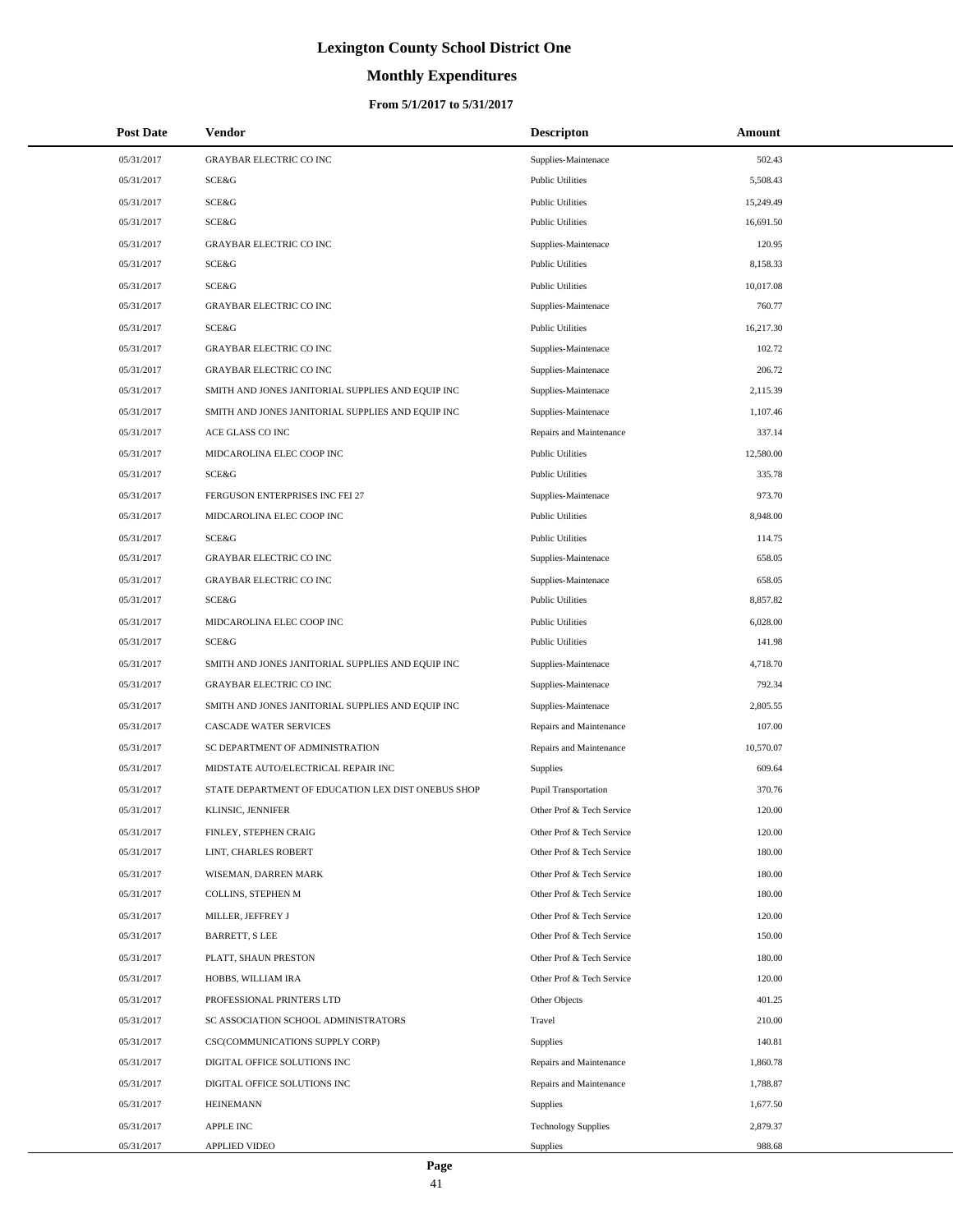# **Monthly Expenditures**

| <b>Post Date</b> | Vendor                                             | <b>Descripton</b>          | Amount    |
|------------------|----------------------------------------------------|----------------------------|-----------|
| 05/31/2017       | <b>GRAYBAR ELECTRIC CO INC</b>                     | Supplies-Maintenace        | 502.43    |
| 05/31/2017       | SCE&G                                              | <b>Public Utilities</b>    | 5,508.43  |
| 05/31/2017       | <b>SCE&amp;G</b>                                   | <b>Public Utilities</b>    | 15,249.49 |
| 05/31/2017       | SCE&G                                              | <b>Public Utilities</b>    | 16,691.50 |
| 05/31/2017       | <b>GRAYBAR ELECTRIC CO INC</b>                     | Supplies-Maintenace        | 120.95    |
| 05/31/2017       | SCE&G                                              | <b>Public Utilities</b>    | 8,158.33  |
| 05/31/2017       | SCE&G                                              | <b>Public Utilities</b>    | 10,017.08 |
| 05/31/2017       | <b>GRAYBAR ELECTRIC CO INC</b>                     | Supplies-Maintenace        | 760.77    |
| 05/31/2017       | SCE&G                                              | <b>Public Utilities</b>    | 16,217.30 |
| 05/31/2017       | <b>GRAYBAR ELECTRIC CO INC</b>                     | Supplies-Maintenace        | 102.72    |
| 05/31/2017       | <b>GRAYBAR ELECTRIC CO INC</b>                     | Supplies-Maintenace        | 206.72    |
| 05/31/2017       | SMITH AND JONES JANITORIAL SUPPLIES AND EQUIP INC  | Supplies-Maintenace        | 2,115.39  |
| 05/31/2017       | SMITH AND JONES JANITORIAL SUPPLIES AND EQUIP INC  | Supplies-Maintenace        | 1,107.46  |
| 05/31/2017       | ACE GLASS CO INC                                   | Repairs and Maintenance    | 337.14    |
| 05/31/2017       | MIDCAROLINA ELEC COOP INC                          | <b>Public Utilities</b>    | 12,580.00 |
| 05/31/2017       | SCE&G                                              | <b>Public Utilities</b>    | 335.78    |
| 05/31/2017       | FERGUSON ENTERPRISES INC FEI 27                    | Supplies-Maintenace        | 973.70    |
| 05/31/2017       | MIDCAROLINA ELEC COOP INC                          | <b>Public Utilities</b>    | 8,948.00  |
| 05/31/2017       | <b>SCE&amp;G</b>                                   | <b>Public Utilities</b>    | 114.75    |
| 05/31/2017       | <b>GRAYBAR ELECTRIC CO INC</b>                     | Supplies-Maintenace        | 658.05    |
| 05/31/2017       | <b>GRAYBAR ELECTRIC CO INC</b>                     | Supplies-Maintenace        | 658.05    |
| 05/31/2017       | SCE&G                                              | <b>Public Utilities</b>    | 8,857.82  |
| 05/31/2017       | MIDCAROLINA ELEC COOP INC                          | <b>Public Utilities</b>    | 6,028.00  |
| 05/31/2017       | SCE&G                                              | <b>Public Utilities</b>    | 141.98    |
| 05/31/2017       | SMITH AND JONES JANITORIAL SUPPLIES AND EQUIP INC  | Supplies-Maintenace        | 4,718.70  |
| 05/31/2017       | <b>GRAYBAR ELECTRIC CO INC</b>                     | Supplies-Maintenace        | 792.34    |
| 05/31/2017       | SMITH AND JONES JANITORIAL SUPPLIES AND EQUIP INC  | Supplies-Maintenace        | 2,805.55  |
| 05/31/2017       | <b>CASCADE WATER SERVICES</b>                      | Repairs and Maintenance    | 107.00    |
| 05/31/2017       | SC DEPARTMENT OF ADMINISTRATION                    | Repairs and Maintenance    | 10,570.07 |
| 05/31/2017       | MIDSTATE AUTO/ELECTRICAL REPAIR INC                | Supplies                   | 609.64    |
| 05/31/2017       | STATE DEPARTMENT OF EDUCATION LEX DIST ONEBUS SHOP | Pupil Transportation       | 370.76    |
| 05/31/2017       | KLINSIC, JENNIFER                                  | Other Prof & Tech Service  | 120.00    |
| 05/31/2017       | FINLEY, STEPHEN CRAIG                              | Other Prof & Tech Service  | 120.00    |
| 05/31/2017       | LINT, CHARLES ROBERT                               | Other Prof & Tech Service  | 180.00    |
| 05/31/2017       | WISEMAN, DARREN MARK                               | Other Prof & Tech Service  | 180.00    |
| 05/31/2017       | COLLINS, STEPHEN M                                 | Other Prof & Tech Service  | 180.00    |
| 05/31/2017       | MILLER, JEFFREY J                                  | Other Prof & Tech Service  | 120.00    |
| 05/31/2017       | <b>BARRETT, S LEE</b>                              | Other Prof & Tech Service  | 150.00    |
| 05/31/2017       | PLATT, SHAUN PRESTON                               | Other Prof & Tech Service  | 180.00    |
| 05/31/2017       | HOBBS, WILLIAM IRA                                 | Other Prof & Tech Service  | 120.00    |
| 05/31/2017       | PROFESSIONAL PRINTERS LTD                          | Other Objects              | 401.25    |
| 05/31/2017       | SC ASSOCIATION SCHOOL ADMINISTRATORS               | Travel                     | 210.00    |
| 05/31/2017       | CSC(COMMUNICATIONS SUPPLY CORP)                    | Supplies                   | 140.81    |
| 05/31/2017       | DIGITAL OFFICE SOLUTIONS INC                       | Repairs and Maintenance    | 1,860.78  |
| 05/31/2017       | DIGITAL OFFICE SOLUTIONS INC                       | Repairs and Maintenance    | 1,788.87  |
| 05/31/2017       | <b>HEINEMANN</b>                                   | Supplies                   | 1,677.50  |
| 05/31/2017       | <b>APPLE INC</b>                                   | <b>Technology Supplies</b> | 2,879.37  |
| 05/31/2017       | <b>APPLIED VIDEO</b>                               | Supplies                   | 988.68    |